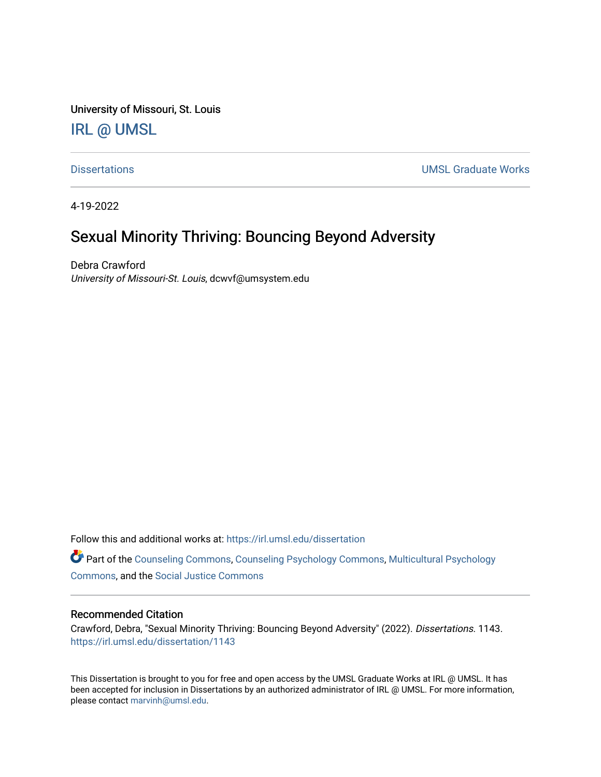University of Missouri, St. Louis

## [IRL @ UMSL](https://irl.umsl.edu/)

[Dissertations](https://irl.umsl.edu/dissertation) [UMSL Graduate Works](https://irl.umsl.edu/grad) 

4-19-2022

# Sexual Minority Thriving: Bouncing Beyond Adversity

Debra Crawford University of Missouri-St. Louis, dcwvf@umsystem.edu

Follow this and additional works at: [https://irl.umsl.edu/dissertation](https://irl.umsl.edu/dissertation?utm_source=irl.umsl.edu%2Fdissertation%2F1143&utm_medium=PDF&utm_campaign=PDFCoverPages)

Part of the [Counseling Commons,](https://network.bepress.com/hgg/discipline/1268?utm_source=irl.umsl.edu%2Fdissertation%2F1143&utm_medium=PDF&utm_campaign=PDFCoverPages) [Counseling Psychology Commons,](https://network.bepress.com/hgg/discipline/1044?utm_source=irl.umsl.edu%2Fdissertation%2F1143&utm_medium=PDF&utm_campaign=PDFCoverPages) [Multicultural Psychology](https://network.bepress.com/hgg/discipline/1237?utm_source=irl.umsl.edu%2Fdissertation%2F1143&utm_medium=PDF&utm_campaign=PDFCoverPages) [Commons](https://network.bepress.com/hgg/discipline/1237?utm_source=irl.umsl.edu%2Fdissertation%2F1143&utm_medium=PDF&utm_campaign=PDFCoverPages), and the [Social Justice Commons](https://network.bepress.com/hgg/discipline/1432?utm_source=irl.umsl.edu%2Fdissertation%2F1143&utm_medium=PDF&utm_campaign=PDFCoverPages) 

#### Recommended Citation

Crawford, Debra, "Sexual Minority Thriving: Bouncing Beyond Adversity" (2022). Dissertations. 1143. [https://irl.umsl.edu/dissertation/1143](https://irl.umsl.edu/dissertation/1143?utm_source=irl.umsl.edu%2Fdissertation%2F1143&utm_medium=PDF&utm_campaign=PDFCoverPages) 

This Dissertation is brought to you for free and open access by the UMSL Graduate Works at IRL @ UMSL. It has been accepted for inclusion in Dissertations by an authorized administrator of IRL @ UMSL. For more information, please contact [marvinh@umsl.edu](mailto:marvinh@umsl.edu).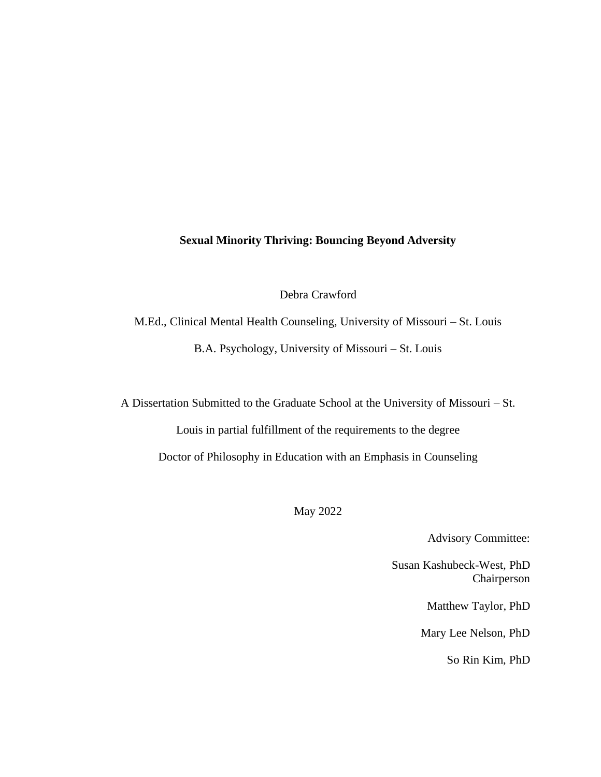## **Sexual Minority Thriving: Bouncing Beyond Adversity**

Debra Crawford

M.Ed., Clinical Mental Health Counseling, University of Missouri – St. Louis B.A. Psychology, University of Missouri – St. Louis

A Dissertation Submitted to the Graduate School at the University of Missouri – St.

Louis in partial fulfillment of the requirements to the degree Doctor of Philosophy in Education with an Emphasis in Counseling

May 2022

Advisory Committee:

Susan Kashubeck-West, PhD Chairperson

Matthew Taylor, PhD

Mary Lee Nelson, PhD

So Rin Kim, PhD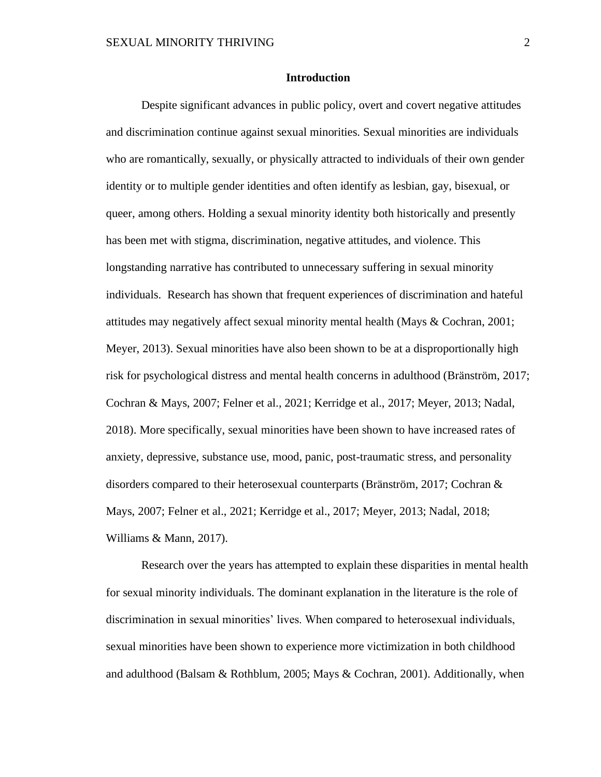#### **Introduction**

Despite significant advances in public policy, overt and covert negative attitudes and discrimination continue against sexual minorities. Sexual minorities are individuals who are romantically, sexually, or physically attracted to individuals of their own gender identity or to multiple gender identities and often identify as lesbian, gay, bisexual, or queer, among others. Holding a sexual minority identity both historically and presently has been met with stigma, discrimination, negative attitudes, and violence. This longstanding narrative has contributed to unnecessary suffering in sexual minority individuals. Research has shown that frequent experiences of discrimination and hateful attitudes may negatively affect sexual minority mental health (Mays & Cochran, 2001; Meyer, 2013). Sexual minorities have also been shown to be at a disproportionally high risk for psychological distress and mental health concerns in adulthood (Bränström, 2017; Cochran & Mays, 2007; Felner et al., 2021; Kerridge et al., 2017; Meyer, 2013; Nadal, 2018). More specifically, sexual minorities have been shown to have increased rates of anxiety, depressive, substance use, mood, panic, post-traumatic stress, and personality disorders compared to their heterosexual counterparts (Bränström, 2017; Cochran & Mays, 2007; Felner et al., 2021; Kerridge et al., 2017; Meyer, 2013; Nadal, 2018; Williams & Mann, 2017).

Research over the years has attempted to explain these disparities in mental health for sexual minority individuals. The dominant explanation in the literature is the role of discrimination in sexual minorities' lives. When compared to heterosexual individuals, sexual minorities have been shown to experience more victimization in both childhood and adulthood (Balsam & Rothblum, 2005; Mays & Cochran, 2001). Additionally, when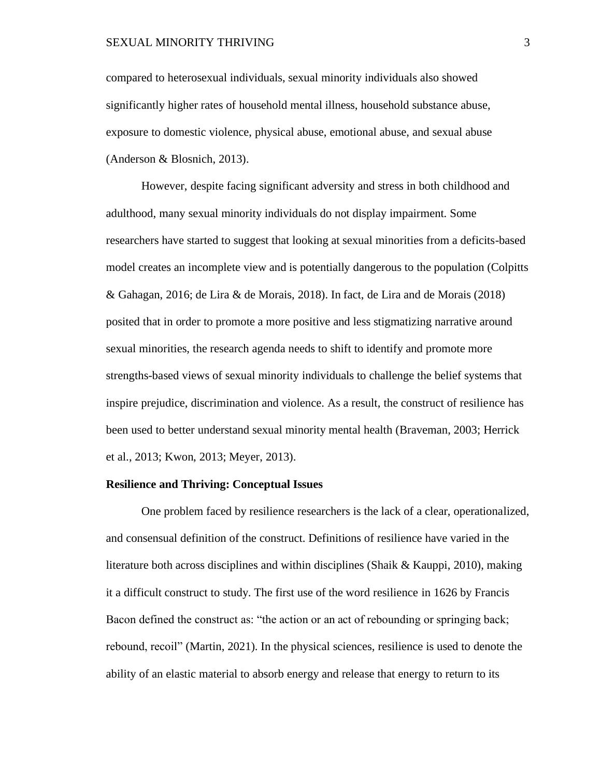compared to heterosexual individuals, sexual minority individuals also showed significantly higher rates of household mental illness, household substance abuse, exposure to domestic violence, physical abuse, emotional abuse, and sexual abuse (Anderson & Blosnich, 2013).

However, despite facing significant adversity and stress in both childhood and adulthood, many sexual minority individuals do not display impairment. Some researchers have started to suggest that looking at sexual minorities from a deficits-based model creates an incomplete view and is potentially dangerous to the population (Colpitts & Gahagan, 2016; de Lira & de Morais, 2018). In fact, de Lira and de Morais (2018) posited that in order to promote a more positive and less stigmatizing narrative around sexual minorities, the research agenda needs to shift to identify and promote more strengths-based views of sexual minority individuals to challenge the belief systems that inspire prejudice, discrimination and violence. As a result, the construct of resilience has been used to better understand sexual minority mental health (Braveman, 2003; Herrick et al., 2013; Kwon, 2013; Meyer, 2013).

#### **Resilience and Thriving: Conceptual Issues**

One problem faced by resilience researchers is the lack of a clear, operationalized, and consensual definition of the construct. Definitions of resilience have varied in the literature both across disciplines and within disciplines (Shaik & Kauppi, 2010), making it a difficult construct to study. The first use of the word resilience in 1626 by Francis Bacon defined the construct as: "the action or an act of rebounding or springing back; rebound, recoil" (Martin, 2021). In the physical sciences, resilience is used to denote the ability of an elastic material to absorb energy and release that energy to return to its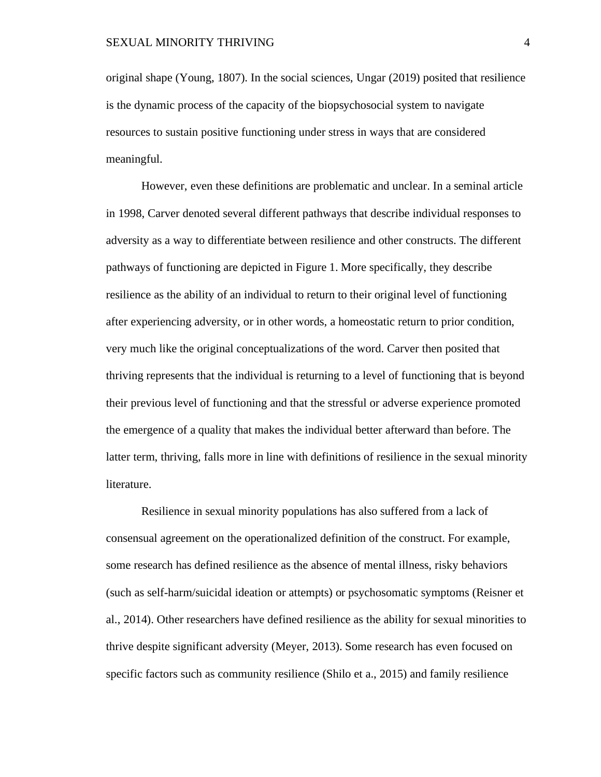original shape (Young, 1807). In the social sciences, Ungar (2019) posited that resilience is the dynamic process of the capacity of the biopsychosocial system to navigate resources to sustain positive functioning under stress in ways that are considered meaningful.

However, even these definitions are problematic and unclear. In a seminal article in 1998, Carver denoted several different pathways that describe individual responses to adversity as a way to differentiate between resilience and other constructs. The different pathways of functioning are depicted in Figure 1. More specifically, they describe resilience as the ability of an individual to return to their original level of functioning after experiencing adversity, or in other words, a homeostatic return to prior condition, very much like the original conceptualizations of the word. Carver then posited that thriving represents that the individual is returning to a level of functioning that is beyond their previous level of functioning and that the stressful or adverse experience promoted the emergence of a quality that makes the individual better afterward than before. The latter term, thriving, falls more in line with definitions of resilience in the sexual minority literature.

Resilience in sexual minority populations has also suffered from a lack of consensual agreement on the operationalized definition of the construct. For example, some research has defined resilience as the absence of mental illness, risky behaviors (such as self-harm/suicidal ideation or attempts) or psychosomatic symptoms (Reisner et al., 2014). Other researchers have defined resilience as the ability for sexual minorities to thrive despite significant adversity (Meyer, 2013). Some research has even focused on specific factors such as community resilience (Shilo et a., 2015) and family resilience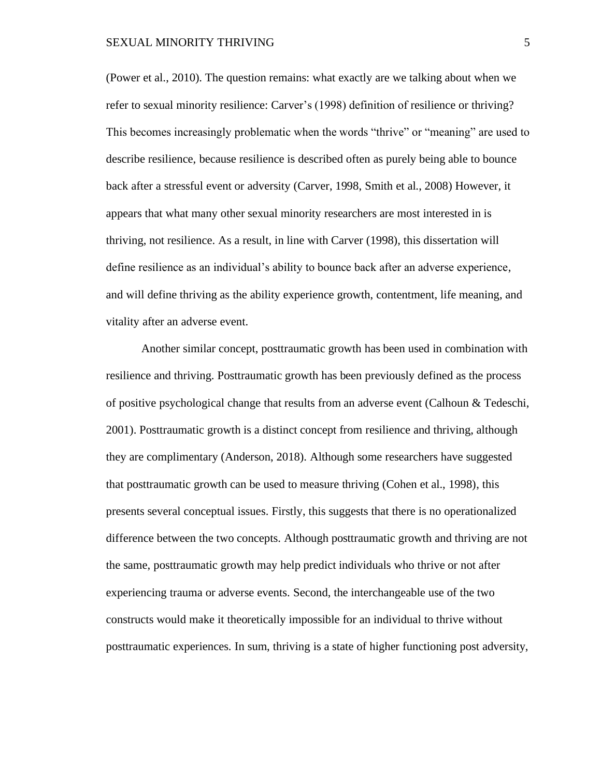#### SEXUAL MINORITY THRIVING 5

(Power et al., 2010). The question remains: what exactly are we talking about when we refer to sexual minority resilience: Carver's (1998) definition of resilience or thriving? This becomes increasingly problematic when the words "thrive" or "meaning" are used to describe resilience, because resilience is described often as purely being able to bounce back after a stressful event or adversity (Carver, 1998, Smith et al., 2008) However, it appears that what many other sexual minority researchers are most interested in is thriving, not resilience. As a result, in line with Carver (1998), this dissertation will define resilience as an individual's ability to bounce back after an adverse experience, and will define thriving as the ability experience growth, contentment, life meaning, and vitality after an adverse event.

Another similar concept, posttraumatic growth has been used in combination with resilience and thriving. Posttraumatic growth has been previously defined as the process of positive psychological change that results from an adverse event (Calhoun & Tedeschi, 2001). Posttraumatic growth is a distinct concept from resilience and thriving, although they are complimentary (Anderson, 2018). Although some researchers have suggested that posttraumatic growth can be used to measure thriving (Cohen et al., 1998), this presents several conceptual issues. Firstly, this suggests that there is no operationalized difference between the two concepts. Although posttraumatic growth and thriving are not the same, posttraumatic growth may help predict individuals who thrive or not after experiencing trauma or adverse events. Second, the interchangeable use of the two constructs would make it theoretically impossible for an individual to thrive without posttraumatic experiences. In sum, thriving is a state of higher functioning post adversity,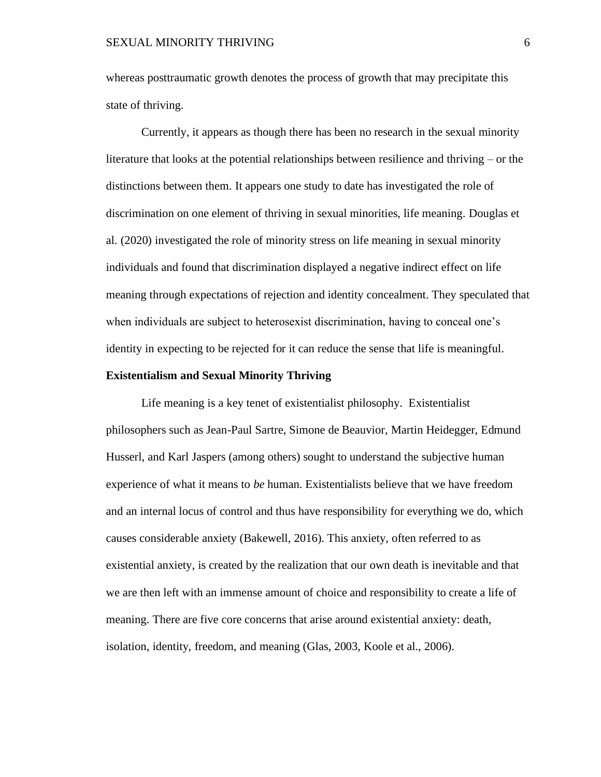whereas posttraumatic growth denotes the process of growth that may precipitate this state of thriving.

Currently, it appears as though there has been no research in the sexual minority literature that looks at the potential relationships between resilience and thriving – or the distinctions between them. It appears one study to date has investigated the role of discrimination on one element of thriving in sexual minorities, life meaning. Douglas et al. (2020) investigated the role of minority stress on life meaning in sexual minority individuals and found that discrimination displayed a negative indirect effect on life meaning through expectations of rejection and identity concealment. They speculated that when individuals are subject to heterosexist discrimination, having to conceal one's identity in expecting to be rejected for it can reduce the sense that life is meaningful.

#### **Existentialism and Sexual Minority Thriving**

Life meaning is a key tenet of existentialist philosophy. Existentialist philosophers such as Jean-Paul Sartre, Simone de Beauvior, Martin Heidegger, Edmund Husserl, and Karl Jaspers (among others) sought to understand the subjective human experience of what it means to *be* human. Existentialists believe that we have freedom and an internal locus of control and thus have responsibility for everything we do, which causes considerable anxiety (Bakewell, 2016). This anxiety, often referred to as existential anxiety, is created by the realization that our own death is inevitable and that we are then left with an immense amount of choice and responsibility to create a life of meaning. There are five core concerns that arise around existential anxiety: death, isolation, identity, freedom, and meaning (Glas, 2003, Koole et al., 2006).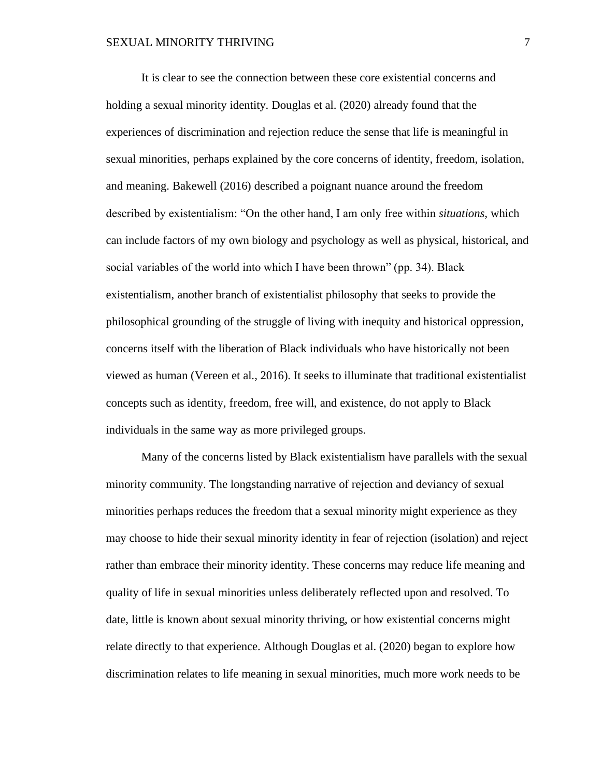It is clear to see the connection between these core existential concerns and holding a sexual minority identity. Douglas et al. (2020) already found that the experiences of discrimination and rejection reduce the sense that life is meaningful in sexual minorities, perhaps explained by the core concerns of identity, freedom, isolation, and meaning. Bakewell (2016) described a poignant nuance around the freedom described by existentialism: "On the other hand, I am only free within *situations*, which can include factors of my own biology and psychology as well as physical, historical, and social variables of the world into which I have been thrown" (pp. 34). Black existentialism, another branch of existentialist philosophy that seeks to provide the philosophical grounding of the struggle of living with inequity and historical oppression, concerns itself with the liberation of Black individuals who have historically not been viewed as human (Vereen et al., 2016). It seeks to illuminate that traditional existentialist concepts such as identity, freedom, free will, and existence, do not apply to Black individuals in the same way as more privileged groups.

Many of the concerns listed by Black existentialism have parallels with the sexual minority community. The longstanding narrative of rejection and deviancy of sexual minorities perhaps reduces the freedom that a sexual minority might experience as they may choose to hide their sexual minority identity in fear of rejection (isolation) and reject rather than embrace their minority identity. These concerns may reduce life meaning and quality of life in sexual minorities unless deliberately reflected upon and resolved. To date, little is known about sexual minority thriving, or how existential concerns might relate directly to that experience. Although Douglas et al. (2020) began to explore how discrimination relates to life meaning in sexual minorities, much more work needs to be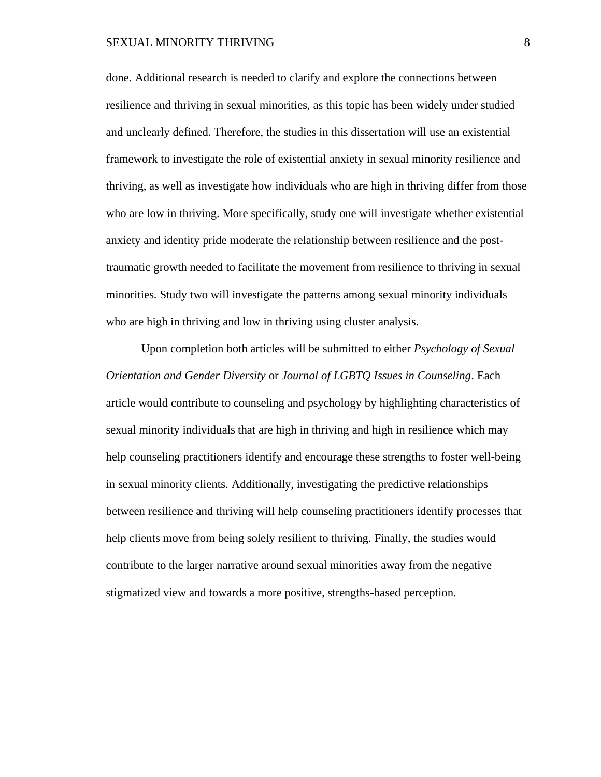#### SEXUAL MINORITY THRIVING **8**

done. Additional research is needed to clarify and explore the connections between resilience and thriving in sexual minorities, as this topic has been widely under studied and unclearly defined. Therefore, the studies in this dissertation will use an existential framework to investigate the role of existential anxiety in sexual minority resilience and thriving, as well as investigate how individuals who are high in thriving differ from those who are low in thriving. More specifically, study one will investigate whether existential anxiety and identity pride moderate the relationship between resilience and the posttraumatic growth needed to facilitate the movement from resilience to thriving in sexual minorities. Study two will investigate the patterns among sexual minority individuals who are high in thriving and low in thriving using cluster analysis.

Upon completion both articles will be submitted to either *Psychology of Sexual Orientation and Gender Diversity* or *Journal of LGBTQ Issues in Counseling*. Each article would contribute to counseling and psychology by highlighting characteristics of sexual minority individuals that are high in thriving and high in resilience which may help counseling practitioners identify and encourage these strengths to foster well-being in sexual minority clients. Additionally, investigating the predictive relationships between resilience and thriving will help counseling practitioners identify processes that help clients move from being solely resilient to thriving. Finally, the studies would contribute to the larger narrative around sexual minorities away from the negative stigmatized view and towards a more positive, strengths-based perception.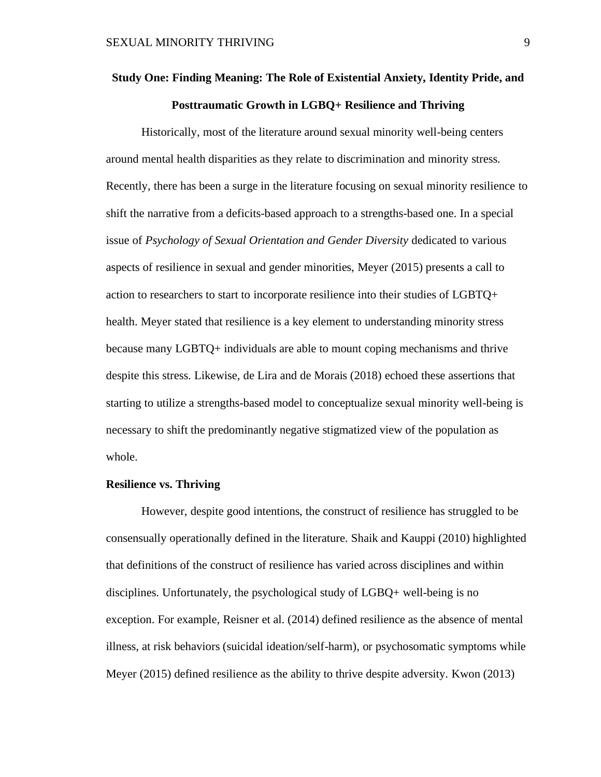# **Study One: Finding Meaning: The Role of Existential Anxiety, Identity Pride, and Posttraumatic Growth in LGBQ+ Resilience and Thriving**

Historically, most of the literature around sexual minority well-being centers around mental health disparities as they relate to discrimination and minority stress. Recently, there has been a surge in the literature focusing on sexual minority resilience to shift the narrative from a deficits-based approach to a strengths-based one. In a special issue of *Psychology of Sexual Orientation and Gender Diversity* dedicated to various aspects of resilience in sexual and gender minorities, Meyer (2015) presents a call to action to researchers to start to incorporate resilience into their studies of LGBTQ+ health. Meyer stated that resilience is a key element to understanding minority stress because many LGBTQ+ individuals are able to mount coping mechanisms and thrive despite this stress. Likewise, de Lira and de Morais (2018) echoed these assertions that starting to utilize a strengths-based model to conceptualize sexual minority well-being is necessary to shift the predominantly negative stigmatized view of the population as whole.

#### **Resilience vs. Thriving**

However, despite good intentions, the construct of resilience has struggled to be consensually operationally defined in the literature. Shaik and Kauppi (2010) highlighted that definitions of the construct of resilience has varied across disciplines and within disciplines. Unfortunately, the psychological study of LGBQ+ well-being is no exception. For example, Reisner et al. (2014) defined resilience as the absence of mental illness, at risk behaviors (suicidal ideation/self-harm), or psychosomatic symptoms while Meyer (2015) defined resilience as the ability to thrive despite adversity. Kwon (2013)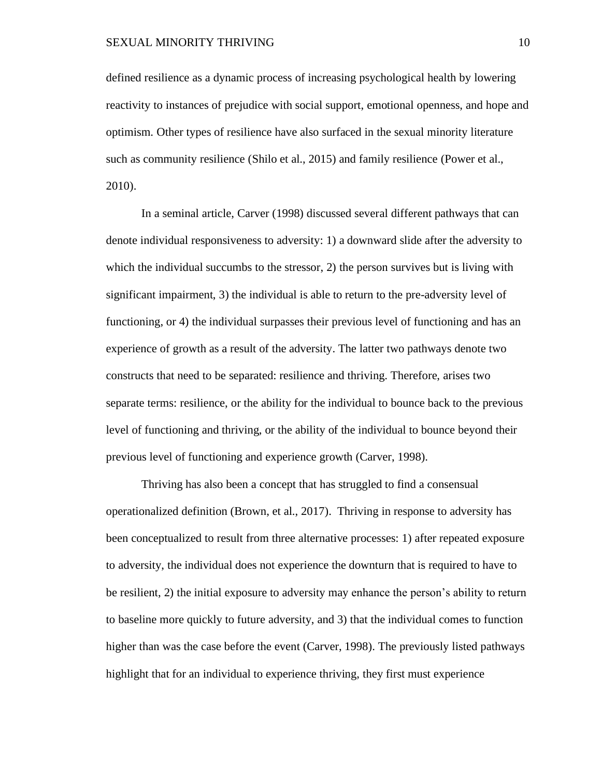defined resilience as a dynamic process of increasing psychological health by lowering reactivity to instances of prejudice with social support, emotional openness, and hope and optimism. Other types of resilience have also surfaced in the sexual minority literature such as community resilience (Shilo et al., 2015) and family resilience (Power et al., 2010).

In a seminal article, Carver (1998) discussed several different pathways that can denote individual responsiveness to adversity: 1) a downward slide after the adversity to which the individual succumbs to the stressor, 2) the person survives but is living with significant impairment, 3) the individual is able to return to the pre-adversity level of functioning, or 4) the individual surpasses their previous level of functioning and has an experience of growth as a result of the adversity. The latter two pathways denote two constructs that need to be separated: resilience and thriving. Therefore, arises two separate terms: resilience, or the ability for the individual to bounce back to the previous level of functioning and thriving, or the ability of the individual to bounce beyond their previous level of functioning and experience growth (Carver, 1998).

Thriving has also been a concept that has struggled to find a consensual operationalized definition (Brown, et al., 2017). Thriving in response to adversity has been conceptualized to result from three alternative processes: 1) after repeated exposure to adversity, the individual does not experience the downturn that is required to have to be resilient, 2) the initial exposure to adversity may enhance the person's ability to return to baseline more quickly to future adversity, and 3) that the individual comes to function higher than was the case before the event (Carver, 1998). The previously listed pathways highlight that for an individual to experience thriving, they first must experience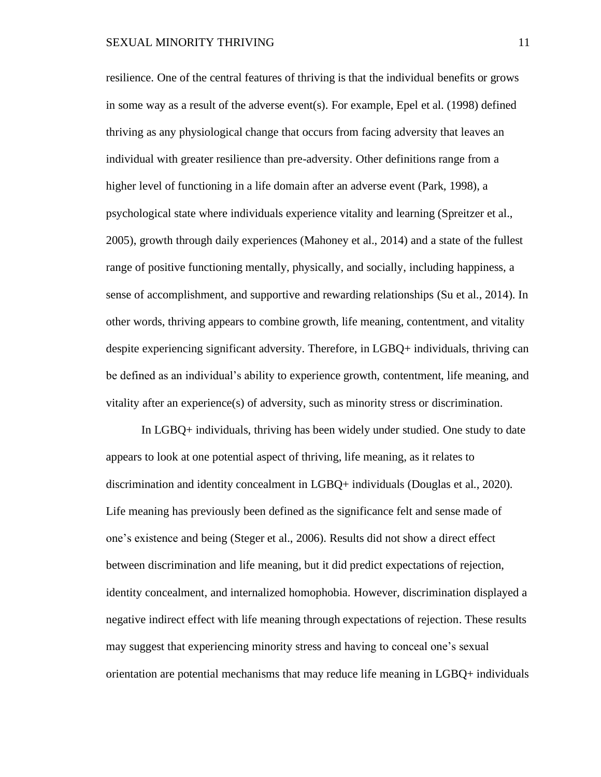resilience. One of the central features of thriving is that the individual benefits or grows in some way as a result of the adverse event(s). For example, Epel et al. (1998) defined thriving as any physiological change that occurs from facing adversity that leaves an individual with greater resilience than pre-adversity. Other definitions range from a higher level of functioning in a life domain after an adverse event (Park, 1998), a psychological state where individuals experience vitality and learning (Spreitzer et al., 2005), growth through daily experiences (Mahoney et al., 2014) and a state of the fullest range of positive functioning mentally, physically, and socially, including happiness, a sense of accomplishment, and supportive and rewarding relationships (Su et al., 2014). In other words, thriving appears to combine growth, life meaning, contentment, and vitality despite experiencing significant adversity. Therefore, in LGBQ+ individuals, thriving can be defined as an individual's ability to experience growth, contentment, life meaning, and vitality after an experience(s) of adversity, such as minority stress or discrimination.

In LGBQ+ individuals, thriving has been widely under studied. One study to date appears to look at one potential aspect of thriving, life meaning, as it relates to discrimination and identity concealment in LGBQ+ individuals (Douglas et al., 2020). Life meaning has previously been defined as the significance felt and sense made of one's existence and being (Steger et al., 2006). Results did not show a direct effect between discrimination and life meaning, but it did predict expectations of rejection, identity concealment, and internalized homophobia. However, discrimination displayed a negative indirect effect with life meaning through expectations of rejection. These results may suggest that experiencing minority stress and having to conceal one's sexual orientation are potential mechanisms that may reduce life meaning in LGBQ+ individuals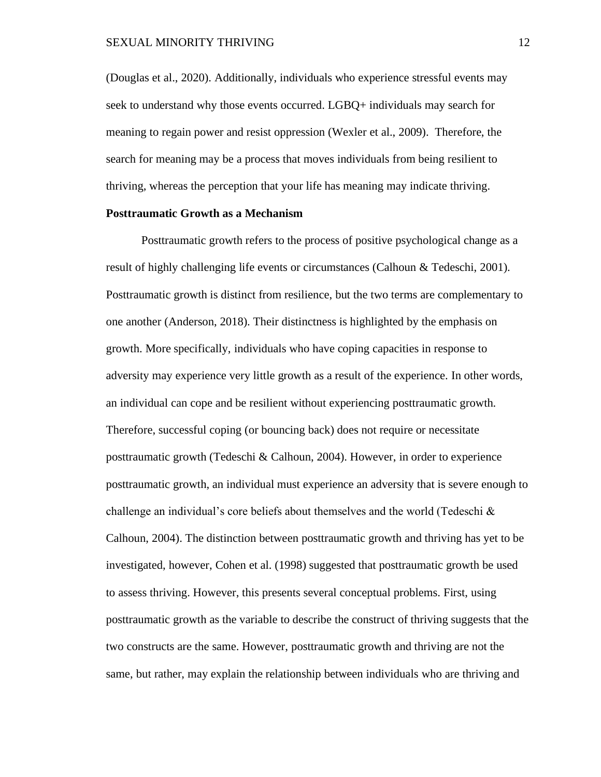(Douglas et al., 2020). Additionally, individuals who experience stressful events may seek to understand why those events occurred. LGBQ+ individuals may search for meaning to regain power and resist oppression (Wexler et al., 2009). Therefore, the search for meaning may be a process that moves individuals from being resilient to thriving, whereas the perception that your life has meaning may indicate thriving.

#### **Posttraumatic Growth as a Mechanism**

Posttraumatic growth refers to the process of positive psychological change as a result of highly challenging life events or circumstances (Calhoun & Tedeschi, 2001). Posttraumatic growth is distinct from resilience, but the two terms are complementary to one another (Anderson, 2018). Their distinctness is highlighted by the emphasis on growth. More specifically, individuals who have coping capacities in response to adversity may experience very little growth as a result of the experience. In other words, an individual can cope and be resilient without experiencing posttraumatic growth. Therefore, successful coping (or bouncing back) does not require or necessitate posttraumatic growth (Tedeschi & Calhoun, 2004). However, in order to experience posttraumatic growth, an individual must experience an adversity that is severe enough to challenge an individual's core beliefs about themselves and the world (Tedeschi & Calhoun, 2004). The distinction between posttraumatic growth and thriving has yet to be investigated, however, Cohen et al. (1998) suggested that posttraumatic growth be used to assess thriving. However, this presents several conceptual problems. First, using posttraumatic growth as the variable to describe the construct of thriving suggests that the two constructs are the same. However, posttraumatic growth and thriving are not the same, but rather, may explain the relationship between individuals who are thriving and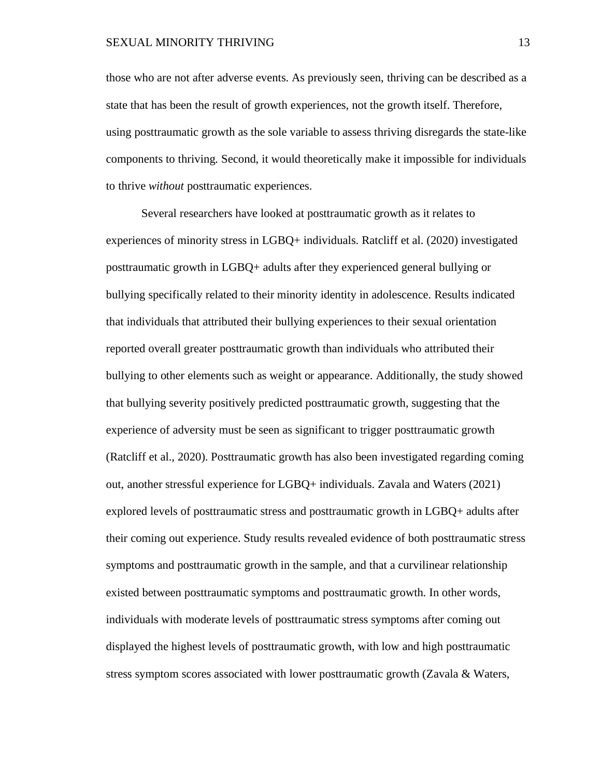those who are not after adverse events. As previously seen, thriving can be described as a state that has been the result of growth experiences, not the growth itself. Therefore, using posttraumatic growth as the sole variable to assess thriving disregards the state-like components to thriving. Second, it would theoretically make it impossible for individuals to thrive *without* posttraumatic experiences.

Several researchers have looked at posttraumatic growth as it relates to experiences of minority stress in LGBQ+ individuals. Ratcliff et al. (2020) investigated posttraumatic growth in LGBQ+ adults after they experienced general bullying or bullying specifically related to their minority identity in adolescence. Results indicated that individuals that attributed their bullying experiences to their sexual orientation reported overall greater posttraumatic growth than individuals who attributed their bullying to other elements such as weight or appearance. Additionally, the study showed that bullying severity positively predicted posttraumatic growth, suggesting that the experience of adversity must be seen as significant to trigger posttraumatic growth (Ratcliff et al., 2020). Posttraumatic growth has also been investigated regarding coming out, another stressful experience for LGBQ+ individuals. Zavala and Waters (2021) explored levels of posttraumatic stress and posttraumatic growth in LGBQ+ adults after their coming out experience. Study results revealed evidence of both posttraumatic stress symptoms and posttraumatic growth in the sample, and that a curvilinear relationship existed between posttraumatic symptoms and posttraumatic growth. In other words, individuals with moderate levels of posttraumatic stress symptoms after coming out displayed the highest levels of posttraumatic growth, with low and high posttraumatic stress symptom scores associated with lower posttraumatic growth (Zavala & Waters,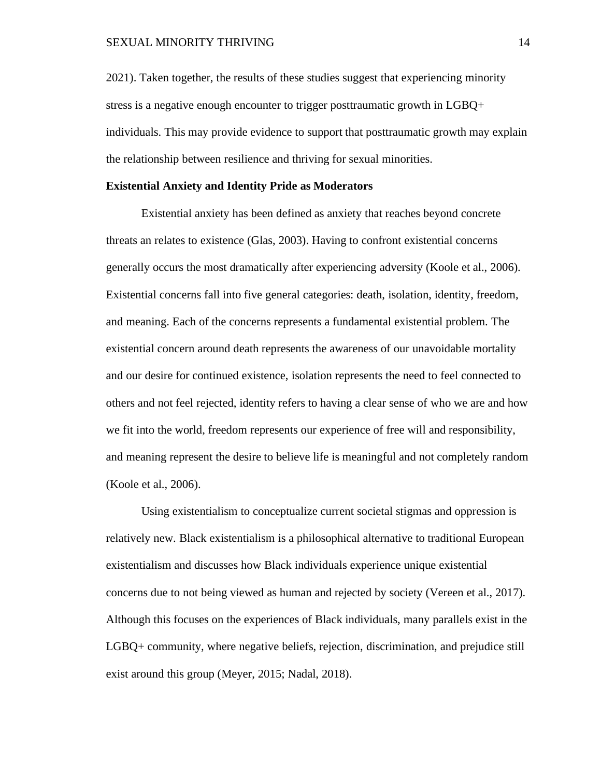#### SEXUAL MINORITY THRIVING 14

2021). Taken together, the results of these studies suggest that experiencing minority stress is a negative enough encounter to trigger posttraumatic growth in LGBQ+ individuals. This may provide evidence to support that posttraumatic growth may explain the relationship between resilience and thriving for sexual minorities.

#### **Existential Anxiety and Identity Pride as Moderators**

Existential anxiety has been defined as anxiety that reaches beyond concrete threats an relates to existence (Glas, 2003). Having to confront existential concerns generally occurs the most dramatically after experiencing adversity (Koole et al., 2006). Existential concerns fall into five general categories: death, isolation, identity, freedom, and meaning. Each of the concerns represents a fundamental existential problem. The existential concern around death represents the awareness of our unavoidable mortality and our desire for continued existence, isolation represents the need to feel connected to others and not feel rejected, identity refers to having a clear sense of who we are and how we fit into the world, freedom represents our experience of free will and responsibility, and meaning represent the desire to believe life is meaningful and not completely random (Koole et al., 2006).

Using existentialism to conceptualize current societal stigmas and oppression is relatively new. Black existentialism is a philosophical alternative to traditional European existentialism and discusses how Black individuals experience unique existential concerns due to not being viewed as human and rejected by society (Vereen et al., 2017). Although this focuses on the experiences of Black individuals, many parallels exist in the LGBQ+ community, where negative beliefs, rejection, discrimination, and prejudice still exist around this group (Meyer, 2015; Nadal, 2018).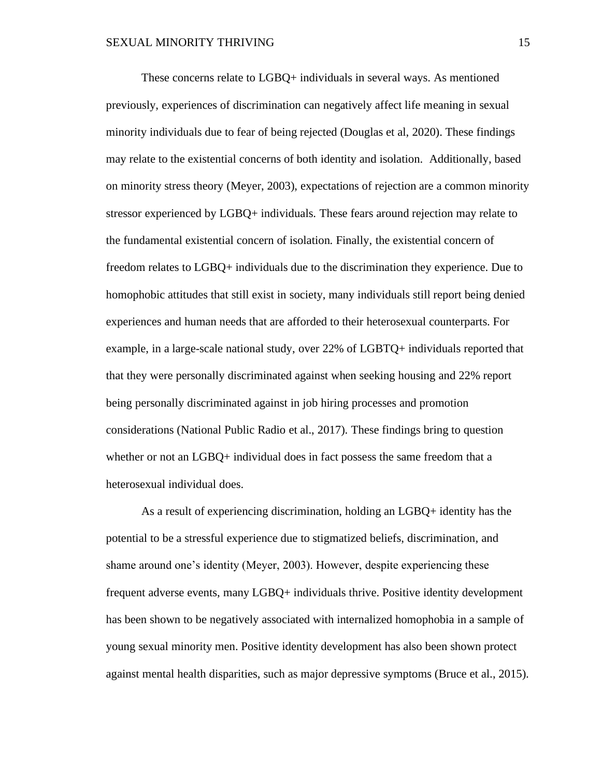These concerns relate to LGBQ+ individuals in several ways. As mentioned previously, experiences of discrimination can negatively affect life meaning in sexual minority individuals due to fear of being rejected (Douglas et al, 2020). These findings may relate to the existential concerns of both identity and isolation. Additionally, based on minority stress theory (Meyer, 2003), expectations of rejection are a common minority stressor experienced by LGBQ+ individuals. These fears around rejection may relate to the fundamental existential concern of isolation. Finally, the existential concern of freedom relates to LGBQ+ individuals due to the discrimination they experience. Due to homophobic attitudes that still exist in society, many individuals still report being denied experiences and human needs that are afforded to their heterosexual counterparts. For example, in a large-scale national study, over 22% of LGBTQ+ individuals reported that that they were personally discriminated against when seeking housing and 22% report being personally discriminated against in job hiring processes and promotion considerations (National Public Radio et al., 2017). These findings bring to question whether or not an LGBQ+ individual does in fact possess the same freedom that a heterosexual individual does.

As a result of experiencing discrimination, holding an LGBQ+ identity has the potential to be a stressful experience due to stigmatized beliefs, discrimination, and shame around one's identity (Meyer, 2003). However, despite experiencing these frequent adverse events, many LGBQ+ individuals thrive. Positive identity development has been shown to be negatively associated with internalized homophobia in a sample of young sexual minority men. Positive identity development has also been shown protect against mental health disparities, such as major depressive symptoms (Bruce et al., 2015).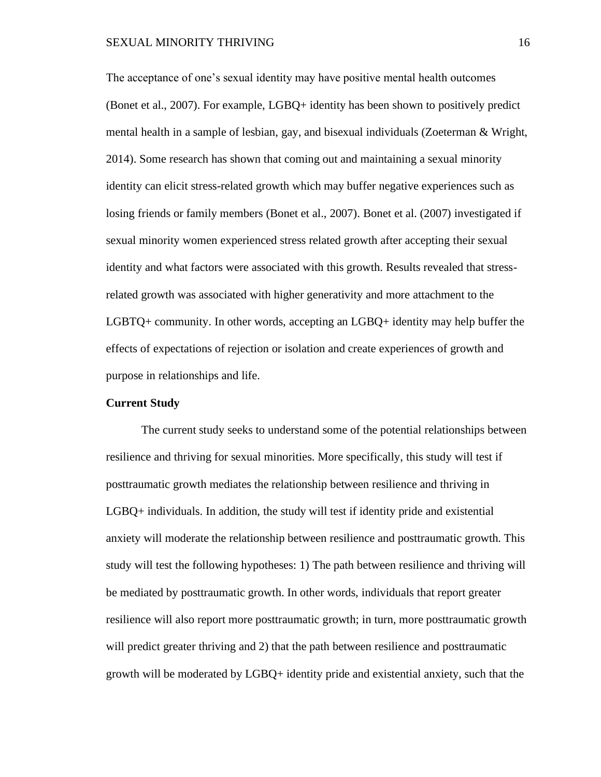The acceptance of one's sexual identity may have positive mental health outcomes (Bonet et al., 2007). For example, LGBQ+ identity has been shown to positively predict mental health in a sample of lesbian, gay, and bisexual individuals (Zoeterman & Wright, 2014). Some research has shown that coming out and maintaining a sexual minority identity can elicit stress-related growth which may buffer negative experiences such as losing friends or family members (Bonet et al., 2007). Bonet et al. (2007) investigated if sexual minority women experienced stress related growth after accepting their sexual identity and what factors were associated with this growth. Results revealed that stressrelated growth was associated with higher generativity and more attachment to the LGBTQ+ community. In other words, accepting an LGBQ+ identity may help buffer the effects of expectations of rejection or isolation and create experiences of growth and purpose in relationships and life.

#### **Current Study**

The current study seeks to understand some of the potential relationships between resilience and thriving for sexual minorities. More specifically, this study will test if posttraumatic growth mediates the relationship between resilience and thriving in LGBQ+ individuals. In addition, the study will test if identity pride and existential anxiety will moderate the relationship between resilience and posttraumatic growth. This study will test the following hypotheses: 1) The path between resilience and thriving will be mediated by posttraumatic growth. In other words, individuals that report greater resilience will also report more posttraumatic growth; in turn, more posttraumatic growth will predict greater thriving and 2) that the path between resilience and posttraumatic growth will be moderated by LGBQ+ identity pride and existential anxiety, such that the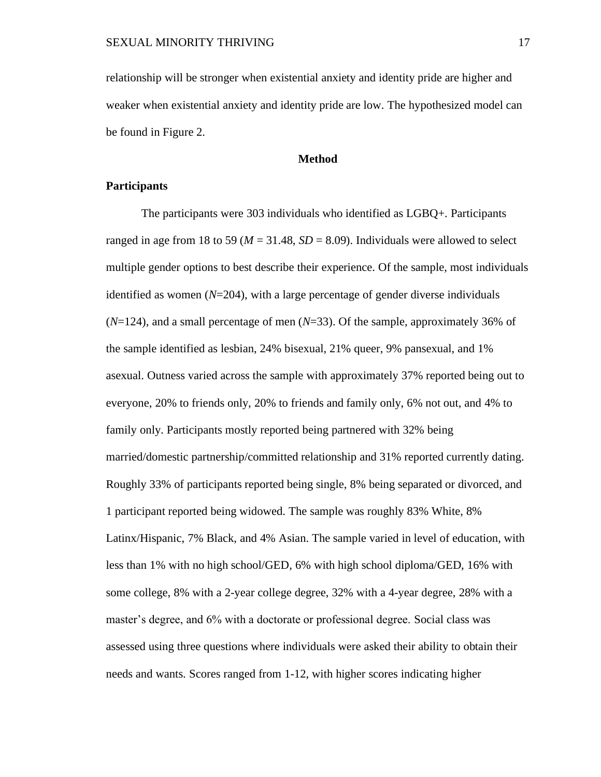relationship will be stronger when existential anxiety and identity pride are higher and weaker when existential anxiety and identity pride are low. The hypothesized model can be found in Figure 2.

#### **Method**

#### **Participants**

The participants were 303 individuals who identified as LGBQ+. Participants ranged in age from 18 to 59 ( $M = 31.48$ ,  $SD = 8.09$ ). Individuals were allowed to select multiple gender options to best describe their experience. Of the sample, most individuals identified as women (*N*=204), with a large percentage of gender diverse individuals (*N*=124), and a small percentage of men (*N*=33). Of the sample, approximately 36% of the sample identified as lesbian, 24% bisexual, 21% queer, 9% pansexual, and 1% asexual. Outness varied across the sample with approximately 37% reported being out to everyone, 20% to friends only, 20% to friends and family only, 6% not out, and 4% to family only. Participants mostly reported being partnered with 32% being married/domestic partnership/committed relationship and 31% reported currently dating. Roughly 33% of participants reported being single, 8% being separated or divorced, and 1 participant reported being widowed. The sample was roughly 83% White, 8% Latinx/Hispanic, 7% Black, and 4% Asian. The sample varied in level of education, with less than 1% with no high school/GED, 6% with high school diploma/GED, 16% with some college, 8% with a 2-year college degree, 32% with a 4-year degree, 28% with a master's degree, and 6% with a doctorate or professional degree. Social class was assessed using three questions where individuals were asked their ability to obtain their needs and wants. Scores ranged from 1-12, with higher scores indicating higher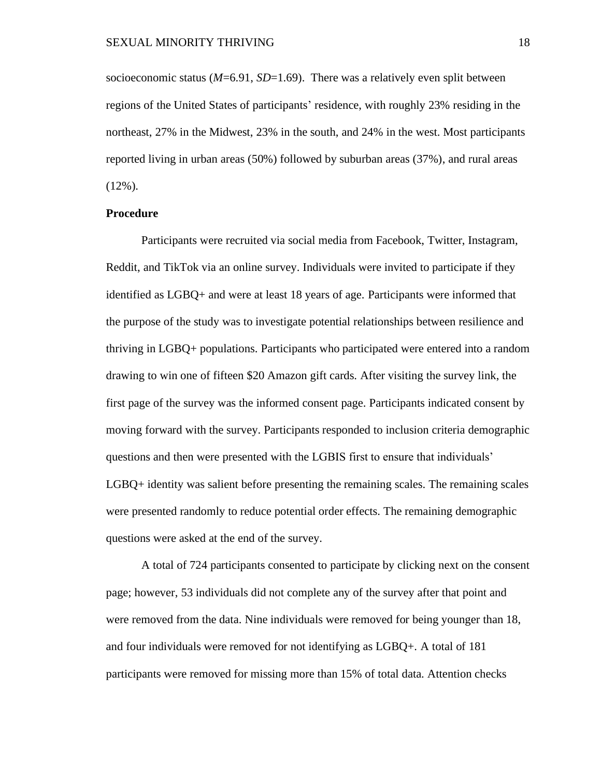socioeconomic status (*M*=6.91, *SD*=1.69). There was a relatively even split between regions of the United States of participants' residence, with roughly 23% residing in the northeast, 27% in the Midwest, 23% in the south, and 24% in the west. Most participants reported living in urban areas (50%) followed by suburban areas (37%), and rural areas  $(12\%)$ .

#### **Procedure**

Participants were recruited via social media from Facebook, Twitter, Instagram, Reddit, and TikTok via an online survey. Individuals were invited to participate if they identified as LGBQ+ and were at least 18 years of age. Participants were informed that the purpose of the study was to investigate potential relationships between resilience and thriving in LGBQ+ populations. Participants who participated were entered into a random drawing to win one of fifteen \$20 Amazon gift cards. After visiting the survey link, the first page of the survey was the informed consent page. Participants indicated consent by moving forward with the survey. Participants responded to inclusion criteria demographic questions and then were presented with the LGBIS first to ensure that individuals' LGBQ+ identity was salient before presenting the remaining scales. The remaining scales were presented randomly to reduce potential order effects. The remaining demographic questions were asked at the end of the survey.

A total of 724 participants consented to participate by clicking next on the consent page; however, 53 individuals did not complete any of the survey after that point and were removed from the data. Nine individuals were removed for being younger than 18, and four individuals were removed for not identifying as LGBQ+. A total of 181 participants were removed for missing more than 15% of total data. Attention checks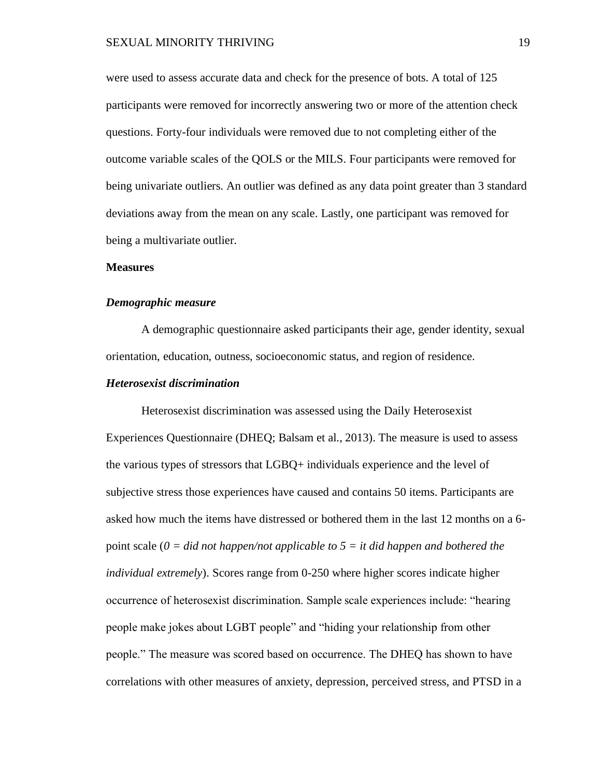were used to assess accurate data and check for the presence of bots. A total of 125 participants were removed for incorrectly answering two or more of the attention check questions. Forty-four individuals were removed due to not completing either of the outcome variable scales of the QOLS or the MILS. Four participants were removed for being univariate outliers. An outlier was defined as any data point greater than 3 standard deviations away from the mean on any scale. Lastly, one participant was removed for being a multivariate outlier.

#### **Measures**

#### *Demographic measure*

A demographic questionnaire asked participants their age, gender identity, sexual orientation, education, outness, socioeconomic status, and region of residence.

#### *Heterosexist discrimination*

Heterosexist discrimination was assessed using the Daily Heterosexist Experiences Questionnaire (DHEQ; Balsam et al., 2013). The measure is used to assess the various types of stressors that LGBQ+ individuals experience and the level of subjective stress those experiences have caused and contains 50 items. Participants are asked how much the items have distressed or bothered them in the last 12 months on a 6 point scale (*0 = did not happen/not applicable to 5 = it did happen and bothered the individual extremely*). Scores range from 0-250 where higher scores indicate higher occurrence of heterosexist discrimination. Sample scale experiences include: "hearing people make jokes about LGBT people" and "hiding your relationship from other people." The measure was scored based on occurrence. The DHEQ has shown to have correlations with other measures of anxiety, depression, perceived stress, and PTSD in a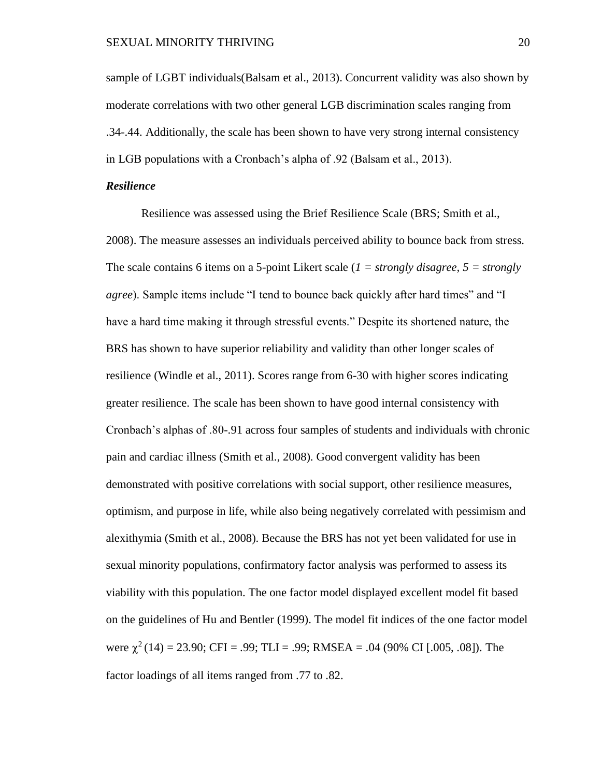sample of LGBT individuals(Balsam et al., 2013). Concurrent validity was also shown by moderate correlations with two other general LGB discrimination scales ranging from .34-.44. Additionally, the scale has been shown to have very strong internal consistency in LGB populations with a Cronbach's alpha of .92 (Balsam et al., 2013).

#### *Resilience*

Resilience was assessed using the Brief Resilience Scale (BRS; Smith et al., 2008). The measure assesses an individuals perceived ability to bounce back from stress. The scale contains 6 items on a 5-point Likert scale (*1 = strongly disagree, 5 = strongly agree*). Sample items include "I tend to bounce back quickly after hard times" and "I have a hard time making it through stressful events." Despite its shortened nature, the BRS has shown to have superior reliability and validity than other longer scales of resilience (Windle et al., 2011). Scores range from 6-30 with higher scores indicating greater resilience. The scale has been shown to have good internal consistency with Cronbach's alphas of .80-.91 across four samples of students and individuals with chronic pain and cardiac illness (Smith et al., 2008). Good convergent validity has been demonstrated with positive correlations with social support, other resilience measures, optimism, and purpose in life, while also being negatively correlated with pessimism and alexithymia (Smith et al., 2008). Because the BRS has not yet been validated for use in sexual minority populations, confirmatory factor analysis was performed to assess its viability with this population. The one factor model displayed excellent model fit based on the guidelines of Hu and Bentler (1999). The model fit indices of the one factor model were  $\chi^2(14) = 23.90$ ; CFI = .99; TLI = .99; RMSEA = .04 (90% CI [.005, .08]). The factor loadings of all items ranged from .77 to .82.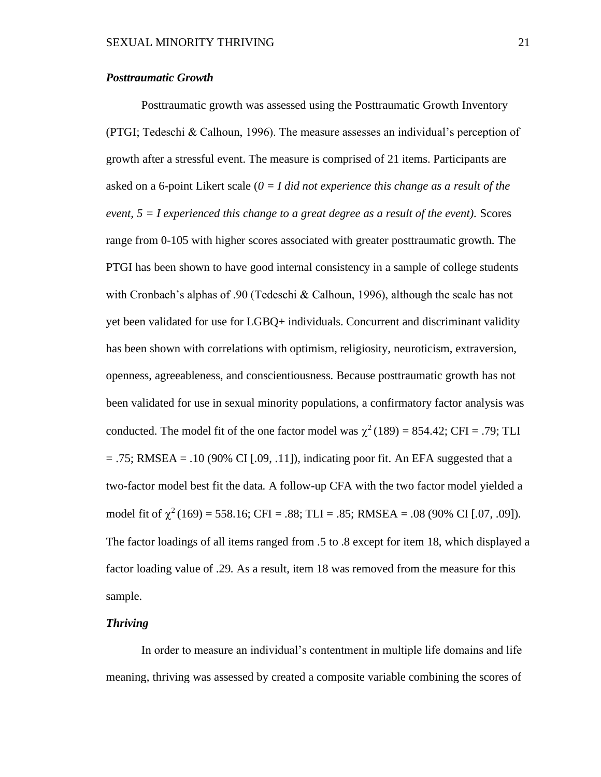#### *Posttraumatic Growth*

Posttraumatic growth was assessed using the Posttraumatic Growth Inventory (PTGI; Tedeschi & Calhoun, 1996). The measure assesses an individual's perception of growth after a stressful event. The measure is comprised of 21 items. Participants are asked on a 6-point Likert scale (*0 = I did not experience this change as a result of the event, 5 = I experienced this change to a great degree as a result of the event).* Scores range from 0-105 with higher scores associated with greater posttraumatic growth. The PTGI has been shown to have good internal consistency in a sample of college students with Cronbach's alphas of .90 (Tedeschi & Calhoun, 1996), although the scale has not yet been validated for use for LGBQ+ individuals. Concurrent and discriminant validity has been shown with correlations with optimism, religiosity, neuroticism, extraversion, openness, agreeableness, and conscientiousness. Because posttraumatic growth has not been validated for use in sexual minority populations, a confirmatory factor analysis was conducted. The model fit of the one factor model was  $\chi^2(189) = 854.42$ ; CFI = .79; TLI  $= .75$ ; RMSEA  $= .10$  (90% CI [.09, .11]), indicating poor fit. An EFA suggested that a two-factor model best fit the data. A follow-up CFA with the two factor model yielded a model fit of  $\chi^2(169) = 558.16$ ; CFI = .88; TLI = .85; RMSEA = .08 (90% CI [.07, .09]). The factor loadings of all items ranged from .5 to .8 except for item 18, which displayed a factor loading value of .29. As a result, item 18 was removed from the measure for this sample.

### *Thriving*

In order to measure an individual's contentment in multiple life domains and life meaning, thriving was assessed by created a composite variable combining the scores of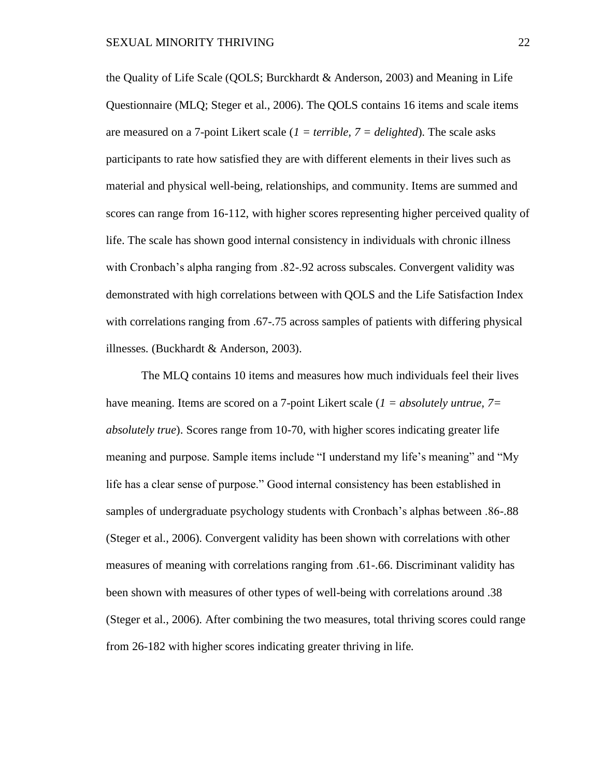the Quality of Life Scale (QOLS; Burckhardt & Anderson, 2003) and Meaning in Life Questionnaire (MLQ; Steger et al., 2006). The QOLS contains 16 items and scale items are measured on a 7-point Likert scale (*1 = terrible, 7 = delighted*). The scale asks participants to rate how satisfied they are with different elements in their lives such as material and physical well-being, relationships, and community. Items are summed and scores can range from 16-112, with higher scores representing higher perceived quality of life. The scale has shown good internal consistency in individuals with chronic illness with Cronbach's alpha ranging from .82-.92 across subscales. Convergent validity was demonstrated with high correlations between with QOLS and the Life Satisfaction Index with correlations ranging from .67-.75 across samples of patients with differing physical illnesses. (Buckhardt & Anderson, 2003).

The MLQ contains 10 items and measures how much individuals feel their lives have meaning. Items are scored on a 7-point Likert scale (*1 = absolutely untrue, 7= absolutely true*). Scores range from 10-70, with higher scores indicating greater life meaning and purpose. Sample items include "I understand my life's meaning" and "My life has a clear sense of purpose." Good internal consistency has been established in samples of undergraduate psychology students with Cronbach's alphas between .86-.88 (Steger et al., 2006). Convergent validity has been shown with correlations with other measures of meaning with correlations ranging from .61-.66. Discriminant validity has been shown with measures of other types of well-being with correlations around .38 (Steger et al., 2006). After combining the two measures, total thriving scores could range from 26-182 with higher scores indicating greater thriving in life.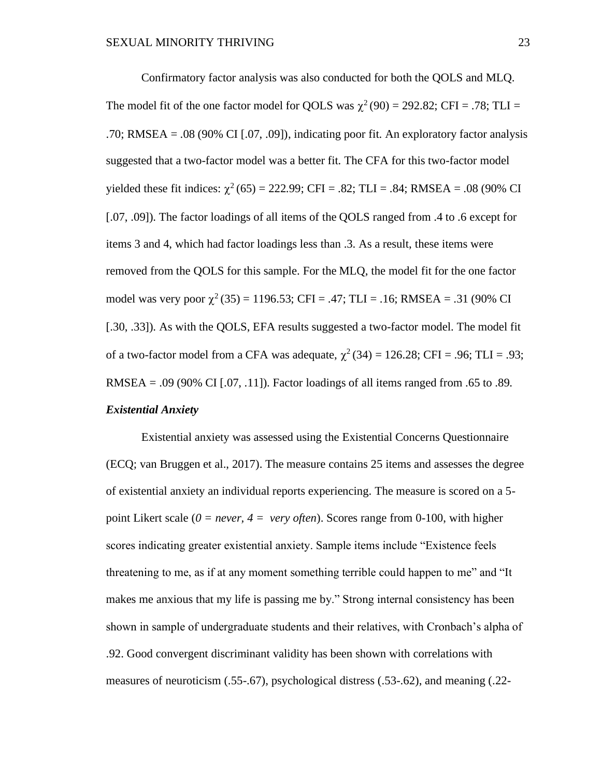Confirmatory factor analysis was also conducted for both the QOLS and MLQ. The model fit of the one factor model for QOLS was  $\chi^2(90) = 292.82$ ; CFI = .78; TLI = .70; RMSEA = .08 (90% CI [.07, .09]), indicating poor fit. An exploratory factor analysis suggested that a two-factor model was a better fit. The CFA for this two-factor model yielded these fit indices:  $\chi^2$  (65) = 222.99; CFI = .82; TLI = .84; RMSEA = .08 (90% CI [.07, .09]). The factor loadings of all items of the QOLS ranged from .4 to .6 except for items 3 and 4, which had factor loadings less than .3. As a result, these items were removed from the QOLS for this sample. For the MLQ, the model fit for the one factor model was very poor  $\chi^2(35) = 1196.53$ ; CFI = .47; TLI = .16; RMSEA = .31 (90% CI [.30, .33]). As with the QOLS, EFA results suggested a two-factor model. The model fit of a two-factor model from a CFA was adequate,  $\chi^2(34) = 126.28$ ; CFI = .96; TLI = .93; RMSEA = .09 (90% CI [.07, .11]). Factor loadings of all items ranged from .65 to .89. *Existential Anxiety*

Existential anxiety was assessed using the Existential Concerns Questionnaire (ECQ; van Bruggen et al., 2017). The measure contains 25 items and assesses the degree of existential anxiety an individual reports experiencing. The measure is scored on a 5 point Likert scale (*0 = never, 4 = very often*). Scores range from 0-100, with higher scores indicating greater existential anxiety. Sample items include "Existence feels threatening to me, as if at any moment something terrible could happen to me" and "It makes me anxious that my life is passing me by." Strong internal consistency has been shown in sample of undergraduate students and their relatives, with Cronbach's alpha of .92. Good convergent discriminant validity has been shown with correlations with measures of neuroticism (.55-.67), psychological distress (.53-.62), and meaning (.22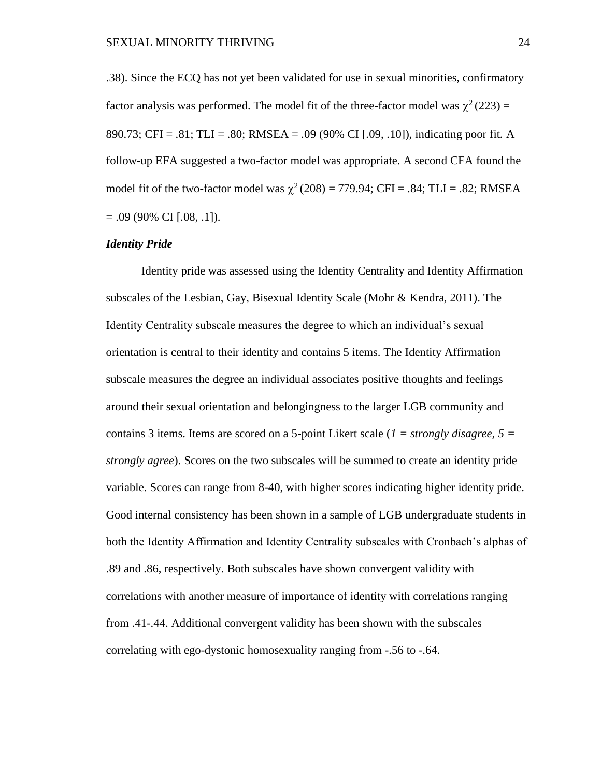.38). Since the ECQ has not yet been validated for use in sexual minorities, confirmatory factor analysis was performed. The model fit of the three-factor model was  $\chi^2(223)$  = 890.73; CFI = .81; TLI = .80; RMSEA = .09 (90% CI [.09, .10]), indicating poor fit. A follow-up EFA suggested a two-factor model was appropriate. A second CFA found the model fit of the two-factor model was  $\chi^2$  (208) = 779.94; CFI = .84; TLI = .82; RMSEA  $= .09$  (90% CI [.08, .1]).

#### *Identity Pride*

Identity pride was assessed using the Identity Centrality and Identity Affirmation subscales of the Lesbian, Gay, Bisexual Identity Scale (Mohr & Kendra, 2011). The Identity Centrality subscale measures the degree to which an individual's sexual orientation is central to their identity and contains 5 items. The Identity Affirmation subscale measures the degree an individual associates positive thoughts and feelings around their sexual orientation and belongingness to the larger LGB community and contains 3 items. Items are scored on a 5-point Likert scale (*1 = strongly disagree, 5 = strongly agree*). Scores on the two subscales will be summed to create an identity pride variable. Scores can range from 8-40, with higher scores indicating higher identity pride. Good internal consistency has been shown in a sample of LGB undergraduate students in both the Identity Affirmation and Identity Centrality subscales with Cronbach's alphas of .89 and .86, respectively. Both subscales have shown convergent validity with correlations with another measure of importance of identity with correlations ranging from .41-.44. Additional convergent validity has been shown with the subscales correlating with ego-dystonic homosexuality ranging from -.56 to -.64.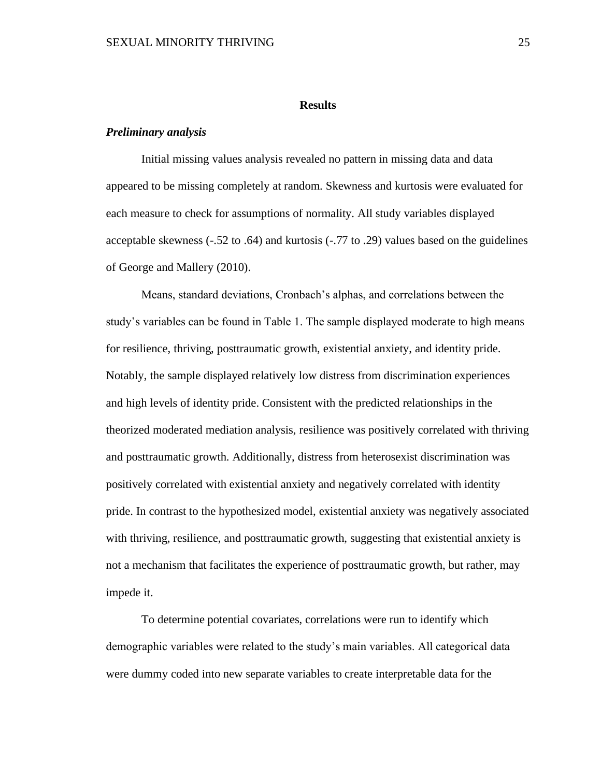#### **Results**

#### *Preliminary analysis*

Initial missing values analysis revealed no pattern in missing data and data appeared to be missing completely at random. Skewness and kurtosis were evaluated for each measure to check for assumptions of normality. All study variables displayed acceptable skewness (-.52 to .64) and kurtosis (-.77 to .29) values based on the guidelines of George and Mallery (2010).

Means, standard deviations, Cronbach's alphas, and correlations between the study's variables can be found in Table 1. The sample displayed moderate to high means for resilience, thriving, posttraumatic growth, existential anxiety, and identity pride. Notably, the sample displayed relatively low distress from discrimination experiences and high levels of identity pride. Consistent with the predicted relationships in the theorized moderated mediation analysis, resilience was positively correlated with thriving and posttraumatic growth. Additionally, distress from heterosexist discrimination was positively correlated with existential anxiety and negatively correlated with identity pride. In contrast to the hypothesized model, existential anxiety was negatively associated with thriving, resilience, and posttraumatic growth, suggesting that existential anxiety is not a mechanism that facilitates the experience of posttraumatic growth, but rather, may impede it.

To determine potential covariates, correlations were run to identify which demographic variables were related to the study's main variables. All categorical data were dummy coded into new separate variables to create interpretable data for the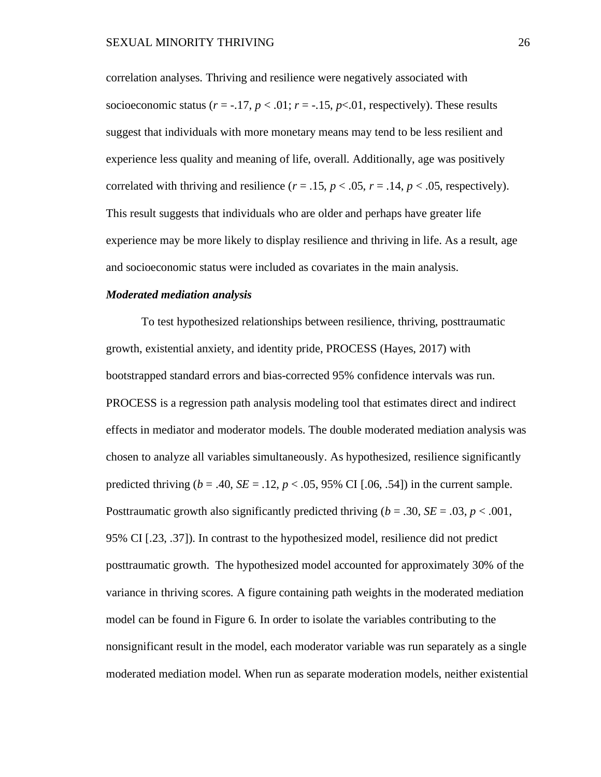correlation analyses. Thriving and resilience were negatively associated with socioeconomic status  $(r = -17, p < 0.01; r = -15, p < 0.01$ , respectively). These results suggest that individuals with more monetary means may tend to be less resilient and experience less quality and meaning of life, overall. Additionally, age was positively correlated with thriving and resilience  $(r = .15, p < .05, r = .14, p < .05$ , respectively). This result suggests that individuals who are older and perhaps have greater life experience may be more likely to display resilience and thriving in life. As a result, age and socioeconomic status were included as covariates in the main analysis.

#### *Moderated mediation analysis*

To test hypothesized relationships between resilience, thriving, posttraumatic growth, existential anxiety, and identity pride, PROCESS (Hayes, 2017) with bootstrapped standard errors and bias-corrected 95% confidence intervals was run. PROCESS is a regression path analysis modeling tool that estimates direct and indirect effects in mediator and moderator models. The double moderated mediation analysis was chosen to analyze all variables simultaneously. As hypothesized, resilience significantly predicted thriving  $(b = .40, SE = .12, p < .05, 95\% \text{ CI}$  [.06, .54]) in the current sample. Posttraumatic growth also significantly predicted thriving  $(b = .30, SE = .03, p < .001,$ 95% CI [.23, .37]). In contrast to the hypothesized model, resilience did not predict posttraumatic growth. The hypothesized model accounted for approximately 30% of the variance in thriving scores. A figure containing path weights in the moderated mediation model can be found in Figure 6. In order to isolate the variables contributing to the nonsignificant result in the model, each moderator variable was run separately as a single moderated mediation model. When run as separate moderation models, neither existential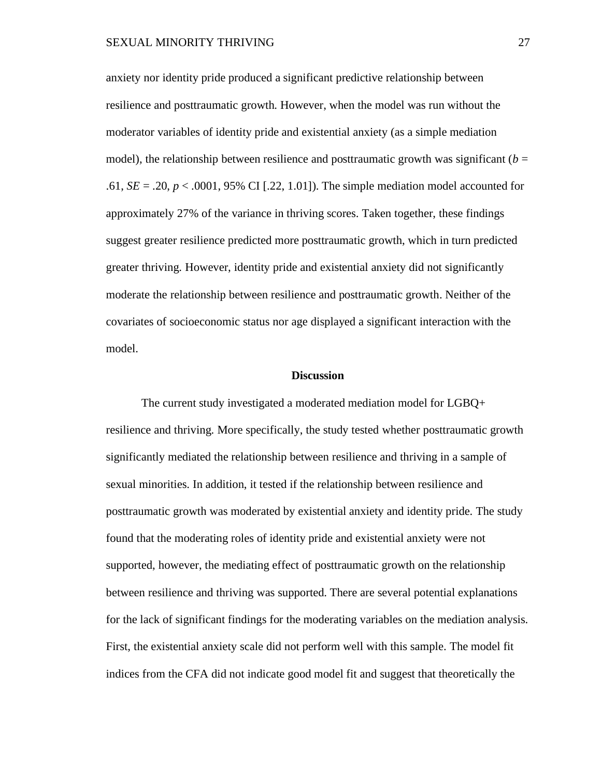anxiety nor identity pride produced a significant predictive relationship between resilience and posttraumatic growth. However, when the model was run without the moderator variables of identity pride and existential anxiety (as a simple mediation model), the relationship between resilience and posttraumatic growth was significant ( $b =$ .61, *SE* = .20, *p* < .0001, 95% CI [.22, 1.01]). The simple mediation model accounted for approximately 27% of the variance in thriving scores. Taken together, these findings suggest greater resilience predicted more posttraumatic growth, which in turn predicted greater thriving. However, identity pride and existential anxiety did not significantly moderate the relationship between resilience and posttraumatic growth. Neither of the covariates of socioeconomic status nor age displayed a significant interaction with the model.

#### **Discussion**

The current study investigated a moderated mediation model for LGBQ+ resilience and thriving. More specifically, the study tested whether posttraumatic growth significantly mediated the relationship between resilience and thriving in a sample of sexual minorities. In addition, it tested if the relationship between resilience and posttraumatic growth was moderated by existential anxiety and identity pride. The study found that the moderating roles of identity pride and existential anxiety were not supported, however, the mediating effect of posttraumatic growth on the relationship between resilience and thriving was supported. There are several potential explanations for the lack of significant findings for the moderating variables on the mediation analysis. First, the existential anxiety scale did not perform well with this sample. The model fit indices from the CFA did not indicate good model fit and suggest that theoretically the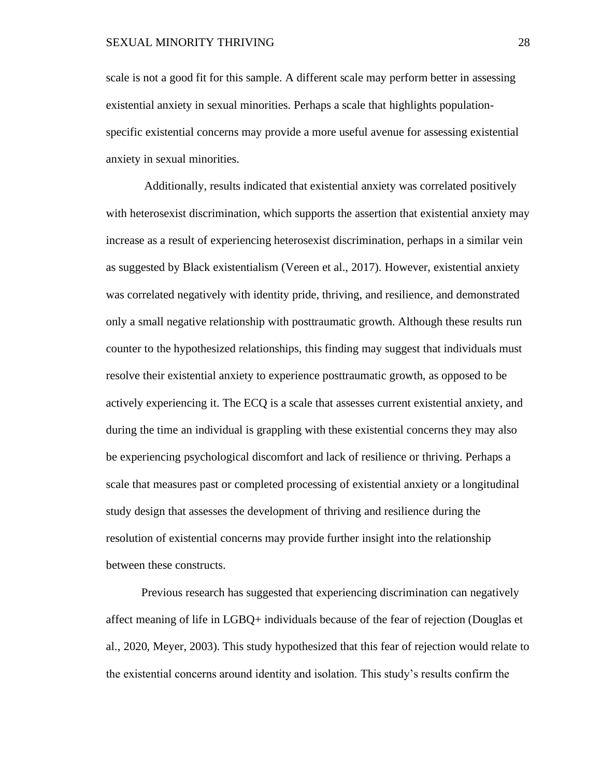scale is not a good fit for this sample. A different scale may perform better in assessing existential anxiety in sexual minorities. Perhaps a scale that highlights populationspecific existential concerns may provide a more useful avenue for assessing existential anxiety in sexual minorities.

Additionally, results indicated that existential anxiety was correlated positively with heterosexist discrimination, which supports the assertion that existential anxiety may increase as a result of experiencing heterosexist discrimination, perhaps in a similar vein as suggested by Black existentialism (Vereen et al., 2017). However, existential anxiety was correlated negatively with identity pride, thriving, and resilience, and demonstrated only a small negative relationship with posttraumatic growth. Although these results run counter to the hypothesized relationships, this finding may suggest that individuals must resolve their existential anxiety to experience posttraumatic growth, as opposed to be actively experiencing it. The ECQ is a scale that assesses current existential anxiety, and during the time an individual is grappling with these existential concerns they may also be experiencing psychological discomfort and lack of resilience or thriving. Perhaps a scale that measures past or completed processing of existential anxiety or a longitudinal study design that assesses the development of thriving and resilience during the resolution of existential concerns may provide further insight into the relationship between these constructs.

Previous research has suggested that experiencing discrimination can negatively affect meaning of life in LGBQ+ individuals because of the fear of rejection (Douglas et al., 2020, Meyer, 2003). This study hypothesized that this fear of rejection would relate to the existential concerns around identity and isolation. This study's results confirm the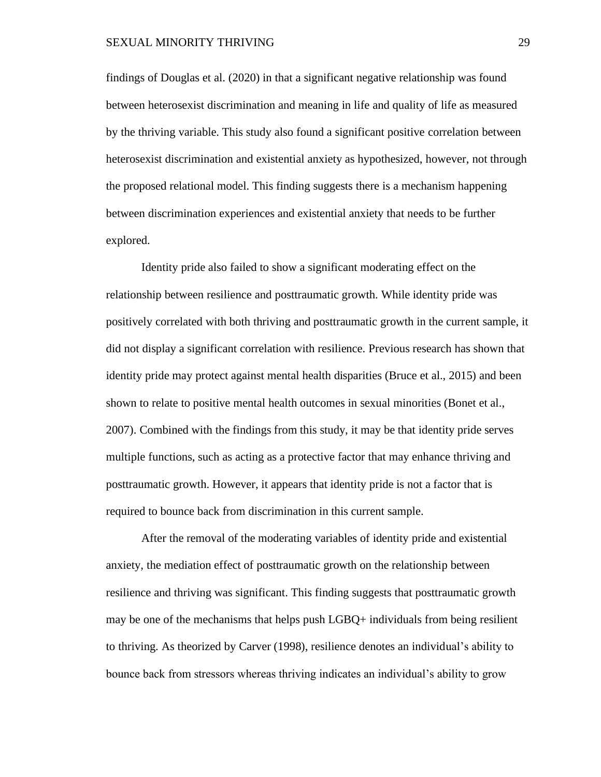#### SEXUAL MINORITY THRIVING 29

findings of Douglas et al. (2020) in that a significant negative relationship was found between heterosexist discrimination and meaning in life and quality of life as measured by the thriving variable. This study also found a significant positive correlation between heterosexist discrimination and existential anxiety as hypothesized, however, not through the proposed relational model. This finding suggests there is a mechanism happening between discrimination experiences and existential anxiety that needs to be further explored.

Identity pride also failed to show a significant moderating effect on the relationship between resilience and posttraumatic growth. While identity pride was positively correlated with both thriving and posttraumatic growth in the current sample, it did not display a significant correlation with resilience. Previous research has shown that identity pride may protect against mental health disparities (Bruce et al., 2015) and been shown to relate to positive mental health outcomes in sexual minorities (Bonet et al., 2007). Combined with the findings from this study, it may be that identity pride serves multiple functions, such as acting as a protective factor that may enhance thriving and posttraumatic growth. However, it appears that identity pride is not a factor that is required to bounce back from discrimination in this current sample.

After the removal of the moderating variables of identity pride and existential anxiety, the mediation effect of posttraumatic growth on the relationship between resilience and thriving was significant. This finding suggests that posttraumatic growth may be one of the mechanisms that helps push LGBQ+ individuals from being resilient to thriving. As theorized by Carver (1998), resilience denotes an individual's ability to bounce back from stressors whereas thriving indicates an individual's ability to grow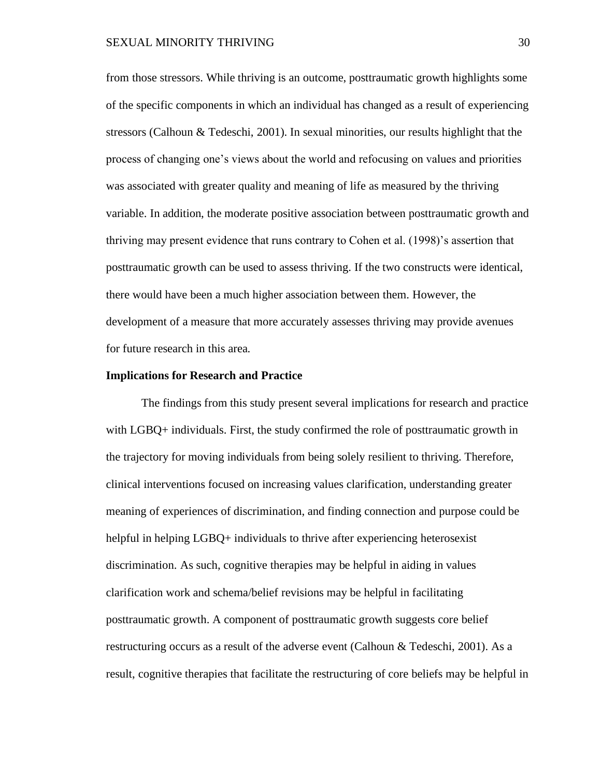from those stressors. While thriving is an outcome, posttraumatic growth highlights some of the specific components in which an individual has changed as a result of experiencing stressors (Calhoun & Tedeschi, 2001). In sexual minorities, our results highlight that the process of changing one's views about the world and refocusing on values and priorities was associated with greater quality and meaning of life as measured by the thriving variable. In addition, the moderate positive association between posttraumatic growth and thriving may present evidence that runs contrary to Cohen et al. (1998)'s assertion that posttraumatic growth can be used to assess thriving. If the two constructs were identical, there would have been a much higher association between them. However, the development of a measure that more accurately assesses thriving may provide avenues for future research in this area.

#### **Implications for Research and Practice**

The findings from this study present several implications for research and practice with LGBQ+ individuals. First, the study confirmed the role of posttraumatic growth in the trajectory for moving individuals from being solely resilient to thriving. Therefore, clinical interventions focused on increasing values clarification, understanding greater meaning of experiences of discrimination, and finding connection and purpose could be helpful in helping LGBQ+ individuals to thrive after experiencing heterosexist discrimination. As such, cognitive therapies may be helpful in aiding in values clarification work and schema/belief revisions may be helpful in facilitating posttraumatic growth. A component of posttraumatic growth suggests core belief restructuring occurs as a result of the adverse event (Calhoun & Tedeschi, 2001). As a result, cognitive therapies that facilitate the restructuring of core beliefs may be helpful in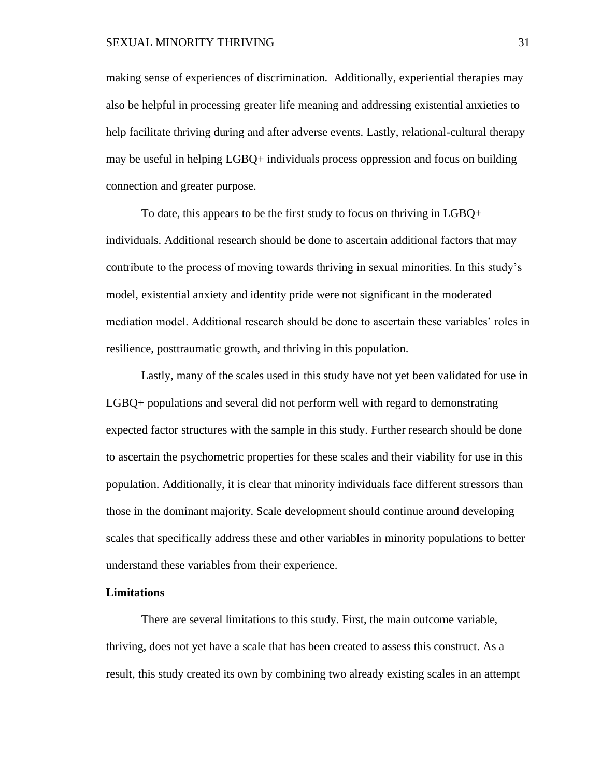making sense of experiences of discrimination. Additionally, experiential therapies may also be helpful in processing greater life meaning and addressing existential anxieties to help facilitate thriving during and after adverse events. Lastly, relational-cultural therapy may be useful in helping LGBQ+ individuals process oppression and focus on building connection and greater purpose.

To date, this appears to be the first study to focus on thriving in LGBQ+ individuals. Additional research should be done to ascertain additional factors that may contribute to the process of moving towards thriving in sexual minorities. In this study's model, existential anxiety and identity pride were not significant in the moderated mediation model. Additional research should be done to ascertain these variables' roles in resilience, posttraumatic growth, and thriving in this population.

Lastly, many of the scales used in this study have not yet been validated for use in LGBQ+ populations and several did not perform well with regard to demonstrating expected factor structures with the sample in this study. Further research should be done to ascertain the psychometric properties for these scales and their viability for use in this population. Additionally, it is clear that minority individuals face different stressors than those in the dominant majority. Scale development should continue around developing scales that specifically address these and other variables in minority populations to better understand these variables from their experience.

#### **Limitations**

There are several limitations to this study. First, the main outcome variable, thriving, does not yet have a scale that has been created to assess this construct. As a result, this study created its own by combining two already existing scales in an attempt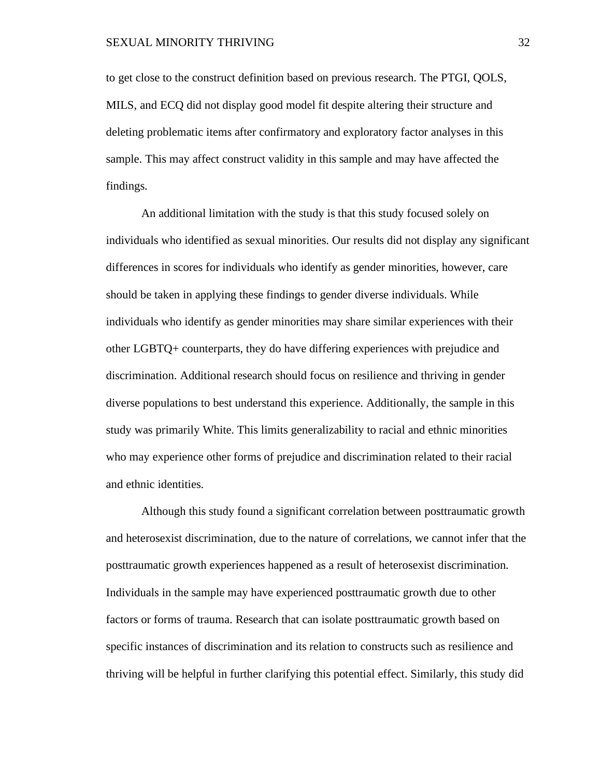to get close to the construct definition based on previous research. The PTGI, QOLS, MILS, and ECQ did not display good model fit despite altering their structure and deleting problematic items after confirmatory and exploratory factor analyses in this sample. This may affect construct validity in this sample and may have affected the findings.

An additional limitation with the study is that this study focused solely on individuals who identified as sexual minorities. Our results did not display any significant differences in scores for individuals who identify as gender minorities, however, care should be taken in applying these findings to gender diverse individuals. While individuals who identify as gender minorities may share similar experiences with their other LGBTQ+ counterparts, they do have differing experiences with prejudice and discrimination. Additional research should focus on resilience and thriving in gender diverse populations to best understand this experience. Additionally, the sample in this study was primarily White. This limits generalizability to racial and ethnic minorities who may experience other forms of prejudice and discrimination related to their racial and ethnic identities.

Although this study found a significant correlation between posttraumatic growth and heterosexist discrimination, due to the nature of correlations, we cannot infer that the posttraumatic growth experiences happened as a result of heterosexist discrimination. Individuals in the sample may have experienced posttraumatic growth due to other factors or forms of trauma. Research that can isolate posttraumatic growth based on specific instances of discrimination and its relation to constructs such as resilience and thriving will be helpful in further clarifying this potential effect. Similarly, this study did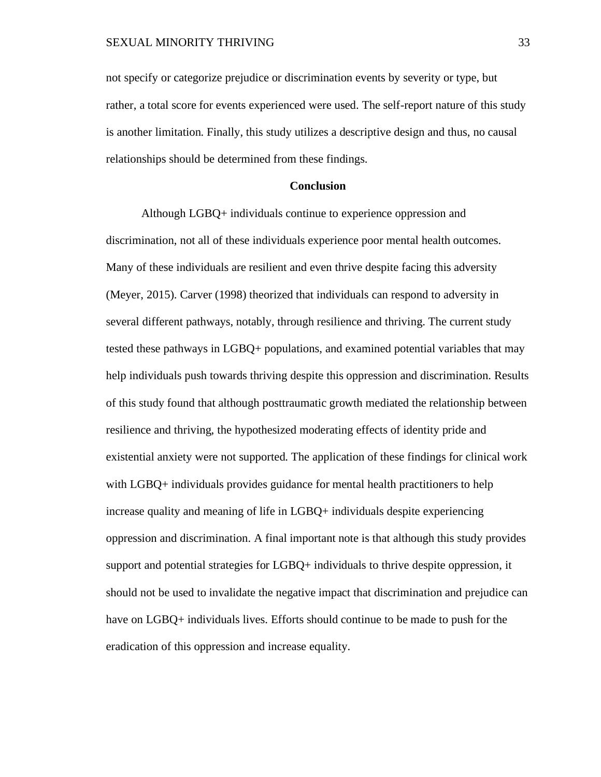not specify or categorize prejudice or discrimination events by severity or type, but rather, a total score for events experienced were used. The self-report nature of this study is another limitation. Finally, this study utilizes a descriptive design and thus, no causal relationships should be determined from these findings.

#### **Conclusion**

Although LGBQ+ individuals continue to experience oppression and discrimination, not all of these individuals experience poor mental health outcomes. Many of these individuals are resilient and even thrive despite facing this adversity (Meyer, 2015). Carver (1998) theorized that individuals can respond to adversity in several different pathways, notably, through resilience and thriving. The current study tested these pathways in LGBQ+ populations, and examined potential variables that may help individuals push towards thriving despite this oppression and discrimination. Results of this study found that although posttraumatic growth mediated the relationship between resilience and thriving, the hypothesized moderating effects of identity pride and existential anxiety were not supported. The application of these findings for clinical work with LGBQ+ individuals provides guidance for mental health practitioners to help increase quality and meaning of life in LGBQ+ individuals despite experiencing oppression and discrimination. A final important note is that although this study provides support and potential strategies for LGBQ+ individuals to thrive despite oppression, it should not be used to invalidate the negative impact that discrimination and prejudice can have on LGBQ+ individuals lives. Efforts should continue to be made to push for the eradication of this oppression and increase equality.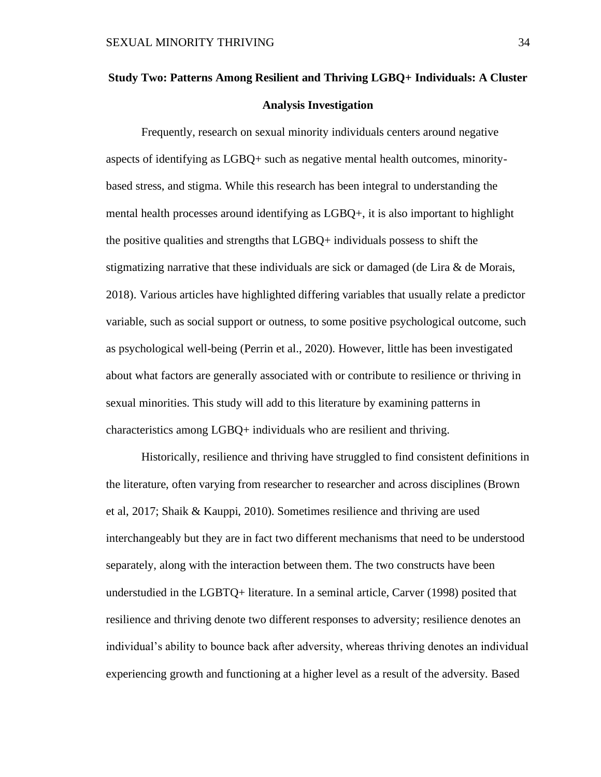# **Study Two: Patterns Among Resilient and Thriving LGBQ+ Individuals: A Cluster Analysis Investigation**

Frequently, research on sexual minority individuals centers around negative aspects of identifying as LGBQ+ such as negative mental health outcomes, minoritybased stress, and stigma. While this research has been integral to understanding the mental health processes around identifying as LGBQ+, it is also important to highlight the positive qualities and strengths that LGBQ+ individuals possess to shift the stigmatizing narrative that these individuals are sick or damaged (de Lira  $\&$  de Morais, 2018). Various articles have highlighted differing variables that usually relate a predictor variable, such as social support or outness, to some positive psychological outcome, such as psychological well-being (Perrin et al., 2020). However, little has been investigated about what factors are generally associated with or contribute to resilience or thriving in sexual minorities. This study will add to this literature by examining patterns in characteristics among LGBQ+ individuals who are resilient and thriving.

Historically, resilience and thriving have struggled to find consistent definitions in the literature, often varying from researcher to researcher and across disciplines (Brown et al, 2017; Shaik & Kauppi, 2010). Sometimes resilience and thriving are used interchangeably but they are in fact two different mechanisms that need to be understood separately, along with the interaction between them. The two constructs have been understudied in the LGBTQ+ literature. In a seminal article, Carver (1998) posited that resilience and thriving denote two different responses to adversity; resilience denotes an individual's ability to bounce back after adversity, whereas thriving denotes an individual experiencing growth and functioning at a higher level as a result of the adversity. Based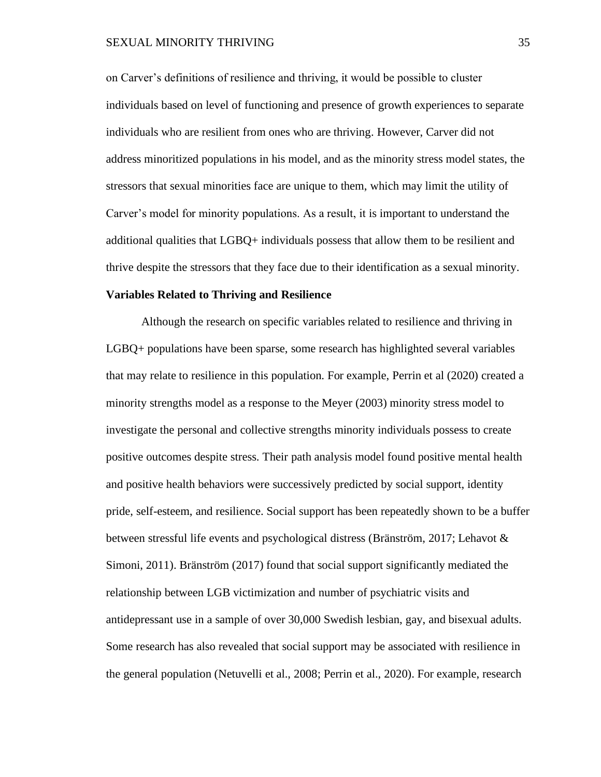on Carver's definitions of resilience and thriving, it would be possible to cluster individuals based on level of functioning and presence of growth experiences to separate individuals who are resilient from ones who are thriving. However, Carver did not address minoritized populations in his model, and as the minority stress model states, the stressors that sexual minorities face are unique to them, which may limit the utility of Carver's model for minority populations. As a result, it is important to understand the additional qualities that LGBQ+ individuals possess that allow them to be resilient and thrive despite the stressors that they face due to their identification as a sexual minority.

#### **Variables Related to Thriving and Resilience**

Although the research on specific variables related to resilience and thriving in LGBQ+ populations have been sparse, some research has highlighted several variables that may relate to resilience in this population. For example, Perrin et al (2020) created a minority strengths model as a response to the Meyer (2003) minority stress model to investigate the personal and collective strengths minority individuals possess to create positive outcomes despite stress. Their path analysis model found positive mental health and positive health behaviors were successively predicted by social support, identity pride, self-esteem, and resilience. Social support has been repeatedly shown to be a buffer between stressful life events and psychological distress (Bränström, 2017; Lehavot & Simoni, 2011). Bränström (2017) found that social support significantly mediated the relationship between LGB victimization and number of psychiatric visits and antidepressant use in a sample of over 30,000 Swedish lesbian, gay, and bisexual adults. Some research has also revealed that social support may be associated with resilience in the general population (Netuvelli et al., 2008; Perrin et al., 2020). For example, research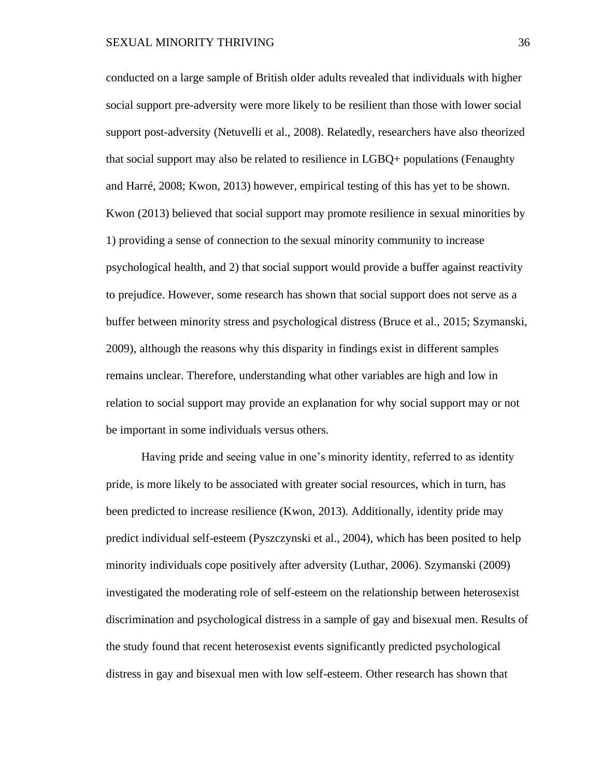conducted on a large sample of British older adults revealed that individuals with higher social support pre-adversity were more likely to be resilient than those with lower social support post-adversity (Netuvelli et al., 2008). Relatedly, researchers have also theorized that social support may also be related to resilience in LGBQ+ populations (Fenaughty and Harré, 2008; Kwon, 2013) however, empirical testing of this has yet to be shown. Kwon (2013) believed that social support may promote resilience in sexual minorities by 1) providing a sense of connection to the sexual minority community to increase psychological health, and 2) that social support would provide a buffer against reactivity to prejudice. However, some research has shown that social support does not serve as a buffer between minority stress and psychological distress (Bruce et al., 2015; Szymanski, 2009), although the reasons why this disparity in findings exist in different samples remains unclear. Therefore, understanding what other variables are high and low in relation to social support may provide an explanation for why social support may or not be important in some individuals versus others.

Having pride and seeing value in one's minority identity, referred to as identity pride, is more likely to be associated with greater social resources, which in turn, has been predicted to increase resilience (Kwon, 2013). Additionally, identity pride may predict individual self-esteem (Pyszczynski et al., 2004), which has been posited to help minority individuals cope positively after adversity (Luthar, 2006). Szymanski (2009) investigated the moderating role of self-esteem on the relationship between heterosexist discrimination and psychological distress in a sample of gay and bisexual men. Results of the study found that recent heterosexist events significantly predicted psychological distress in gay and bisexual men with low self-esteem. Other research has shown that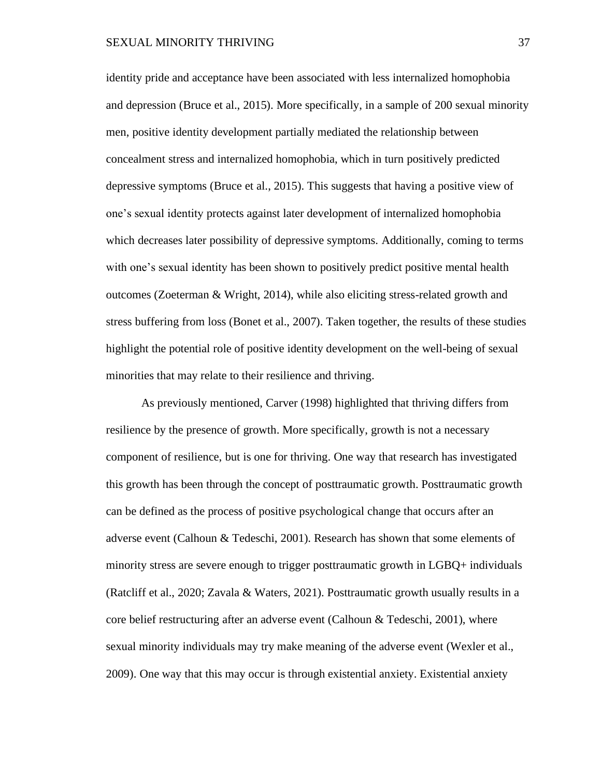identity pride and acceptance have been associated with less internalized homophobia and depression (Bruce et al., 2015). More specifically, in a sample of 200 sexual minority men, positive identity development partially mediated the relationship between concealment stress and internalized homophobia, which in turn positively predicted depressive symptoms (Bruce et al., 2015). This suggests that having a positive view of one's sexual identity protects against later development of internalized homophobia which decreases later possibility of depressive symptoms. Additionally, coming to terms with one's sexual identity has been shown to positively predict positive mental health outcomes (Zoeterman & Wright, 2014), while also eliciting stress-related growth and stress buffering from loss (Bonet et al., 2007). Taken together, the results of these studies highlight the potential role of positive identity development on the well-being of sexual minorities that may relate to their resilience and thriving.

As previously mentioned, Carver (1998) highlighted that thriving differs from resilience by the presence of growth. More specifically, growth is not a necessary component of resilience, but is one for thriving. One way that research has investigated this growth has been through the concept of posttraumatic growth. Posttraumatic growth can be defined as the process of positive psychological change that occurs after an adverse event (Calhoun & Tedeschi, 2001). Research has shown that some elements of minority stress are severe enough to trigger posttraumatic growth in LGBQ+ individuals (Ratcliff et al., 2020; Zavala & Waters, 2021). Posttraumatic growth usually results in a core belief restructuring after an adverse event (Calhoun & Tedeschi, 2001), where sexual minority individuals may try make meaning of the adverse event (Wexler et al., 2009). One way that this may occur is through existential anxiety. Existential anxiety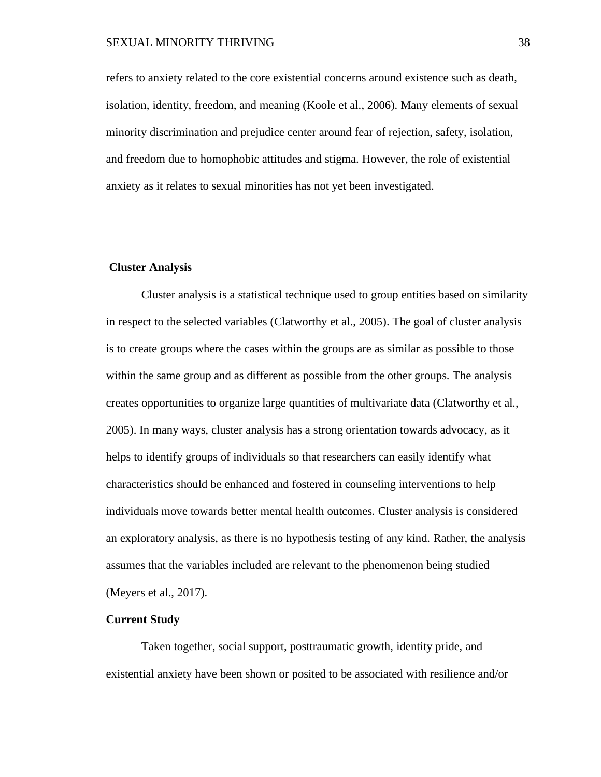### SEXUAL MINORITY THRIVING 38

refers to anxiety related to the core existential concerns around existence such as death, isolation, identity, freedom, and meaning (Koole et al., 2006). Many elements of sexual minority discrimination and prejudice center around fear of rejection, safety, isolation, and freedom due to homophobic attitudes and stigma. However, the role of existential anxiety as it relates to sexual minorities has not yet been investigated.

#### **Cluster Analysis**

Cluster analysis is a statistical technique used to group entities based on similarity in respect to the selected variables (Clatworthy et al., 2005). The goal of cluster analysis is to create groups where the cases within the groups are as similar as possible to those within the same group and as different as possible from the other groups. The analysis creates opportunities to organize large quantities of multivariate data (Clatworthy et al., 2005). In many ways, cluster analysis has a strong orientation towards advocacy, as it helps to identify groups of individuals so that researchers can easily identify what characteristics should be enhanced and fostered in counseling interventions to help individuals move towards better mental health outcomes. Cluster analysis is considered an exploratory analysis, as there is no hypothesis testing of any kind. Rather, the analysis assumes that the variables included are relevant to the phenomenon being studied (Meyers et al., 2017).

### **Current Study**

Taken together, social support, posttraumatic growth, identity pride, and existential anxiety have been shown or posited to be associated with resilience and/or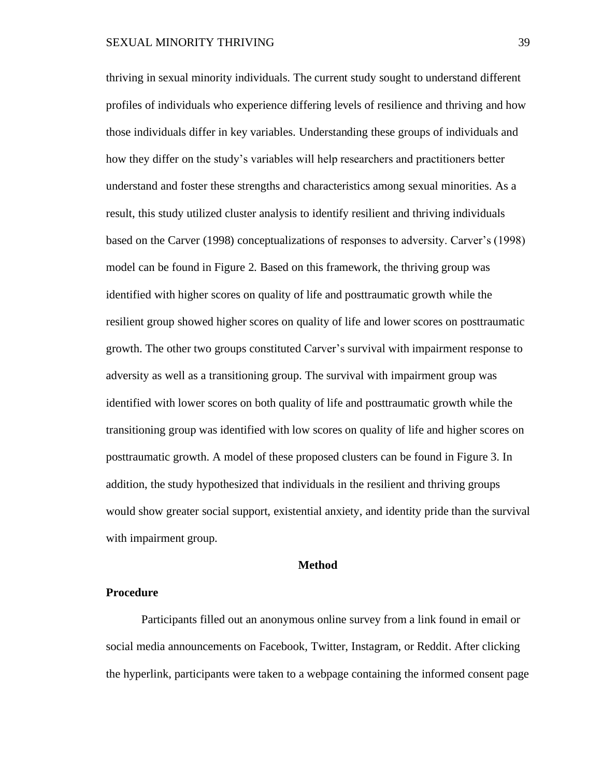thriving in sexual minority individuals. The current study sought to understand different profiles of individuals who experience differing levels of resilience and thriving and how those individuals differ in key variables. Understanding these groups of individuals and how they differ on the study's variables will help researchers and practitioners better understand and foster these strengths and characteristics among sexual minorities. As a result, this study utilized cluster analysis to identify resilient and thriving individuals based on the Carver (1998) conceptualizations of responses to adversity. Carver's (1998) model can be found in Figure 2. Based on this framework, the thriving group was identified with higher scores on quality of life and posttraumatic growth while the resilient group showed higher scores on quality of life and lower scores on posttraumatic growth. The other two groups constituted Carver's survival with impairment response to adversity as well as a transitioning group. The survival with impairment group was identified with lower scores on both quality of life and posttraumatic growth while the transitioning group was identified with low scores on quality of life and higher scores on posttraumatic growth. A model of these proposed clusters can be found in Figure 3. In addition, the study hypothesized that individuals in the resilient and thriving groups would show greater social support, existential anxiety, and identity pride than the survival with impairment group.

#### **Method**

#### **Procedure**

Participants filled out an anonymous online survey from a link found in email or social media announcements on Facebook, Twitter, Instagram, or Reddit. After clicking the hyperlink, participants were taken to a webpage containing the informed consent page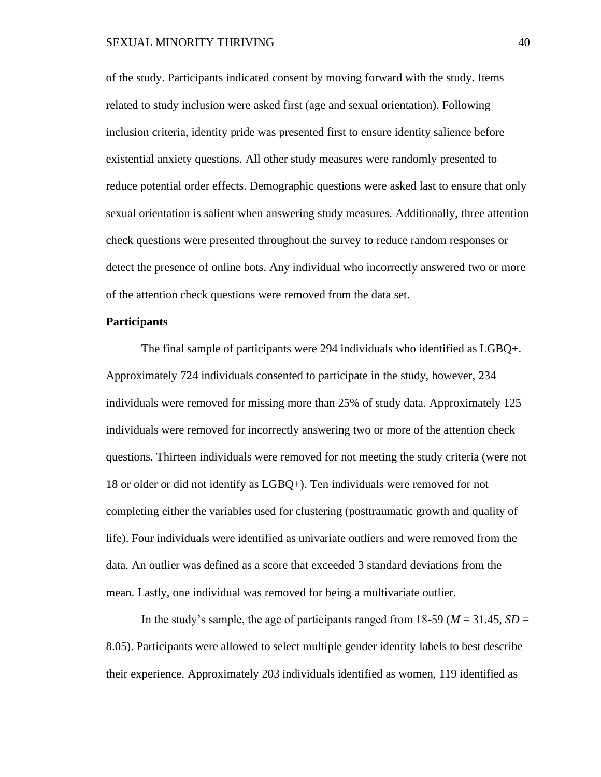of the study. Participants indicated consent by moving forward with the study. Items related to study inclusion were asked first (age and sexual orientation). Following inclusion criteria, identity pride was presented first to ensure identity salience before existential anxiety questions. All other study measures were randomly presented to reduce potential order effects. Demographic questions were asked last to ensure that only sexual orientation is salient when answering study measures. Additionally, three attention check questions were presented throughout the survey to reduce random responses or detect the presence of online bots. Any individual who incorrectly answered two or more of the attention check questions were removed from the data set.

# **Participants**

The final sample of participants were 294 individuals who identified as LGBQ+. Approximately 724 individuals consented to participate in the study, however, 234 individuals were removed for missing more than 25% of study data. Approximately 125 individuals were removed for incorrectly answering two or more of the attention check questions. Thirteen individuals were removed for not meeting the study criteria (were not 18 or older or did not identify as LGBQ+). Ten individuals were removed for not completing either the variables used for clustering (posttraumatic growth and quality of life). Four individuals were identified as univariate outliers and were removed from the data. An outlier was defined as a score that exceeded 3 standard deviations from the mean. Lastly, one individual was removed for being a multivariate outlier.

In the study's sample, the age of participants ranged from  $18-59$  ( $M = 31.45$ ,  $SD =$ 8.05). Participants were allowed to select multiple gender identity labels to best describe their experience. Approximately 203 individuals identified as women, 119 identified as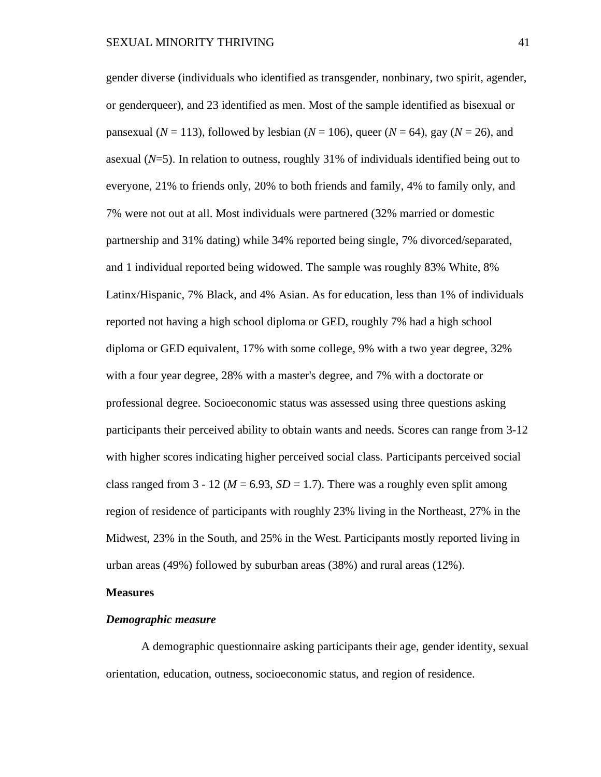gender diverse (individuals who identified as transgender, nonbinary, two spirit, agender, or genderqueer), and 23 identified as men. Most of the sample identified as bisexual or pansexual  $(N = 113)$ , followed by lesbian  $(N = 106)$ , queer  $(N = 64)$ , gay  $(N = 26)$ , and asexual (*N*=5). In relation to outness, roughly 31% of individuals identified being out to everyone, 21% to friends only, 20% to both friends and family, 4% to family only, and 7% were not out at all. Most individuals were partnered (32% married or domestic partnership and 31% dating) while 34% reported being single, 7% divorced/separated, and 1 individual reported being widowed. The sample was roughly 83% White, 8% Latinx/Hispanic, 7% Black, and 4% Asian. As for education, less than 1% of individuals reported not having a high school diploma or GED, roughly 7% had a high school diploma or GED equivalent, 17% with some college, 9% with a two year degree, 32% with a four year degree, 28% with a master's degree, and 7% with a doctorate or professional degree. Socioeconomic status was assessed using three questions asking participants their perceived ability to obtain wants and needs. Scores can range from 3-12 with higher scores indicating higher perceived social class. Participants perceived social class ranged from  $3 - 12$  ( $M = 6.93$ ,  $SD = 1.7$ ). There was a roughly even split among region of residence of participants with roughly 23% living in the Northeast, 27% in the Midwest, 23% in the South, and 25% in the West. Participants mostly reported living in urban areas (49%) followed by suburban areas (38%) and rural areas (12%).

### **Measures**

#### *Demographic measure*

A demographic questionnaire asking participants their age, gender identity, sexual orientation, education, outness, socioeconomic status, and region of residence.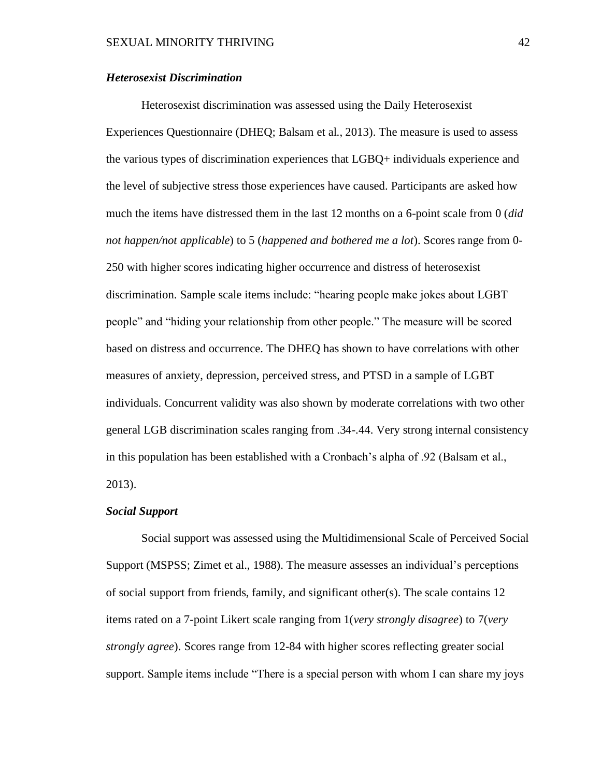### *Heterosexist Discrimination*

Heterosexist discrimination was assessed using the Daily Heterosexist Experiences Questionnaire (DHEQ; Balsam et al., 2013). The measure is used to assess the various types of discrimination experiences that LGBQ+ individuals experience and the level of subjective stress those experiences have caused. Participants are asked how much the items have distressed them in the last 12 months on a 6-point scale from 0 (*did not happen/not applicable*) to 5 (*happened and bothered me a lot*). Scores range from 0- 250 with higher scores indicating higher occurrence and distress of heterosexist discrimination. Sample scale items include: "hearing people make jokes about LGBT people" and "hiding your relationship from other people." The measure will be scored based on distress and occurrence. The DHEQ has shown to have correlations with other measures of anxiety, depression, perceived stress, and PTSD in a sample of LGBT individuals. Concurrent validity was also shown by moderate correlations with two other general LGB discrimination scales ranging from .34-.44. Very strong internal consistency in this population has been established with a Cronbach's alpha of .92 (Balsam et al., 2013).

#### *Social Support*

Social support was assessed using the Multidimensional Scale of Perceived Social Support (MSPSS; Zimet et al., 1988). The measure assesses an individual's perceptions of social support from friends, family, and significant other(s). The scale contains 12 items rated on a 7-point Likert scale ranging from 1(*very strongly disagree*) to 7(*very strongly agree*). Scores range from 12-84 with higher scores reflecting greater social support. Sample items include "There is a special person with whom I can share my joys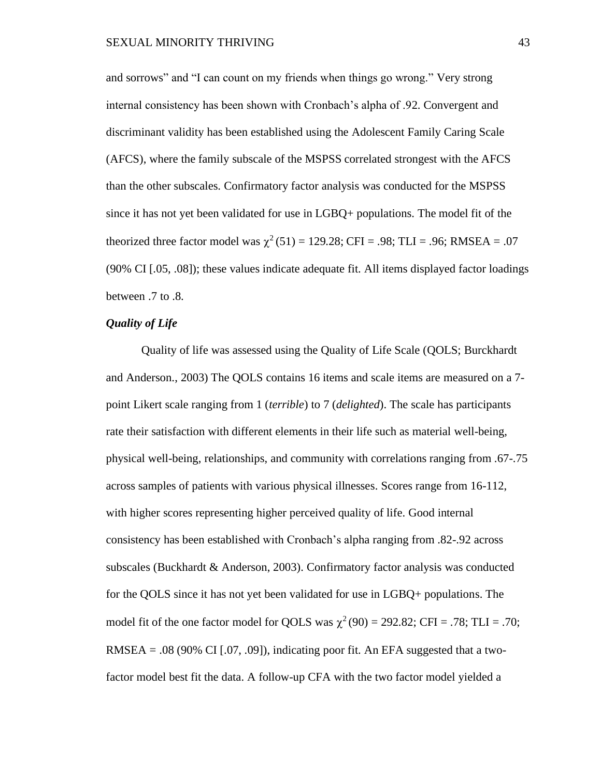and sorrows" and "I can count on my friends when things go wrong." Very strong internal consistency has been shown with Cronbach's alpha of .92. Convergent and discriminant validity has been established using the Adolescent Family Caring Scale (AFCS), where the family subscale of the MSPSS correlated strongest with the AFCS than the other subscales. Confirmatory factor analysis was conducted for the MSPSS since it has not yet been validated for use in LGBQ+ populations. The model fit of the theorized three factor model was  $\chi^2(51) = 129.28$ ; CFI = .98; TLI = .96; RMSEA = .07 (90% CI [.05, .08]); these values indicate adequate fit. All items displayed factor loadings between .7 to .8.

# *Quality of Life*

Quality of life was assessed using the Quality of Life Scale (QOLS; Burckhardt and Anderson., 2003) The QOLS contains 16 items and scale items are measured on a 7 point Likert scale ranging from 1 (*terrible*) to 7 (*delighted*). The scale has participants rate their satisfaction with different elements in their life such as material well-being, physical well-being, relationships, and community with correlations ranging from .67-.75 across samples of patients with various physical illnesses. Scores range from 16-112, with higher scores representing higher perceived quality of life. Good internal consistency has been established with Cronbach's alpha ranging from .82-.92 across subscales (Buckhardt & Anderson, 2003). Confirmatory factor analysis was conducted for the QOLS since it has not yet been validated for use in LGBQ+ populations. The model fit of the one factor model for QOLS was  $\chi^2(90) = 292.82$ ; CFI = .78; TLI = .70; RMSEA =  $.08$  (90% CI [ $.07, .09$ ]), indicating poor fit. An EFA suggested that a twofactor model best fit the data. A follow-up CFA with the two factor model yielded a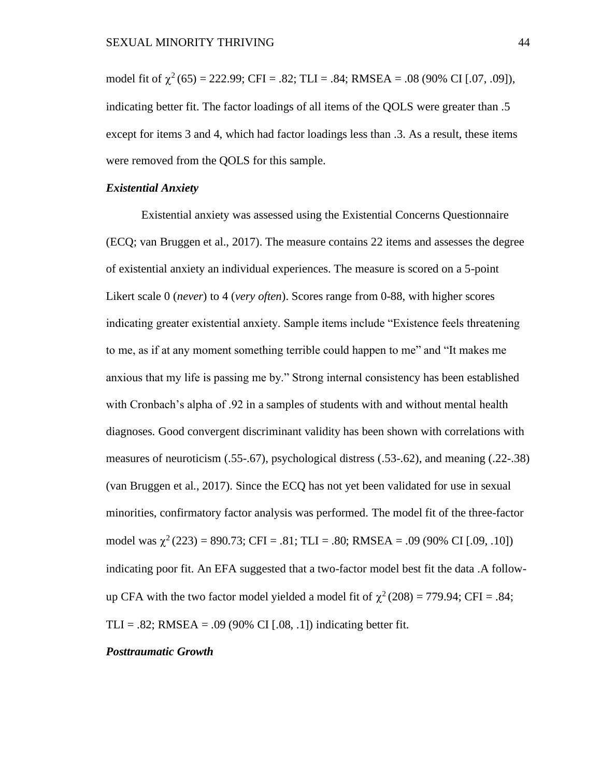model fit of  $\chi^2$  (65) = 222.99; CFI = .82; TLI = .84; RMSEA = .08 (90% CI [.07, .09]), indicating better fit. The factor loadings of all items of the QOLS were greater than .5 except for items 3 and 4, which had factor loadings less than .3. As a result, these items were removed from the QOLS for this sample.

# *Existential Anxiety*

Existential anxiety was assessed using the Existential Concerns Questionnaire (ECQ; van Bruggen et al., 2017). The measure contains 22 items and assesses the degree of existential anxiety an individual experiences. The measure is scored on a 5-point Likert scale 0 (*never*) to 4 (*very often*). Scores range from 0-88, with higher scores indicating greater existential anxiety. Sample items include "Existence feels threatening to me, as if at any moment something terrible could happen to me" and "It makes me anxious that my life is passing me by." Strong internal consistency has been established with Cronbach's alpha of .92 in a samples of students with and without mental health diagnoses. Good convergent discriminant validity has been shown with correlations with measures of neuroticism (.55-.67), psychological distress (.53-.62), and meaning (.22-.38) (van Bruggen et al., 2017). Since the ECQ has not yet been validated for use in sexual minorities, confirmatory factor analysis was performed. The model fit of the three-factor model was  $\chi^2(223) = 890.73$ ; CFI = .81; TLI = .80; RMSEA = .09 (90% CI [.09, .10]) indicating poor fit. An EFA suggested that a two-factor model best fit the data .A followup CFA with the two factor model yielded a model fit of  $\chi^2(208) = 779.94$ ; CFI = .84; TLI = .82; RMSEA = .09 (90% CI [.08, .1]) indicating better fit.

#### *Posttraumatic Growth*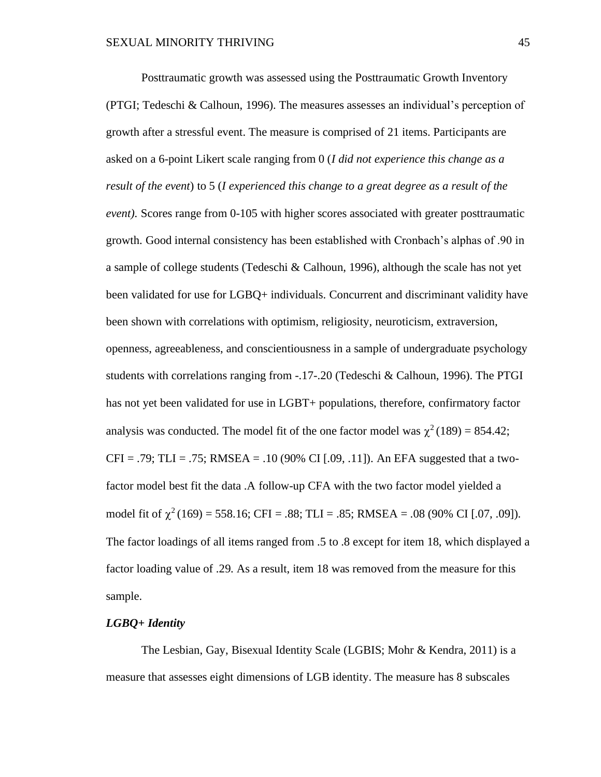Posttraumatic growth was assessed using the Posttraumatic Growth Inventory (PTGI; Tedeschi & Calhoun, 1996). The measures assesses an individual's perception of growth after a stressful event. The measure is comprised of 21 items. Participants are asked on a 6-point Likert scale ranging from 0 (*I did not experience this change as a result of the event*) to 5 (*I experienced this change to a great degree as a result of the event).* Scores range from 0-105 with higher scores associated with greater posttraumatic growth. Good internal consistency has been established with Cronbach's alphas of .90 in a sample of college students (Tedeschi & Calhoun, 1996), although the scale has not yet been validated for use for LGBQ+ individuals. Concurrent and discriminant validity have been shown with correlations with optimism, religiosity, neuroticism, extraversion, openness, agreeableness, and conscientiousness in a sample of undergraduate psychology students with correlations ranging from -.17-.20 (Tedeschi & Calhoun, 1996). The PTGI has not yet been validated for use in LGBT+ populations, therefore, confirmatory factor analysis was conducted. The model fit of the one factor model was  $\chi^2(189) = 854.42$ ;  $CFI = .79$ ; TLI = .75; RMSEA = .10 (90% CI [.09, .11]). An EFA suggested that a twofactor model best fit the data .A follow-up CFA with the two factor model yielded a model fit of  $\chi^2(169) = 558.16$ ; CFI = .88; TLI = .85; RMSEA = .08 (90% CI [.07, .09]). The factor loadings of all items ranged from .5 to .8 except for item 18, which displayed a factor loading value of .29. As a result, item 18 was removed from the measure for this sample.

# *LGBQ+ Identity*

The Lesbian, Gay, Bisexual Identity Scale (LGBIS; Mohr & Kendra, 2011) is a measure that assesses eight dimensions of LGB identity. The measure has 8 subscales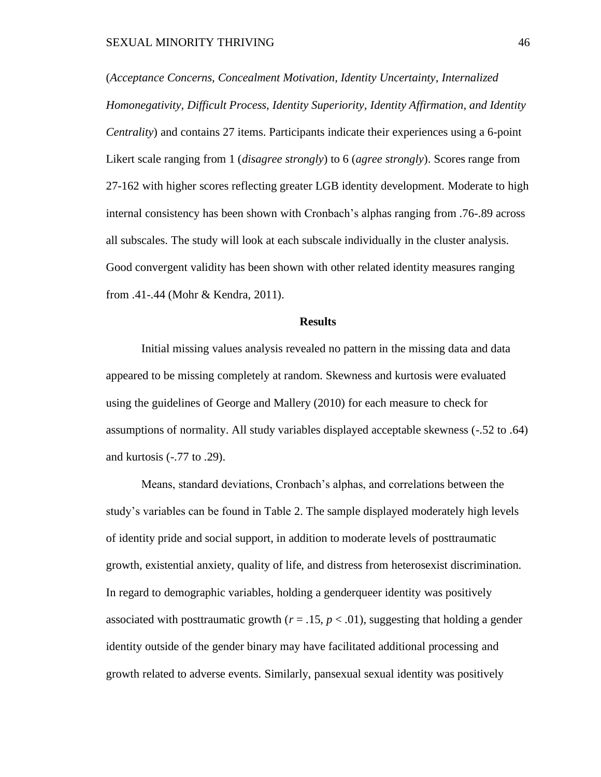(*Acceptance Concerns, Concealment Motivation, Identity Uncertainty, Internalized Homonegativity, Difficult Process, Identity Superiority, Identity Affirmation, and Identity Centrality*) and contains 27 items. Participants indicate their experiences using a 6-point Likert scale ranging from 1 (*disagree strongly*) to 6 (*agree strongly*). Scores range from 27-162 with higher scores reflecting greater LGB identity development. Moderate to high internal consistency has been shown with Cronbach's alphas ranging from .76-.89 across all subscales. The study will look at each subscale individually in the cluster analysis. Good convergent validity has been shown with other related identity measures ranging from .41-.44 (Mohr & Kendra, 2011).

#### **Results**

Initial missing values analysis revealed no pattern in the missing data and data appeared to be missing completely at random. Skewness and kurtosis were evaluated using the guidelines of George and Mallery (2010) for each measure to check for assumptions of normality. All study variables displayed acceptable skewness (-.52 to .64) and kurtosis (-.77 to .29).

Means, standard deviations, Cronbach's alphas, and correlations between the study's variables can be found in Table 2. The sample displayed moderately high levels of identity pride and social support, in addition to moderate levels of posttraumatic growth, existential anxiety, quality of life, and distress from heterosexist discrimination. In regard to demographic variables, holding a genderqueer identity was positively associated with posttraumatic growth  $(r = .15, p < .01)$ , suggesting that holding a gender identity outside of the gender binary may have facilitated additional processing and growth related to adverse events. Similarly, pansexual sexual identity was positively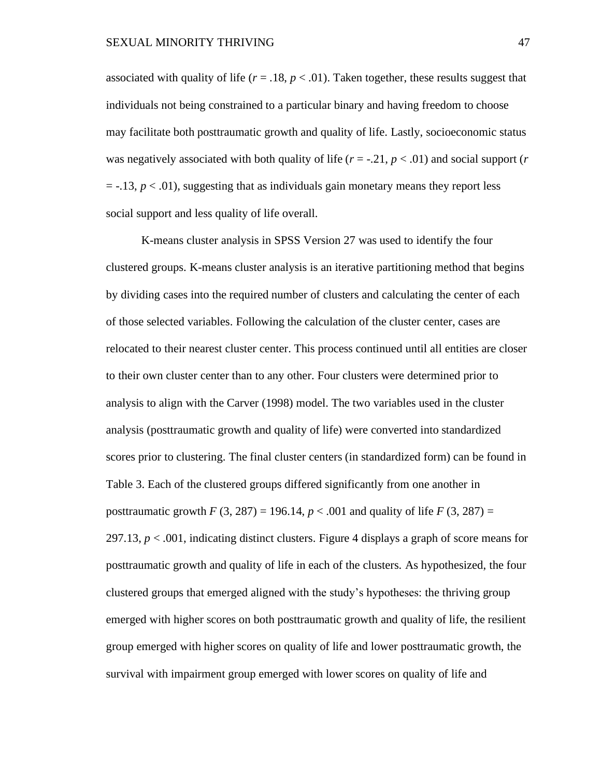associated with quality of life ( $r = .18$ ,  $p < .01$ ). Taken together, these results suggest that individuals not being constrained to a particular binary and having freedom to choose may facilitate both posttraumatic growth and quality of life. Lastly, socioeconomic status was negatively associated with both quality of life  $(r = -0.21, p < 0.01)$  and social support  $(r = -0.21, p < 0.01)$  $=$  -.13,  $p < .01$ ), suggesting that as individuals gain monetary means they report less social support and less quality of life overall.

K-means cluster analysis in SPSS Version 27 was used to identify the four clustered groups. K-means cluster analysis is an iterative partitioning method that begins by dividing cases into the required number of clusters and calculating the center of each of those selected variables. Following the calculation of the cluster center, cases are relocated to their nearest cluster center. This process continued until all entities are closer to their own cluster center than to any other. Four clusters were determined prior to analysis to align with the Carver (1998) model. The two variables used in the cluster analysis (posttraumatic growth and quality of life) were converted into standardized scores prior to clustering. The final cluster centers (in standardized form) can be found in Table 3. Each of the clustered groups differed significantly from one another in posttraumatic growth *F* (3, 287) = 196.14,  $p < .001$  and quality of life *F* (3, 287) = 297.13,  $p < .001$ , indicating distinct clusters. Figure 4 displays a graph of score means for posttraumatic growth and quality of life in each of the clusters. As hypothesized, the four clustered groups that emerged aligned with the study's hypotheses: the thriving group emerged with higher scores on both posttraumatic growth and quality of life, the resilient group emerged with higher scores on quality of life and lower posttraumatic growth, the survival with impairment group emerged with lower scores on quality of life and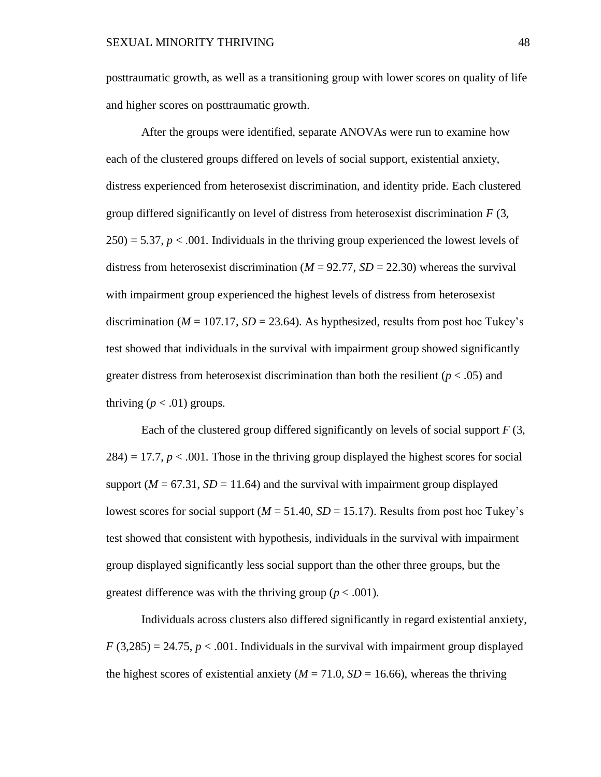posttraumatic growth, as well as a transitioning group with lower scores on quality of life and higher scores on posttraumatic growth.

After the groups were identified, separate ANOVAs were run to examine how each of the clustered groups differed on levels of social support, existential anxiety, distress experienced from heterosexist discrimination, and identity pride. Each clustered group differed significantly on level of distress from heterosexist discrimination *F* (3,  $250$  = 5.37,  $p < .001$ . Individuals in the thriving group experienced the lowest levels of distress from heterosexist discrimination ( $M = 92.77$ ,  $SD = 22.30$ ) whereas the survival with impairment group experienced the highest levels of distress from heterosexist discrimination ( $M = 107.17$ ,  $SD = 23.64$ ). As hypthesized, results from post hoc Tukey's test showed that individuals in the survival with impairment group showed significantly greater distress from heterosexist discrimination than both the resilient ( $p < .05$ ) and thriving  $(p < .01)$  groups.

Each of the clustered group differed significantly on levels of social support *F* (3,  $284$ ) = 17.7,  $p < .001$ . Those in the thriving group displayed the highest scores for social support ( $M = 67.31$ ,  $SD = 11.64$ ) and the survival with impairment group displayed lowest scores for social support ( $M = 51.40$ ,  $SD = 15.17$ ). Results from post hoc Tukey's test showed that consistent with hypothesis, individuals in the survival with impairment group displayed significantly less social support than the other three groups, but the greatest difference was with the thriving group ( $p < .001$ ).

Individuals across clusters also differed significantly in regard existential anxiety,  $F(3,285) = 24.75$ ,  $p < .001$ . Individuals in the survival with impairment group displayed the highest scores of existential anxiety ( $M = 71.0$ ,  $SD = 16.66$ ), whereas the thriving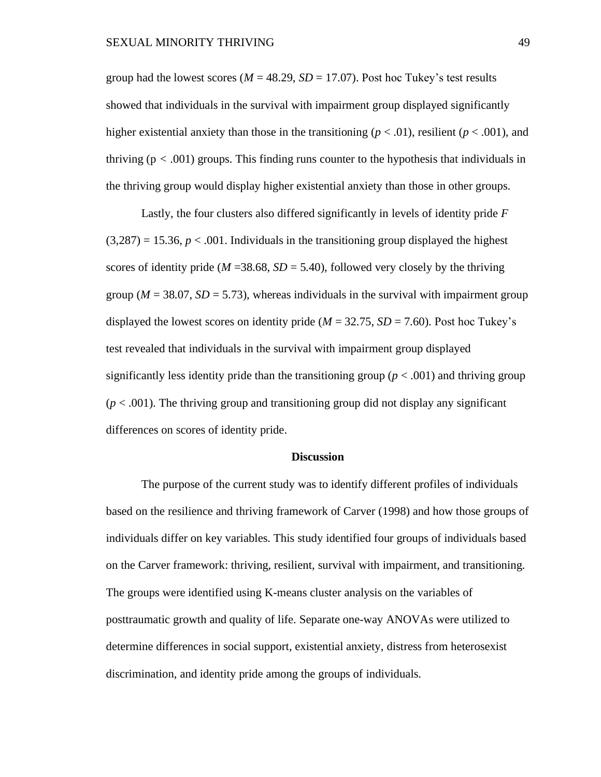group had the lowest scores ( $M = 48.29$ ,  $SD = 17.07$ ). Post hoc Tukey's test results showed that individuals in the survival with impairment group displayed significantly higher existential anxiety than those in the transitioning ( $p < .01$ ), resilient ( $p < .001$ ), and thriving  $(p < .001)$  groups. This finding runs counter to the hypothesis that individuals in the thriving group would display higher existential anxiety than those in other groups.

Lastly, the four clusters also differed significantly in levels of identity pride *F*  $(3,287) = 15.36$ ,  $p < .001$ . Individuals in the transitioning group displayed the highest scores of identity pride ( $M = 38.68$ ,  $SD = 5.40$ ), followed very closely by the thriving group ( $M = 38.07$ ,  $SD = 5.73$ ), whereas individuals in the survival with impairment group displayed the lowest scores on identity pride  $(M = 32.75, SD = 7.60)$ . Post hoc Tukey's test revealed that individuals in the survival with impairment group displayed significantly less identity pride than the transitioning group ( $p < .001$ ) and thriving group  $(p < .001)$ . The thriving group and transitioning group did not display any significant differences on scores of identity pride.

### **Discussion**

The purpose of the current study was to identify different profiles of individuals based on the resilience and thriving framework of Carver (1998) and how those groups of individuals differ on key variables. This study identified four groups of individuals based on the Carver framework: thriving, resilient, survival with impairment, and transitioning. The groups were identified using K-means cluster analysis on the variables of posttraumatic growth and quality of life. Separate one-way ANOVAs were utilized to determine differences in social support, existential anxiety, distress from heterosexist discrimination, and identity pride among the groups of individuals.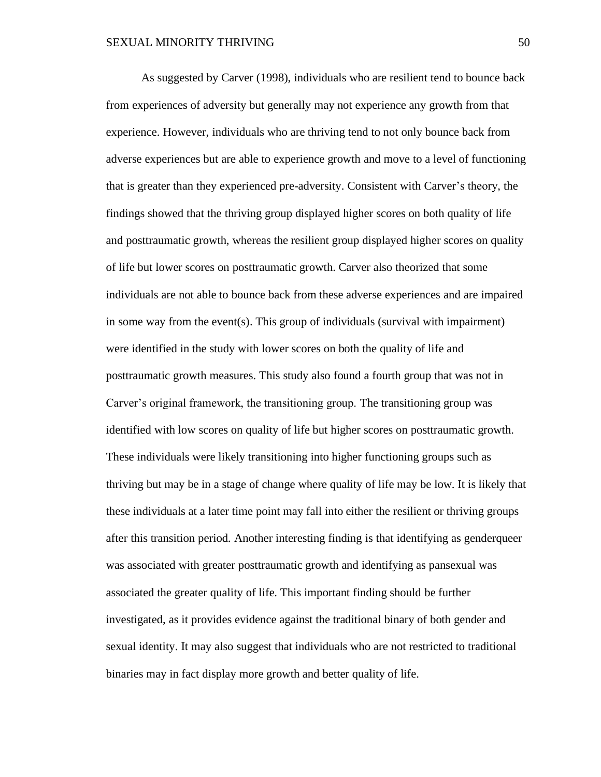As suggested by Carver (1998), individuals who are resilient tend to bounce back from experiences of adversity but generally may not experience any growth from that experience. However, individuals who are thriving tend to not only bounce back from adverse experiences but are able to experience growth and move to a level of functioning that is greater than they experienced pre-adversity. Consistent with Carver's theory, the findings showed that the thriving group displayed higher scores on both quality of life and posttraumatic growth, whereas the resilient group displayed higher scores on quality of life but lower scores on posttraumatic growth. Carver also theorized that some individuals are not able to bounce back from these adverse experiences and are impaired in some way from the event(s). This group of individuals (survival with impairment) were identified in the study with lower scores on both the quality of life and posttraumatic growth measures. This study also found a fourth group that was not in Carver's original framework, the transitioning group. The transitioning group was identified with low scores on quality of life but higher scores on posttraumatic growth. These individuals were likely transitioning into higher functioning groups such as thriving but may be in a stage of change where quality of life may be low. It is likely that these individuals at a later time point may fall into either the resilient or thriving groups after this transition period. Another interesting finding is that identifying as genderqueer was associated with greater posttraumatic growth and identifying as pansexual was associated the greater quality of life. This important finding should be further investigated, as it provides evidence against the traditional binary of both gender and sexual identity. It may also suggest that individuals who are not restricted to traditional binaries may in fact display more growth and better quality of life.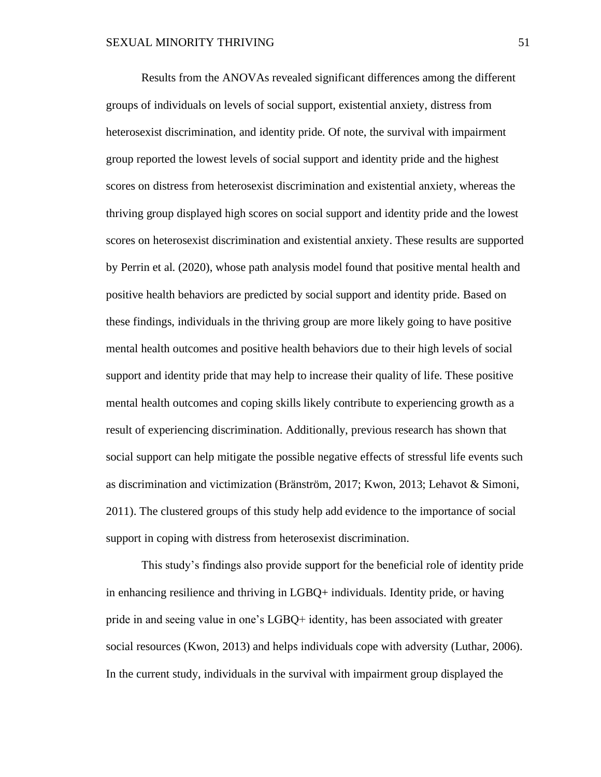Results from the ANOVAs revealed significant differences among the different groups of individuals on levels of social support, existential anxiety, distress from heterosexist discrimination, and identity pride. Of note, the survival with impairment group reported the lowest levels of social support and identity pride and the highest scores on distress from heterosexist discrimination and existential anxiety, whereas the thriving group displayed high scores on social support and identity pride and the lowest scores on heterosexist discrimination and existential anxiety. These results are supported by Perrin et al. (2020), whose path analysis model found that positive mental health and positive health behaviors are predicted by social support and identity pride. Based on these findings, individuals in the thriving group are more likely going to have positive mental health outcomes and positive health behaviors due to their high levels of social support and identity pride that may help to increase their quality of life. These positive mental health outcomes and coping skills likely contribute to experiencing growth as a result of experiencing discrimination. Additionally, previous research has shown that social support can help mitigate the possible negative effects of stressful life events such as discrimination and victimization (Bränström, 2017; Kwon, 2013; Lehavot & Simoni, 2011). The clustered groups of this study help add evidence to the importance of social support in coping with distress from heterosexist discrimination.

This study's findings also provide support for the beneficial role of identity pride in enhancing resilience and thriving in LGBQ+ individuals. Identity pride, or having pride in and seeing value in one's LGBQ+ identity, has been associated with greater social resources (Kwon, 2013) and helps individuals cope with adversity (Luthar, 2006). In the current study, individuals in the survival with impairment group displayed the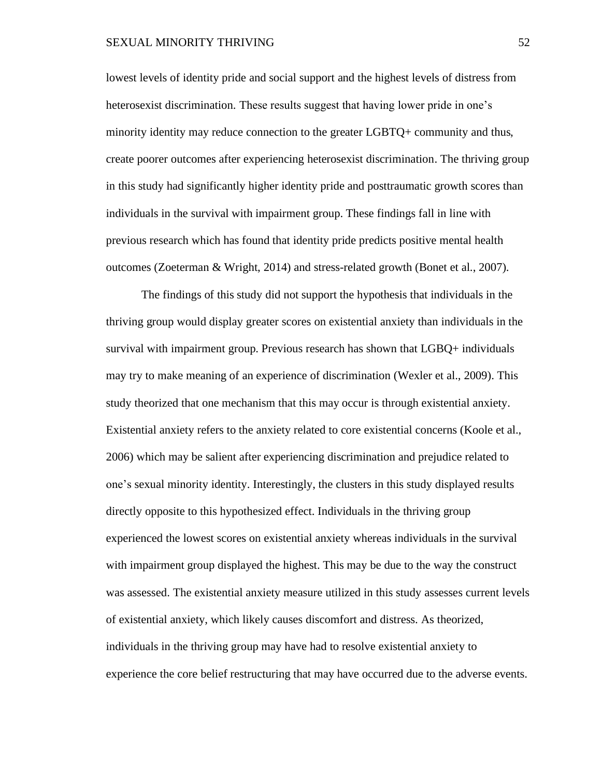lowest levels of identity pride and social support and the highest levels of distress from heterosexist discrimination. These results suggest that having lower pride in one's minority identity may reduce connection to the greater LGBTQ+ community and thus, create poorer outcomes after experiencing heterosexist discrimination. The thriving group in this study had significantly higher identity pride and posttraumatic growth scores than individuals in the survival with impairment group. These findings fall in line with previous research which has found that identity pride predicts positive mental health outcomes (Zoeterman & Wright, 2014) and stress-related growth (Bonet et al., 2007).

The findings of this study did not support the hypothesis that individuals in the thriving group would display greater scores on existential anxiety than individuals in the survival with impairment group. Previous research has shown that LGBQ+ individuals may try to make meaning of an experience of discrimination (Wexler et al., 2009). This study theorized that one mechanism that this may occur is through existential anxiety. Existential anxiety refers to the anxiety related to core existential concerns (Koole et al., 2006) which may be salient after experiencing discrimination and prejudice related to one's sexual minority identity. Interestingly, the clusters in this study displayed results directly opposite to this hypothesized effect. Individuals in the thriving group experienced the lowest scores on existential anxiety whereas individuals in the survival with impairment group displayed the highest. This may be due to the way the construct was assessed. The existential anxiety measure utilized in this study assesses current levels of existential anxiety, which likely causes discomfort and distress. As theorized, individuals in the thriving group may have had to resolve existential anxiety to experience the core belief restructuring that may have occurred due to the adverse events.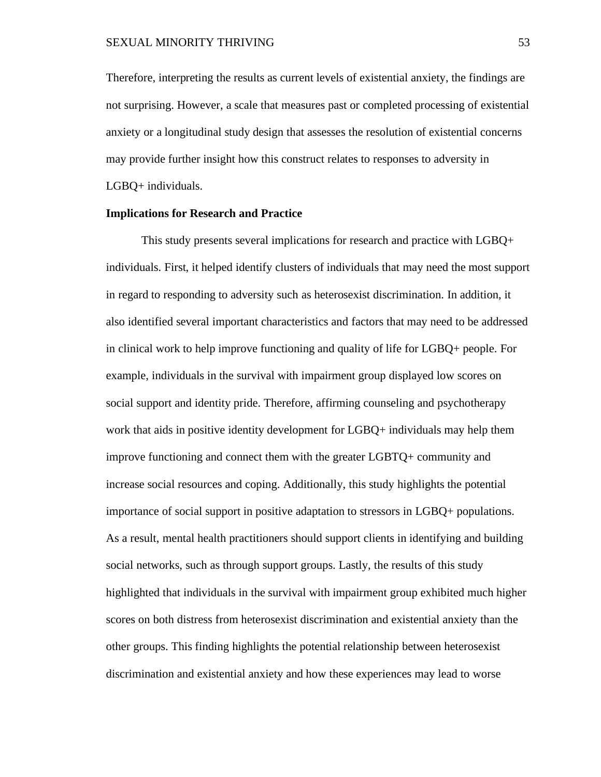Therefore, interpreting the results as current levels of existential anxiety, the findings are not surprising. However, a scale that measures past or completed processing of existential anxiety or a longitudinal study design that assesses the resolution of existential concerns may provide further insight how this construct relates to responses to adversity in LGBQ+ individuals.

### **Implications for Research and Practice**

This study presents several implications for research and practice with LGBQ+ individuals. First, it helped identify clusters of individuals that may need the most support in regard to responding to adversity such as heterosexist discrimination. In addition, it also identified several important characteristics and factors that may need to be addressed in clinical work to help improve functioning and quality of life for LGBQ+ people. For example, individuals in the survival with impairment group displayed low scores on social support and identity pride. Therefore, affirming counseling and psychotherapy work that aids in positive identity development for LGBQ+ individuals may help them improve functioning and connect them with the greater LGBTQ+ community and increase social resources and coping. Additionally, this study highlights the potential importance of social support in positive adaptation to stressors in LGBQ+ populations. As a result, mental health practitioners should support clients in identifying and building social networks, such as through support groups. Lastly, the results of this study highlighted that individuals in the survival with impairment group exhibited much higher scores on both distress from heterosexist discrimination and existential anxiety than the other groups. This finding highlights the potential relationship between heterosexist discrimination and existential anxiety and how these experiences may lead to worse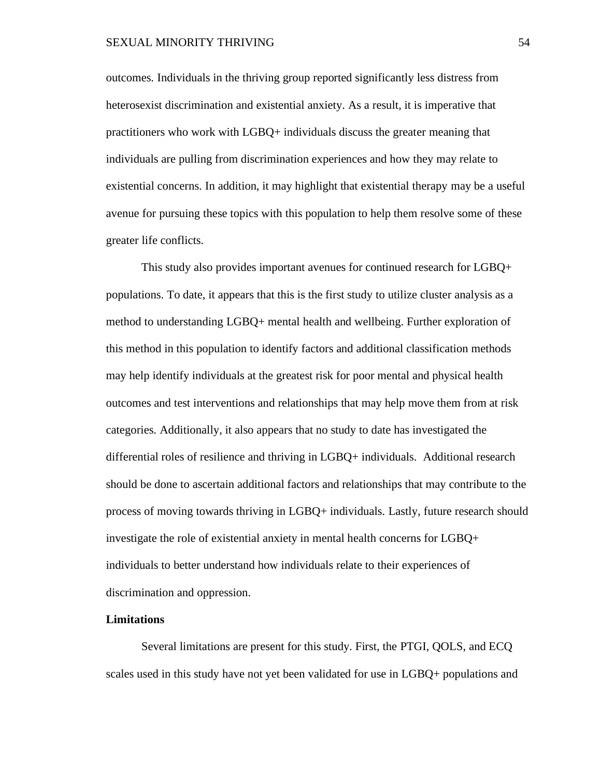outcomes. Individuals in the thriving group reported significantly less distress from heterosexist discrimination and existential anxiety. As a result, it is imperative that practitioners who work with LGBQ+ individuals discuss the greater meaning that individuals are pulling from discrimination experiences and how they may relate to existential concerns. In addition, it may highlight that existential therapy may be a useful avenue for pursuing these topics with this population to help them resolve some of these greater life conflicts.

This study also provides important avenues for continued research for LGBQ+ populations. To date, it appears that this is the first study to utilize cluster analysis as a method to understanding LGBQ+ mental health and wellbeing. Further exploration of this method in this population to identify factors and additional classification methods may help identify individuals at the greatest risk for poor mental and physical health outcomes and test interventions and relationships that may help move them from at risk categories. Additionally, it also appears that no study to date has investigated the differential roles of resilience and thriving in LGBQ+ individuals. Additional research should be done to ascertain additional factors and relationships that may contribute to the process of moving towards thriving in LGBQ+ individuals. Lastly, future research should investigate the role of existential anxiety in mental health concerns for LGBQ+ individuals to better understand how individuals relate to their experiences of discrimination and oppression.

### **Limitations**

Several limitations are present for this study. First, the PTGI, QOLS, and ECQ scales used in this study have not yet been validated for use in LGBQ+ populations and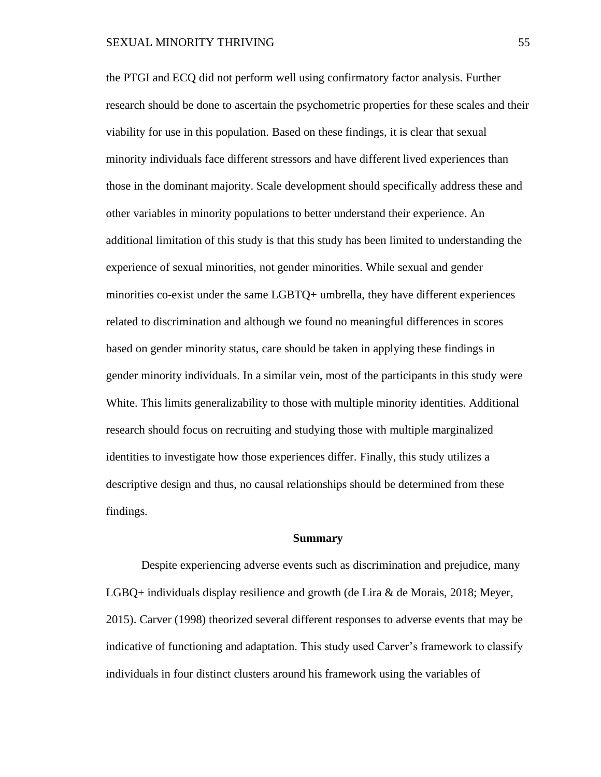the PTGI and ECQ did not perform well using confirmatory factor analysis. Further research should be done to ascertain the psychometric properties for these scales and their viability for use in this population. Based on these findings, it is clear that sexual minority individuals face different stressors and have different lived experiences than those in the dominant majority. Scale development should specifically address these and other variables in minority populations to better understand their experience. An additional limitation of this study is that this study has been limited to understanding the experience of sexual minorities, not gender minorities. While sexual and gender minorities co-exist under the same LGBTQ+ umbrella, they have different experiences related to discrimination and although we found no meaningful differences in scores based on gender minority status, care should be taken in applying these findings in gender minority individuals. In a similar vein, most of the participants in this study were White. This limits generalizability to those with multiple minority identities. Additional research should focus on recruiting and studying those with multiple marginalized identities to investigate how those experiences differ. Finally, this study utilizes a descriptive design and thus, no causal relationships should be determined from these findings.

#### **Summary**

Despite experiencing adverse events such as discrimination and prejudice, many LGBQ+ individuals display resilience and growth (de Lira & de Morais, 2018; Meyer, 2015). Carver (1998) theorized several different responses to adverse events that may be indicative of functioning and adaptation. This study used Carver's framework to classify individuals in four distinct clusters around his framework using the variables of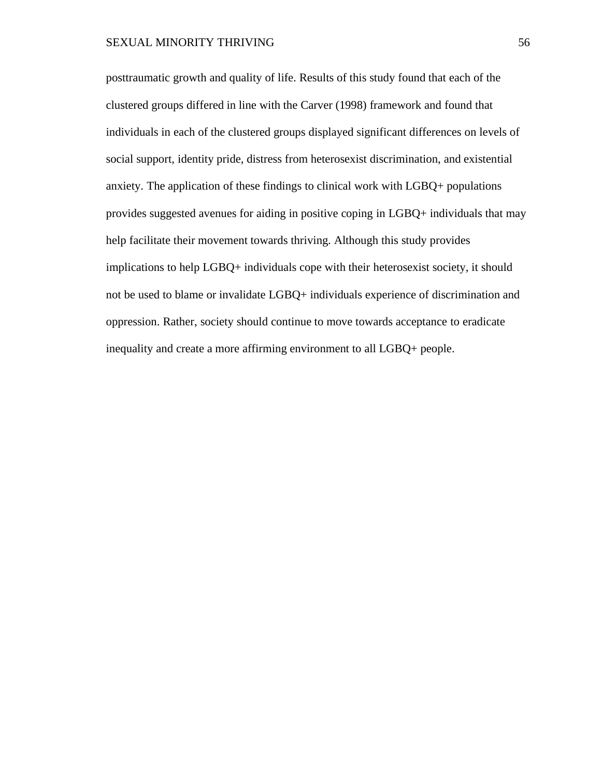posttraumatic growth and quality of life. Results of this study found that each of the clustered groups differed in line with the Carver (1998) framework and found that individuals in each of the clustered groups displayed significant differences on levels of social support, identity pride, distress from heterosexist discrimination, and existential anxiety. The application of these findings to clinical work with LGBQ+ populations provides suggested avenues for aiding in positive coping in LGBQ+ individuals that may help facilitate their movement towards thriving. Although this study provides implications to help LGBQ+ individuals cope with their heterosexist society, it should not be used to blame or invalidate LGBQ+ individuals experience of discrimination and oppression. Rather, society should continue to move towards acceptance to eradicate inequality and create a more affirming environment to all LGBQ+ people.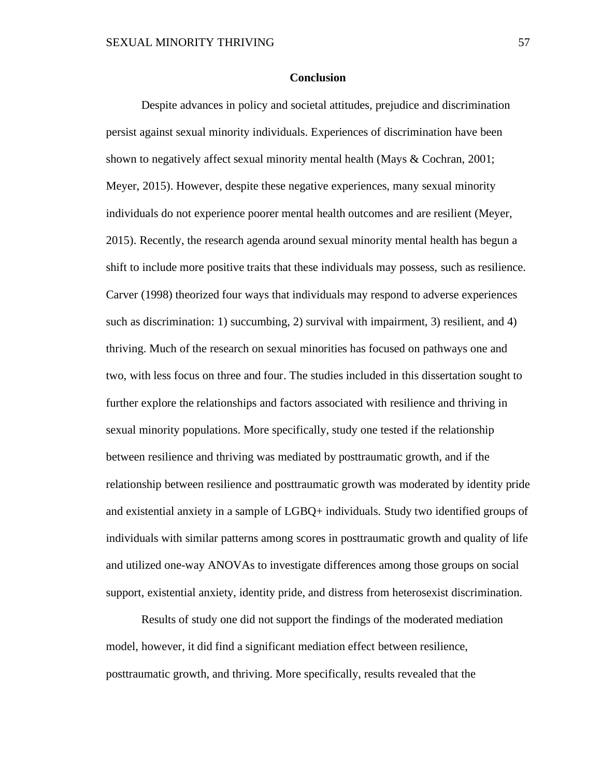### **Conclusion**

Despite advances in policy and societal attitudes, prejudice and discrimination persist against sexual minority individuals. Experiences of discrimination have been shown to negatively affect sexual minority mental health (Mays & Cochran, 2001; Meyer, 2015). However, despite these negative experiences, many sexual minority individuals do not experience poorer mental health outcomes and are resilient (Meyer, 2015). Recently, the research agenda around sexual minority mental health has begun a shift to include more positive traits that these individuals may possess, such as resilience. Carver (1998) theorized four ways that individuals may respond to adverse experiences such as discrimination: 1) succumbing, 2) survival with impairment, 3) resilient, and 4) thriving. Much of the research on sexual minorities has focused on pathways one and two, with less focus on three and four. The studies included in this dissertation sought to further explore the relationships and factors associated with resilience and thriving in sexual minority populations. More specifically, study one tested if the relationship between resilience and thriving was mediated by posttraumatic growth, and if the relationship between resilience and posttraumatic growth was moderated by identity pride and existential anxiety in a sample of LGBQ+ individuals. Study two identified groups of individuals with similar patterns among scores in posttraumatic growth and quality of life and utilized one-way ANOVAs to investigate differences among those groups on social support, existential anxiety, identity pride, and distress from heterosexist discrimination.

Results of study one did not support the findings of the moderated mediation model, however, it did find a significant mediation effect between resilience, posttraumatic growth, and thriving. More specifically, results revealed that the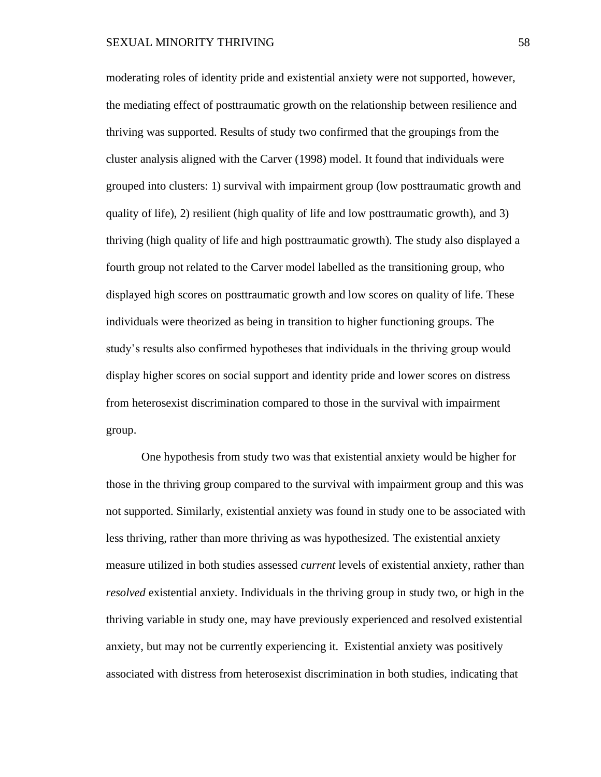moderating roles of identity pride and existential anxiety were not supported, however, the mediating effect of posttraumatic growth on the relationship between resilience and thriving was supported. Results of study two confirmed that the groupings from the cluster analysis aligned with the Carver (1998) model. It found that individuals were grouped into clusters: 1) survival with impairment group (low posttraumatic growth and quality of life), 2) resilient (high quality of life and low posttraumatic growth), and 3) thriving (high quality of life and high posttraumatic growth). The study also displayed a fourth group not related to the Carver model labelled as the transitioning group, who displayed high scores on posttraumatic growth and low scores on quality of life. These individuals were theorized as being in transition to higher functioning groups. The study's results also confirmed hypotheses that individuals in the thriving group would display higher scores on social support and identity pride and lower scores on distress from heterosexist discrimination compared to those in the survival with impairment group.

One hypothesis from study two was that existential anxiety would be higher for those in the thriving group compared to the survival with impairment group and this was not supported. Similarly, existential anxiety was found in study one to be associated with less thriving, rather than more thriving as was hypothesized. The existential anxiety measure utilized in both studies assessed *current* levels of existential anxiety, rather than *resolved* existential anxiety. Individuals in the thriving group in study two, or high in the thriving variable in study one, may have previously experienced and resolved existential anxiety, but may not be currently experiencing it. Existential anxiety was positively associated with distress from heterosexist discrimination in both studies, indicating that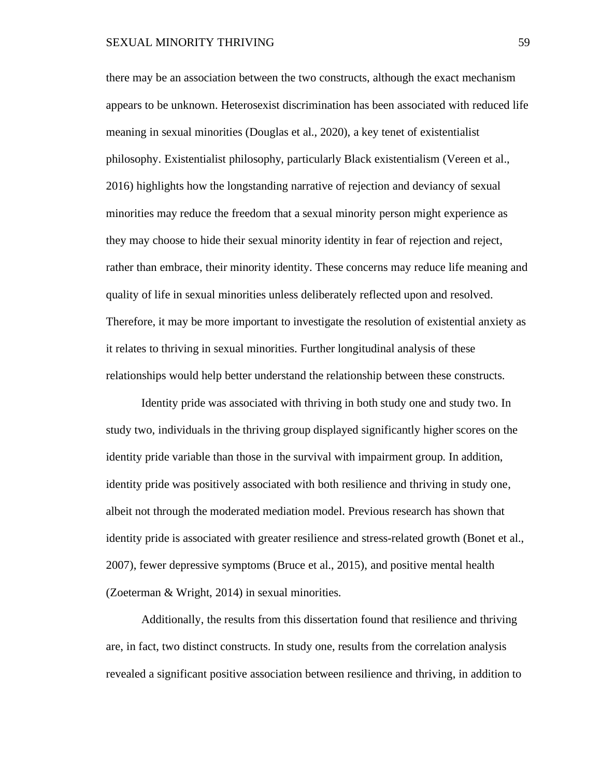### SEXUAL MINORITY THRIVING 59

there may be an association between the two constructs, although the exact mechanism appears to be unknown. Heterosexist discrimination has been associated with reduced life meaning in sexual minorities (Douglas et al., 2020), a key tenet of existentialist philosophy. Existentialist philosophy, particularly Black existentialism (Vereen et al., 2016) highlights how the longstanding narrative of rejection and deviancy of sexual minorities may reduce the freedom that a sexual minority person might experience as they may choose to hide their sexual minority identity in fear of rejection and reject, rather than embrace, their minority identity. These concerns may reduce life meaning and quality of life in sexual minorities unless deliberately reflected upon and resolved. Therefore, it may be more important to investigate the resolution of existential anxiety as it relates to thriving in sexual minorities. Further longitudinal analysis of these relationships would help better understand the relationship between these constructs.

Identity pride was associated with thriving in both study one and study two. In study two, individuals in the thriving group displayed significantly higher scores on the identity pride variable than those in the survival with impairment group. In addition, identity pride was positively associated with both resilience and thriving in study one, albeit not through the moderated mediation model. Previous research has shown that identity pride is associated with greater resilience and stress-related growth (Bonet et al., 2007), fewer depressive symptoms (Bruce et al., 2015), and positive mental health (Zoeterman & Wright, 2014) in sexual minorities.

Additionally, the results from this dissertation found that resilience and thriving are, in fact, two distinct constructs. In study one, results from the correlation analysis revealed a significant positive association between resilience and thriving, in addition to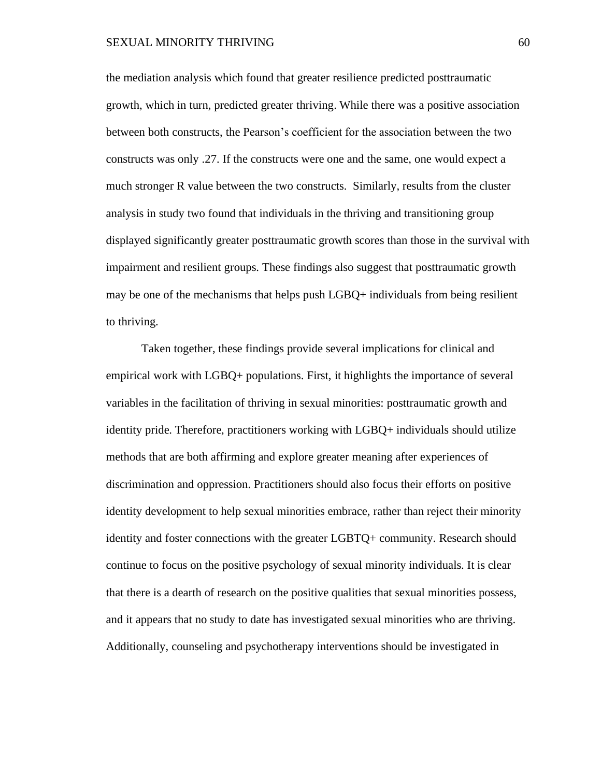the mediation analysis which found that greater resilience predicted posttraumatic growth, which in turn, predicted greater thriving. While there was a positive association between both constructs, the Pearson's coefficient for the association between the two constructs was only .27. If the constructs were one and the same, one would expect a much stronger R value between the two constructs. Similarly, results from the cluster analysis in study two found that individuals in the thriving and transitioning group displayed significantly greater posttraumatic growth scores than those in the survival with impairment and resilient groups. These findings also suggest that posttraumatic growth may be one of the mechanisms that helps push LGBQ+ individuals from being resilient to thriving.

Taken together, these findings provide several implications for clinical and empirical work with LGBQ+ populations. First, it highlights the importance of several variables in the facilitation of thriving in sexual minorities: posttraumatic growth and identity pride. Therefore, practitioners working with LGBQ+ individuals should utilize methods that are both affirming and explore greater meaning after experiences of discrimination and oppression. Practitioners should also focus their efforts on positive identity development to help sexual minorities embrace, rather than reject their minority identity and foster connections with the greater LGBTQ+ community. Research should continue to focus on the positive psychology of sexual minority individuals. It is clear that there is a dearth of research on the positive qualities that sexual minorities possess, and it appears that no study to date has investigated sexual minorities who are thriving. Additionally, counseling and psychotherapy interventions should be investigated in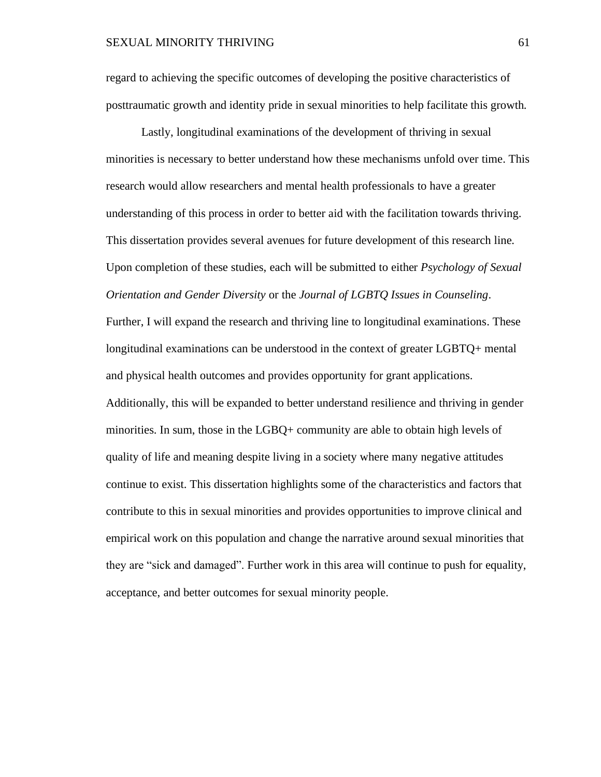regard to achieving the specific outcomes of developing the positive characteristics of posttraumatic growth and identity pride in sexual minorities to help facilitate this growth.

Lastly, longitudinal examinations of the development of thriving in sexual minorities is necessary to better understand how these mechanisms unfold over time. This research would allow researchers and mental health professionals to have a greater understanding of this process in order to better aid with the facilitation towards thriving. This dissertation provides several avenues for future development of this research line. Upon completion of these studies, each will be submitted to either *Psychology of Sexual Orientation and Gender Diversity* or the *Journal of LGBTQ Issues in Counseling*.

Further, I will expand the research and thriving line to longitudinal examinations. These longitudinal examinations can be understood in the context of greater LGBTQ+ mental and physical health outcomes and provides opportunity for grant applications.

Additionally, this will be expanded to better understand resilience and thriving in gender minorities. In sum, those in the LGBQ+ community are able to obtain high levels of quality of life and meaning despite living in a society where many negative attitudes continue to exist. This dissertation highlights some of the characteristics and factors that contribute to this in sexual minorities and provides opportunities to improve clinical and empirical work on this population and change the narrative around sexual minorities that they are "sick and damaged". Further work in this area will continue to push for equality, acceptance, and better outcomes for sexual minority people.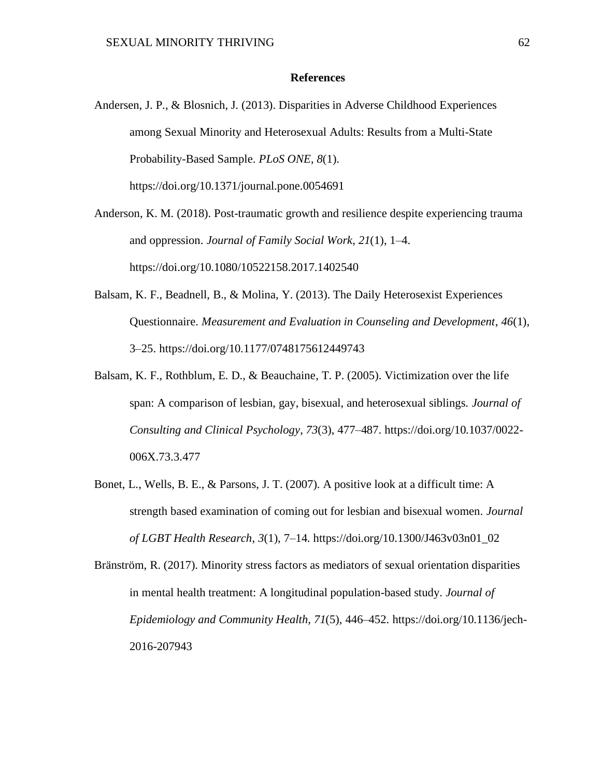### **References**

Andersen, J. P., & Blosnich, J. (2013). Disparities in Adverse Childhood Experiences among Sexual Minority and Heterosexual Adults: Results from a Multi-State Probability-Based Sample. *PLoS ONE*, *8*(1). https://doi.org/10.1371/journal.pone.0054691

Anderson, K. M. (2018). Post-traumatic growth and resilience despite experiencing trauma and oppression. *Journal of Family Social Work*, *21*(1), 1–4. https://doi.org/10.1080/10522158.2017.1402540

- Balsam, K. F., Beadnell, B., & Molina, Y. (2013). The Daily Heterosexist Experiences Questionnaire. *Measurement and Evaluation in Counseling and Development*, *46*(1), 3–25. https://doi.org/10.1177/0748175612449743
- Balsam, K. F., Rothblum, E. D., & Beauchaine, T. P. (2005). Victimization over the life span: A comparison of lesbian, gay, bisexual, and heterosexual siblings. *Journal of Consulting and Clinical Psychology*, *73*(3), 477–487. https://doi.org/10.1037/0022- 006X.73.3.477
- Bonet, L., Wells, B. E., & Parsons, J. T. (2007). A positive look at a difficult time: A strength based examination of coming out for lesbian and bisexual women. *Journal of LGBT Health Research*, *3*(1), 7–14. https://doi.org/10.1300/J463v03n01\_02

Bränström, R. (2017). Minority stress factors as mediators of sexual orientation disparities in mental health treatment: A longitudinal population-based study. *Journal of Epidemiology and Community Health*, *71*(5), 446–452. https://doi.org/10.1136/jech-2016-207943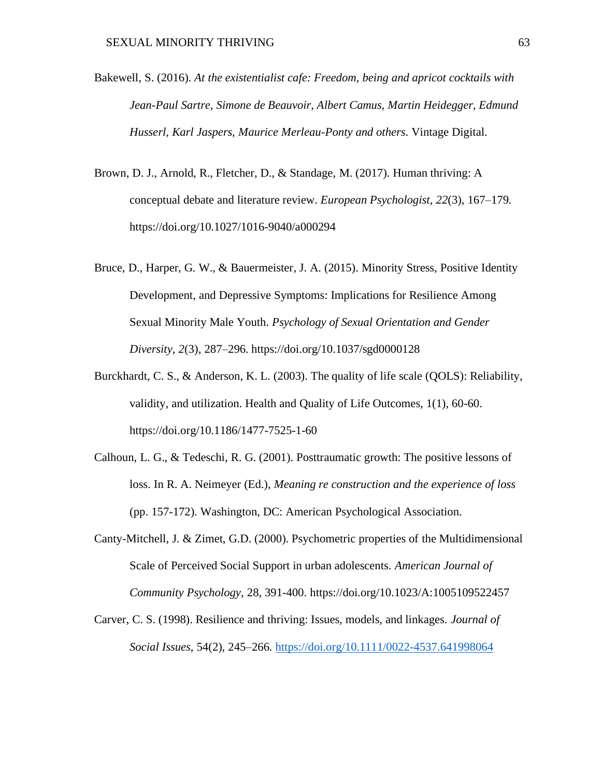- Bakewell, S. (2016). *At the existentialist cafe: Freedom, being and apricot cocktails with Jean-Paul Sartre, Simone de Beauvoir, Albert Camus, Martin Heidegger, Edmund Husserl, Karl Jaspers, Maurice Merleau-Ponty and others*. Vintage Digital.
- Brown, D. J., Arnold, R., Fletcher, D., & Standage, M. (2017). Human thriving: A conceptual debate and literature review. *European Psychologist*, *22*(3), 167–179. https://doi.org/10.1027/1016-9040/a000294
- Bruce, D., Harper, G. W., & Bauermeister, J. A. (2015). Minority Stress, Positive Identity Development, and Depressive Symptoms: Implications for Resilience Among Sexual Minority Male Youth. *Psychology of Sexual Orientation and Gender Diversity*, *2*(3), 287–296. https://doi.org/10.1037/sgd0000128
- Burckhardt, C. S., & Anderson, K. L. (2003). The quality of life scale (QOLS): Reliability, validity, and utilization. Health and Quality of Life Outcomes, 1(1), 60-60. https://doi.org/10.1186/1477-7525-1-60
- Calhoun, L. G., & Tedeschi, R. G. (2001). Posttraumatic growth: The positive lessons of loss. In R. A. Neimeyer (Ed.), *Meaning re construction and the experience of loss* (pp. 157-172). Washington, DC: American Psychological Association.
- Canty-Mitchell, J. & Zimet, G.D. (2000). Psychometric properties of the Multidimensional Scale of Perceived Social Support in urban adolescents. *American Journal of Community Psychology*, 28, 391-400. https://doi.org/10.1023/A:1005109522457
- Carver, C. S. (1998). Resilience and thriving: Issues, models, and linkages. *Journal of Social Issues*, 54(2), 245–266.<https://doi.org/10.1111/0022-4537.641998064>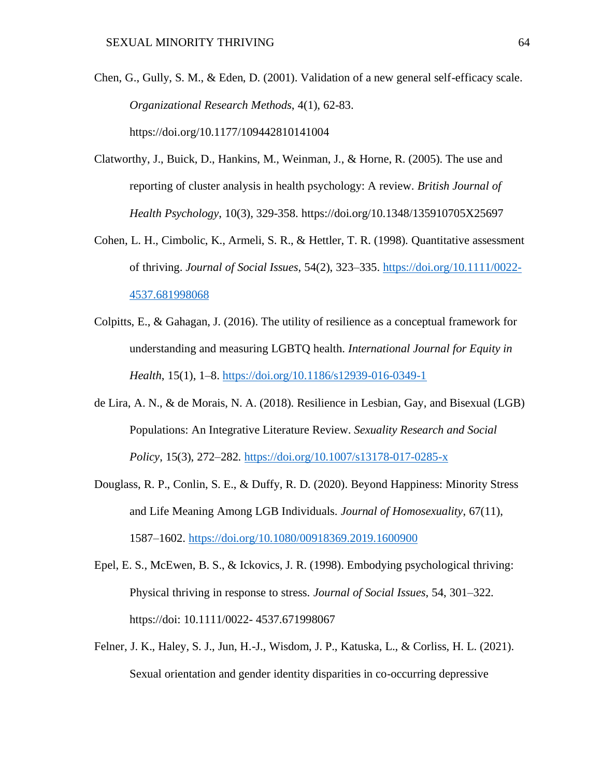- Chen, G., Gully, S. M., & Eden, D. (2001). Validation of a new general self-efficacy scale. *Organizational Research Methods*, 4(1), 62-83. https://doi.org/10.1177/109442810141004
- Clatworthy, J., Buick, D., Hankins, M., Weinman, J., & Horne, R. (2005). The use and reporting of cluster analysis in health psychology: A review. *British Journal of Health Psychology*, 10(3), 329-358. https://doi.org/10.1348/135910705X25697
- Cohen, L. H., Cimbolic, K., Armeli, S. R., & Hettler, T. R. (1998). Quantitative assessment of thriving. *Journal of Social Issues*, 54(2), 323–335. [https://doi.org/10.1111/0022-](https://doi.org/10.1111/0022-4537.681998068) [4537.681998068](https://doi.org/10.1111/0022-4537.681998068)
- Colpitts, E., & Gahagan, J. (2016). The utility of resilience as a conceptual framework for understanding and measuring LGBTQ health. *International Journal for Equity in Health*, 15(1), 1–8.<https://doi.org/10.1186/s12939-016-0349-1>
- de Lira, A. N., & de Morais, N. A. (2018). Resilience in Lesbian, Gay, and Bisexual (LGB) Populations: An Integrative Literature Review. *Sexuality Research and Social Policy*, 15(3), 272–282.<https://doi.org/10.1007/s13178-017-0285-x>
- Douglass, R. P., Conlin, S. E., & Duffy, R. D. (2020). Beyond Happiness: Minority Stress and Life Meaning Among LGB Individuals. *Journal of Homosexuality*, 67(11), 1587–1602.<https://doi.org/10.1080/00918369.2019.1600900>
- Epel, E. S., McEwen, B. S., & Ickovics, J. R. (1998). Embodying psychological thriving: Physical thriving in response to stress. *Journal of Social Issues*, 54, 301–322. https://doi: 10.1111/0022- 4537.671998067
- Felner, J. K., Haley, S. J., Jun, H.-J., Wisdom, J. P., Katuska, L., & Corliss, H. L. (2021). Sexual orientation and gender identity disparities in co-occurring depressive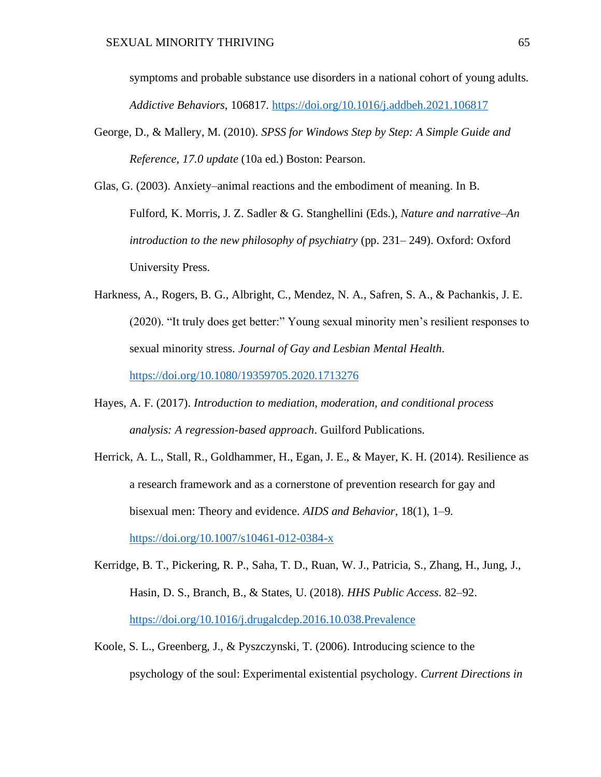symptoms and probable substance use disorders in a national cohort of young adults. *Addictive Behaviors*, 106817.<https://doi.org/10.1016/j.addbeh.2021.106817>

George, D., & Mallery, M. (2010). *SPSS for Windows Step by Step: A Simple Guide and Reference*, *17.0 update* (10a ed.) Boston: Pearson.

Glas, G. (2003). Anxiety–animal reactions and the embodiment of meaning. In B. Fulford, K. Morris, J. Z. Sadler & G. Stanghellini (Eds.), *Nature and narrative–An introduction to the new philosophy of psychiatry* (pp. 231– 249). Oxford: Oxford University Press.

- Harkness, A., Rogers, B. G., Albright, C., Mendez, N. A., Safren, S. A., & Pachankis, J. E. (2020). "It truly does get better:" Young sexual minority men's resilient responses to sexual minority stress. *Journal of Gay and Lesbian Mental Health*. <https://doi.org/10.1080/19359705.2020.1713276>
- Hayes, A. F. (2017). *Introduction to mediation, moderation, and conditional process analysis: A regression-based approach*. Guilford Publications.
- Herrick, A. L., Stall, R., Goldhammer, H., Egan, J. E., & Mayer, K. H. (2014). Resilience as a research framework and as a cornerstone of prevention research for gay and bisexual men: Theory and evidence. *AIDS and Behavior*, 18(1), 1–9. <https://doi.org/10.1007/s10461-012-0384-x>
- Kerridge, B. T., Pickering, R. P., Saha, T. D., Ruan, W. J., Patricia, S., Zhang, H., Jung, J., Hasin, D. S., Branch, B., & States, U. (2018). *HHS Public Access*. 82–92. <https://doi.org/10.1016/j.drugalcdep.2016.10.038.Prevalence>
- Koole, S. L., Greenberg, J., & Pyszczynski, T. (2006). Introducing science to the psychology of the soul: Experimental existential psychology. *Current Directions in*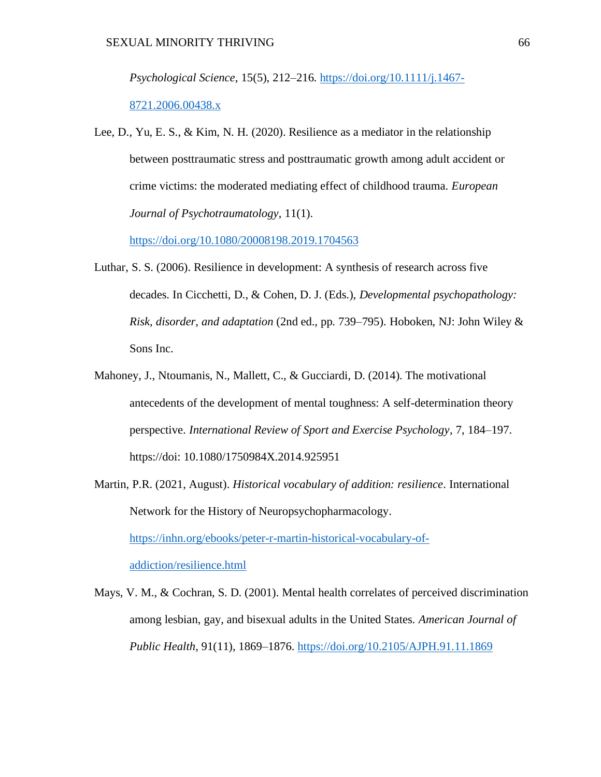*Psychological Science*, 15(5), 212–216. [https://doi.org/10.1111/j.1467-](https://doi.org/10.1111/j.1467-8721.2006.00438.x)

# [8721.2006.00438.x](https://doi.org/10.1111/j.1467-8721.2006.00438.x)

Lee, D., Yu, E. S., & Kim, N. H. (2020). Resilience as a mediator in the relationship between posttraumatic stress and posttraumatic growth among adult accident or crime victims: the moderated mediating effect of childhood trauma. *European Journal of Psychotraumatology*, 11(1).

<https://doi.org/10.1080/20008198.2019.1704563>

- Luthar, S. S. (2006). Resilience in development: A synthesis of research across five decades. In Cicchetti, D., & Cohen, D. J. (Eds.), *Developmental psychopathology: Risk, disorder, and adaptation* (2nd ed., pp. 739–795). Hoboken, NJ: John Wiley & Sons Inc.
- Mahoney, J., Ntoumanis, N., Mallett, C., & Gucciardi, D. (2014). The motivational antecedents of the development of mental toughness: A self-determination theory perspective. *International Review of Sport and Exercise Psychology*, 7, 184–197. https://doi: 10.1080/1750984X.2014.925951
- Martin, P.R. (2021, August). *Historical vocabulary of addition: resilience*. International Network for the History of Neuropsychopharmacology. [https://inhn.org/ebooks/peter-r-martin-historical-vocabulary-of](https://inhn.org/ebooks/peter-r-martin-historical-vocabulary-of-addiction/resilience.html)[addiction/resilience.html](https://inhn.org/ebooks/peter-r-martin-historical-vocabulary-of-addiction/resilience.html)
- Mays, V. M., & Cochran, S. D. (2001). Mental health correlates of perceived discrimination among lesbian, gay, and bisexual adults in the United States. *American Journal of Public Health*, 91(11), 1869–1876.<https://doi.org/10.2105/AJPH.91.11.1869>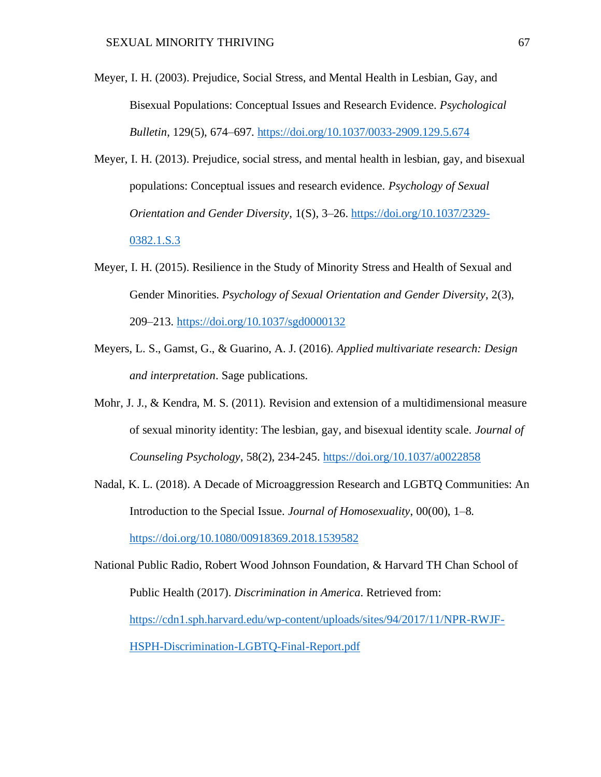- Meyer, I. H. (2003). Prejudice, Social Stress, and Mental Health in Lesbian, Gay, and Bisexual Populations: Conceptual Issues and Research Evidence. *Psychological Bulletin*, 129(5), 674–697.<https://doi.org/10.1037/0033-2909.129.5.674>
- Meyer, I. H. (2013). Prejudice, social stress, and mental health in lesbian, gay, and bisexual populations: Conceptual issues and research evidence. *Psychology of Sexual Orientation and Gender Diversity*, 1(S), 3–26. [https://doi.org/10.1037/2329-](https://doi.org/10.1037/2329-0382.1.S.3) [0382.1.S.3](https://doi.org/10.1037/2329-0382.1.S.3)
- Meyer, I. H. (2015). Resilience in the Study of Minority Stress and Health of Sexual and Gender Minorities. *Psychology of Sexual Orientation and Gender Diversity*, 2(3), 209–213.<https://doi.org/10.1037/sgd0000132>
- Meyers, L. S., Gamst, G., & Guarino, A. J. (2016). *Applied multivariate research: Design and interpretation*. Sage publications.
- Mohr, J. J., & Kendra, M. S. (2011). Revision and extension of a multidimensional measure of sexual minority identity: The lesbian, gay, and bisexual identity scale. *Journal of Counseling Psychology*, 58(2), 234-245.<https://doi.org/10.1037/a0022858>
- Nadal, K. L. (2018). A Decade of Microaggression Research and LGBTQ Communities: An Introduction to the Special Issue. *Journal of Homosexuality*, 00(00), 1–8. <https://doi.org/10.1080/00918369.2018.1539582>

National Public Radio, Robert Wood Johnson Foundation, & Harvard TH Chan School of Public Health (2017). *Discrimination in America*. Retrieved from: [https://cdn1.sph.harvard.edu/wp-content/uploads/sites/94/2017/11/NPR-RWJF-](https://cdn1.sph.harvard.edu/wp-content/uploads/sites/94/2017/11/NPR-RWJF-HSPH-Discrimination-LGBTQ-Final-Report.pdf)[HSPH-Discrimination-LGBTQ-Final-Report.pdf](https://cdn1.sph.harvard.edu/wp-content/uploads/sites/94/2017/11/NPR-RWJF-HSPH-Discrimination-LGBTQ-Final-Report.pdf)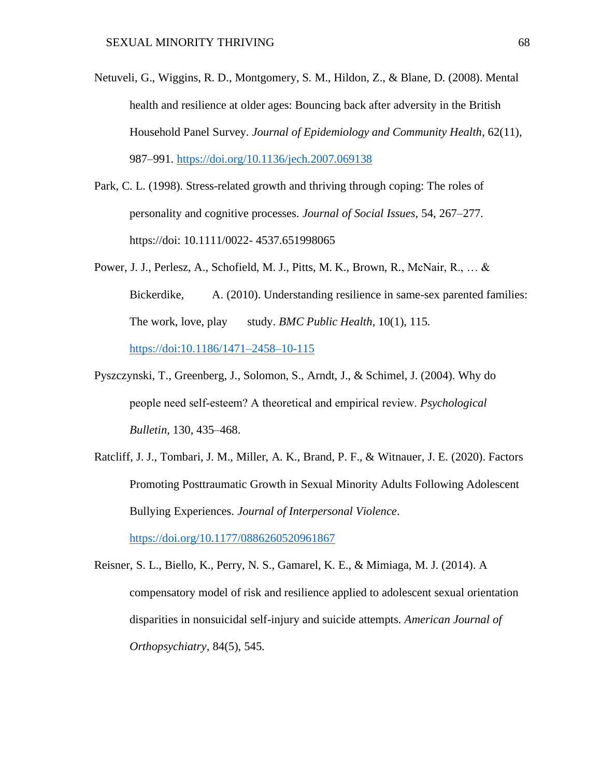- Netuveli, G., Wiggins, R. D., Montgomery, S. M., Hildon, Z., & Blane, D. (2008). Mental health and resilience at older ages: Bouncing back after adversity in the British Household Panel Survey. *Journal of Epidemiology and Community Health*, 62(11), 987–991.<https://doi.org/10.1136/jech.2007.069138>
- Park, C. L. (1998). Stress-related growth and thriving through coping: The roles of personality and cognitive processes. *Journal of Social Issues*, 54, 267–277. https://doi: 10.1111/0022- 4537.651998065
- Power, J. J., Perlesz, A., Schofield, M. J., Pitts, M. K., Brown, R., McNair, R., … & Bickerdike, A. (2010). Understanding resilience in same-sex parented families: The work, love, play study. *BMC Public Health*, 10(1), 115. <https://doi:10.1186/1471–2458–10-115>
- Pyszczynski, T., Greenberg, J., Solomon, S., Arndt, J., & Schimel, J. (2004). Why do people need self‐esteem? A theoretical and empirical review. *Psychological Bulletin*, 130, 435–468.
- Ratcliff, J. J., Tombari, J. M., Miller, A. K., Brand, P. F., & Witnauer, J. E. (2020). Factors Promoting Posttraumatic Growth in Sexual Minority Adults Following Adolescent Bullying Experiences. *Journal of Interpersonal Violence*. <https://doi.org/10.1177/0886260520961867>

Reisner, S. L., Biello, K., Perry, N. S., Gamarel, K. E., & Mimiaga, M. J. (2014). A compensatory model of risk and resilience applied to adolescent sexual orientation disparities in nonsuicidal self-injury and suicide attempts. *American Journal of* 

*Orthopsychiatry*, 84(5), 545.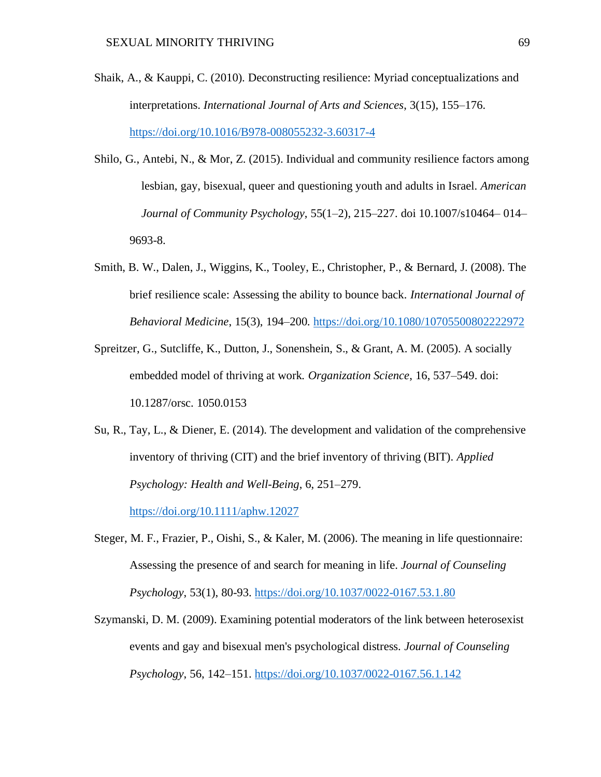- Shaik, A., & Kauppi, C. (2010). Deconstructing resilience: Myriad conceptualizations and interpretations. *International Journal of Arts and Sciences*, 3(15), 155–176. <https://doi.org/10.1016/B978-008055232-3.60317-4>
- Shilo, G., Antebi, N., & Mor, Z. (2015). Individual and community resilience factors among lesbian, gay, bisexual, queer and questioning youth and adults in Israel. *American Journal of Community Psychology*, 55(1–2), 215–227. doi 10.1007/s10464– 014– 9693-8.
- Smith, B. W., Dalen, J., Wiggins, K., Tooley, E., Christopher, P., & Bernard, J. (2008). The brief resilience scale: Assessing the ability to bounce back*. International Journal of Behavioral Medicine*, 15(3), 194–200.<https://doi.org/10.1080/10705500802222972>
- Spreitzer, G., Sutcliffe, K., Dutton, J., Sonenshein, S., & Grant, A. M. (2005). A socially embedded model of thriving at work*. Organization Science*, 16, 537–549. doi: 10.1287/orsc. 1050.0153
- Su, R., Tay, L., & Diener, E. (2014). The development and validation of the comprehensive inventory of thriving (CIT) and the brief inventory of thriving (BIT). *Applied Psychology: Health and Well-Being*, 6, 251–279. <https://doi.org/10.1111/aphw.12027>
- Steger, M. F., Frazier, P., Oishi, S., & Kaler, M. (2006). The meaning in life questionnaire: Assessing the presence of and search for meaning in life. *Journal of Counseling Psychology*, 53(1), 80-93.<https://doi.org/10.1037/0022-0167.53.1.80>
- Szymanski, D. M. (2009). Examining potential moderators of the link between heterosexist events and gay and bisexual men's psychological distress. *Journal of Counseling Psychology*, 56, 142–151. <https://doi.org/10.1037/0022-0167.56.1.142>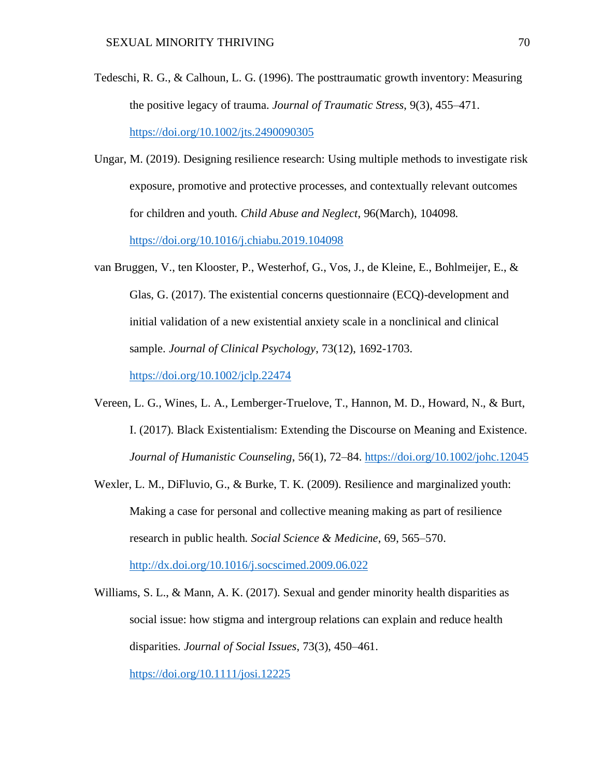- Tedeschi, R. G., & Calhoun, L. G. (1996). The posttraumatic growth inventory: Measuring the positive legacy of trauma. *Journal of Traumatic Stress*, 9(3), 455–471. <https://doi.org/10.1002/jts.2490090305>
- Ungar, M. (2019). Designing resilience research: Using multiple methods to investigate risk exposure, promotive and protective processes, and contextually relevant outcomes for children and youth. *Child Abuse and Neglect*, 96(March), 104098. <https://doi.org/10.1016/j.chiabu.2019.104098>
- van Bruggen, V., ten Klooster, P., Westerhof, G., Vos, J., de Kleine, E., Bohlmeijer, E., & Glas, G. (2017). The existential concerns questionnaire (ECQ)-development and initial validation of a new existential anxiety scale in a nonclinical and clinical sample. *Journal of Clinical Psychology*, 73(12), 1692-1703.

<https://doi.org/10.1002/jclp.22474>

- Vereen, L. G., Wines, L. A., Lemberger-Truelove, T., Hannon, M. D., Howard, N., & Burt, I. (2017). Black Existentialism: Extending the Discourse on Meaning and Existence. *Journal of Humanistic Counseling*, 56(1), 72–84.<https://doi.org/10.1002/johc.12045>
- Wexler, L. M., DiFluvio, G., & Burke, T. K. (2009). Resilience and marginalized youth: Making a case for personal and collective meaning making as part of resilience research in public health. *Social Science & Medicine*, 69, 565–570. <http://dx.doi.org/10.1016/j.socscimed.2009.06.022>
- Williams, S. L., & Mann, A. K. (2017). Sexual and gender minority health disparities as social issue: how stigma and intergroup relations can explain and reduce health disparities. *Journal of Social Issues*, 73(3), 450–461. <https://doi.org/10.1111/josi.12225>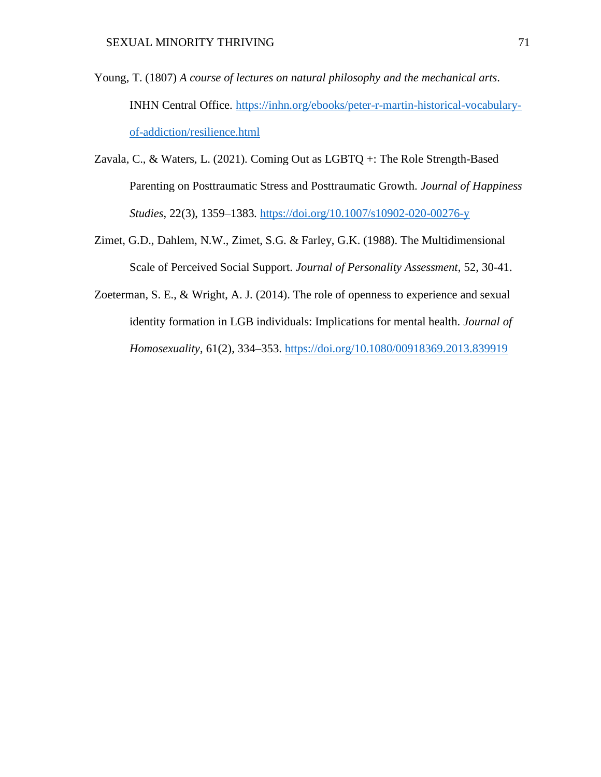- Young, T. (1807) *A course of lectures on natural philosophy and the mechanical arts*. INHN Central Office. [https://inhn.org/ebooks/peter-r-martin-historical-vocabulary](https://inhn.org/ebooks/peter-r-martin-historical-vocabulary-of-addiction/resilience.html)[of-addiction/resilience.html](https://inhn.org/ebooks/peter-r-martin-historical-vocabulary-of-addiction/resilience.html)
- Zavala, C., & Waters, L. (2021). Coming Out as LGBTQ +: The Role Strength-Based Parenting on Posttraumatic Stress and Posttraumatic Growth. *Journal of Happiness Studies*, 22(3), 1359–1383.<https://doi.org/10.1007/s10902-020-00276-y>
- Zimet, G.D., Dahlem, N.W., Zimet, S.G. & Farley, G.K. (1988). The Multidimensional Scale of Perceived Social Support. *Journal of Personality Assessment*, 52, 30-41.
- Zoeterman, S. E., & Wright, A. J. (2014). The role of openness to experience and sexual identity formation in LGB individuals: Implications for mental health. *Journal of Homosexuality*, 61(2), 334–353.<https://doi.org/10.1080/00918369.2013.839919>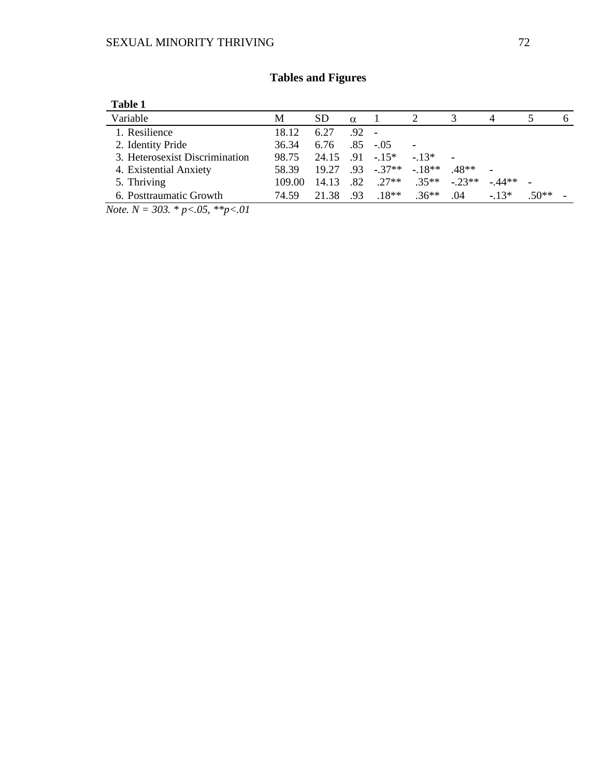| Table 1                        |        |           |                  |            |         |         |         |         |  |
|--------------------------------|--------|-----------|------------------|------------|---------|---------|---------|---------|--|
| Variable                       | M      | <b>SD</b> | $\alpha$         |            |         |         |         |         |  |
| 1. Resilience                  | 18.12  | 6.27      | $.92 -$          |            |         |         |         |         |  |
| 2. Identity Pride              | 36.34  | 6.76      | .85              | $-.05$     |         |         |         |         |  |
| 3. Heterosexist Discrimination | 98.75  | 24.15     |                  | $91 - 15*$ | $-13*$  |         |         |         |  |
| 4. Existential Anxiety         | 58.39  | 19.27     | .93 <sub>1</sub> | $-37**$    | $-18**$ | 48**    |         |         |  |
| 5. Thriving                    | 109.00 | 14.13     | .82              | $27**$     | $35**$  | $-23**$ | $-44**$ | -       |  |
| 6. Posttraumatic Growth        | 74.59  | 21.38     | .93              | $.18**$    | $.36**$ | .04     | $-13*$  | $.50**$ |  |

# **Tables and Figures**

*Note. N = 303. \* p<.05, \*\*p<.01*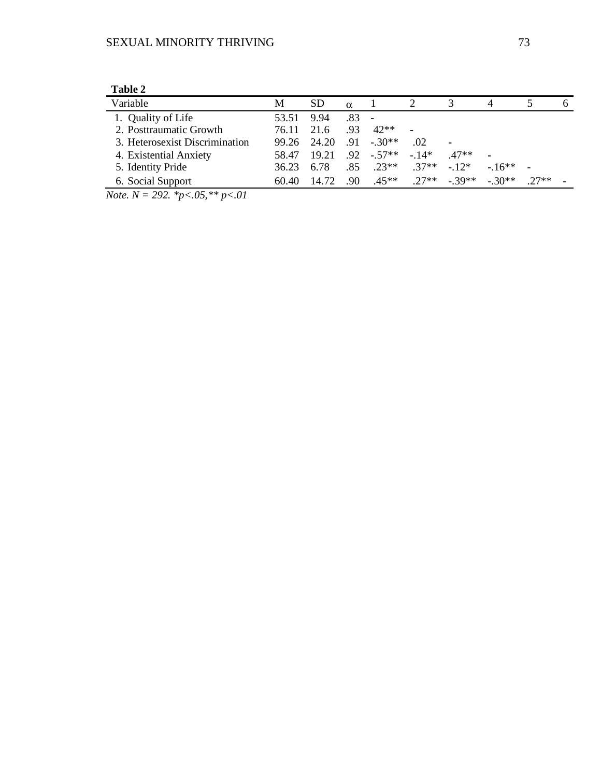| Table 2                        |       |           |                  |                |         |         |         |        |   |
|--------------------------------|-------|-----------|------------------|----------------|---------|---------|---------|--------|---|
| Variable                       | M     | <b>SD</b> | $\alpha$         |                |         |         |         |        | h |
| 1. Quality of Life             | 53.51 | 9.94      | .83              | $\blacksquare$ |         |         |         |        |   |
| 2. Posttraumatic Growth        | 76.11 | 21.6      | .93              | $42**$         |         |         |         |        |   |
| 3. Heterosexist Discrimination | 99.26 | 24.20     | .91              | $-30**$        | .02     |         |         |        |   |
| 4. Existential Anxiety         | 58.47 | 19.21     | .92              | $-57**$        | $-14*$  | 47**    |         |        |   |
| 5. Identity Pride              | 36.23 | 6.78      | .85              | $23**$         | $.37**$ | $-12*$  | $-16**$ |        |   |
| 6. Social Support              | 60.40 | 14.72     | .90 <sub>1</sub> | $45**$         | $27**$  | $-39**$ | $-30**$ | $27**$ |   |

*Note. N = 292. \*p<.05,\*\* p<.01*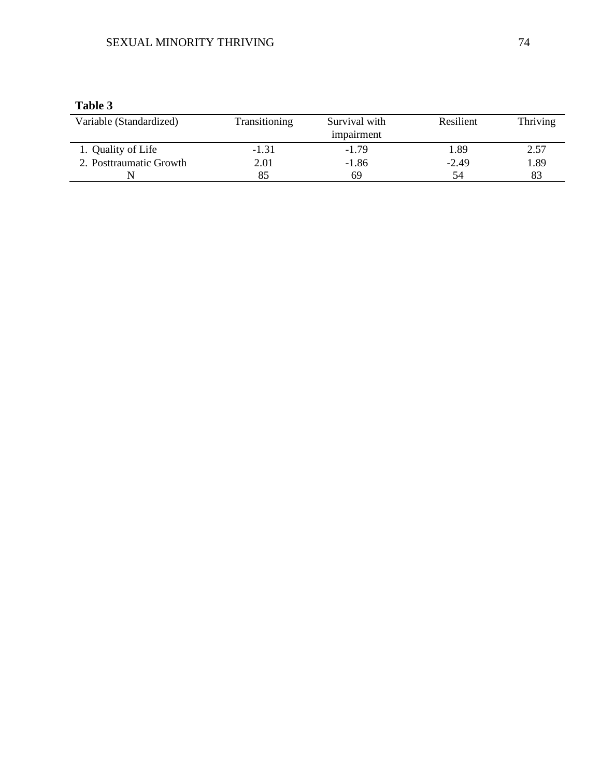## SEXUAL MINORITY THRIVING 74

### **Table 3**

| Variable (Standardized) | Transitioning | Survival with<br>impairment | Resilient | Thriving |
|-------------------------|---------------|-----------------------------|-----------|----------|
| 1. Quality of Life      | $-1.31$       | $-1.79$                     | 1.89      | 2.57     |
| 2. Posttraumatic Growth | 2.01          | $-1.86$                     | $-2.49$   | 1.89     |
|                         |               | 69                          | 54        | 83       |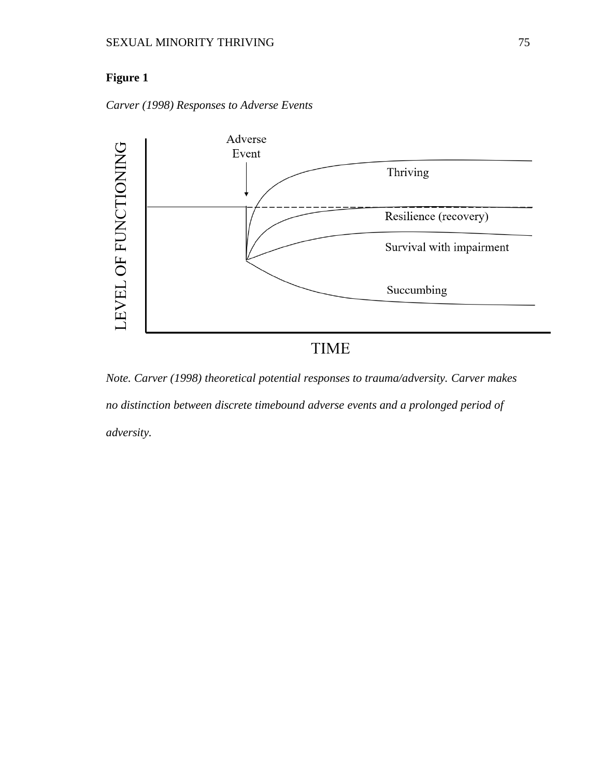*Carver (1998) Responses to Adverse Events*



*Note. Carver (1998) theoretical potential responses to trauma/adversity. Carver makes no distinction between discrete timebound adverse events and a prolonged period of* 

*adversity.*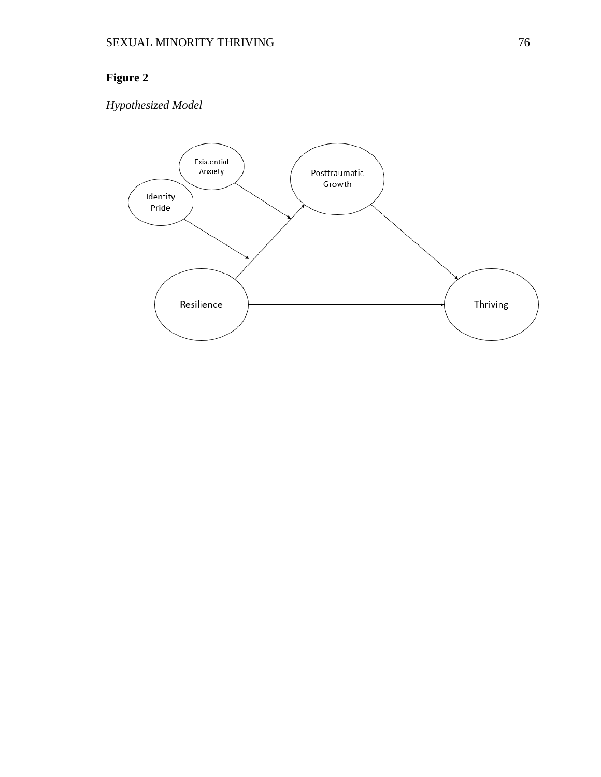# *Hypothesized Model*

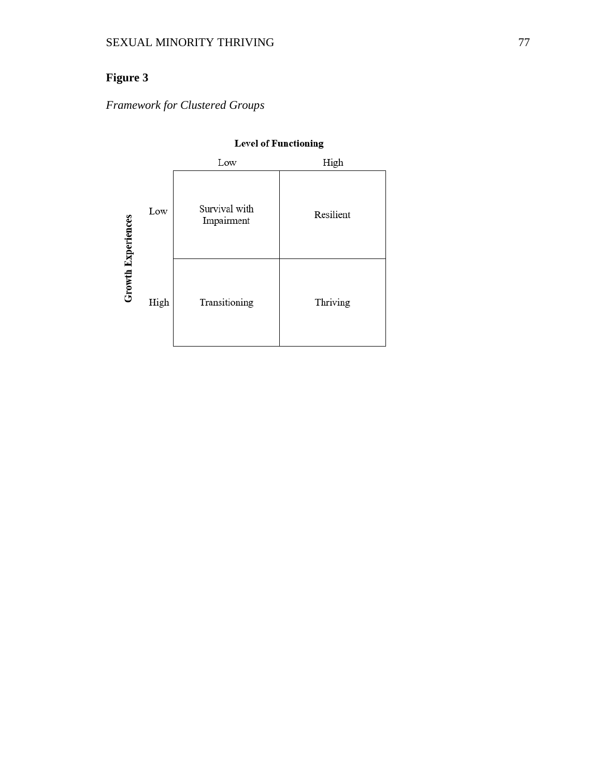*Framework for Clustered Groups*

|                           |      | Low                         | High      |
|---------------------------|------|-----------------------------|-----------|
| <b>Growth Experiences</b> | Low  | Survival with<br>Impairment | Resilient |
|                           | High | Transitioning               | Thriving  |

### **Level of Functioning**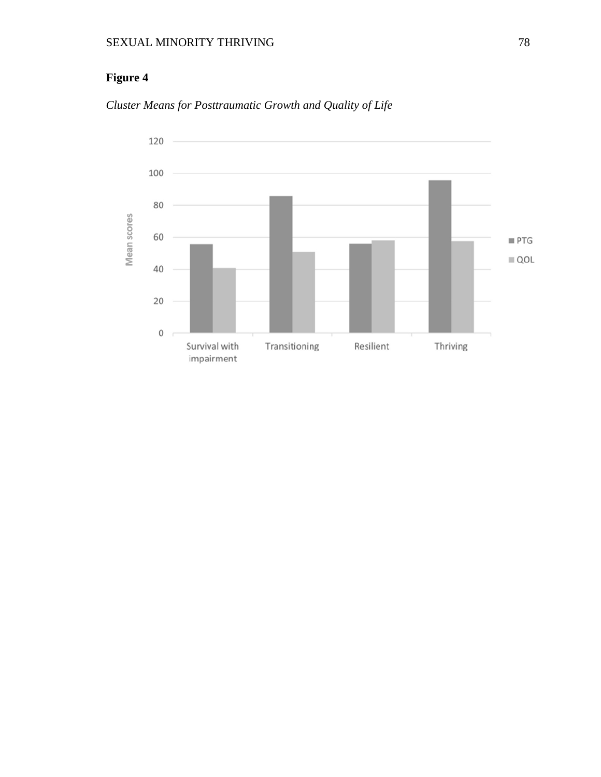

*Cluster Means for Posttraumatic Growth and Quality of Life*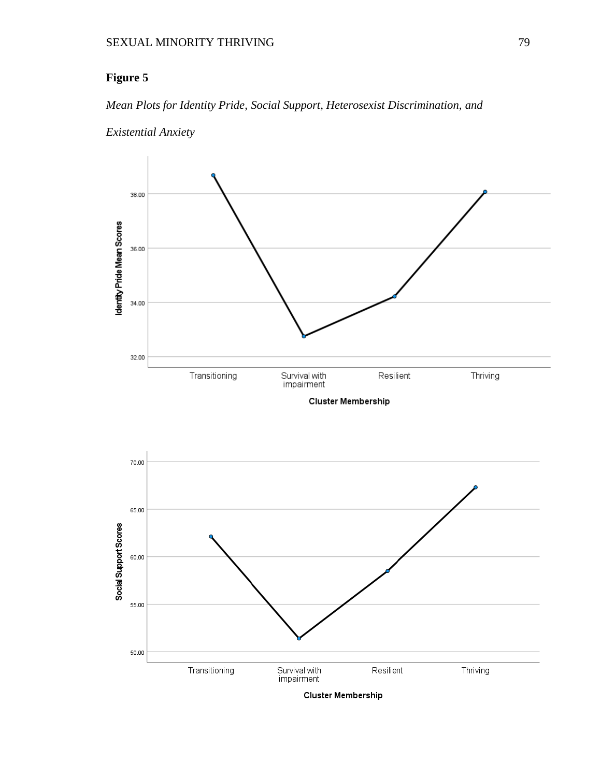### *Mean Plots for Identity Pride, Social Support, Heterosexist Discrimination, and*









Cluster Membership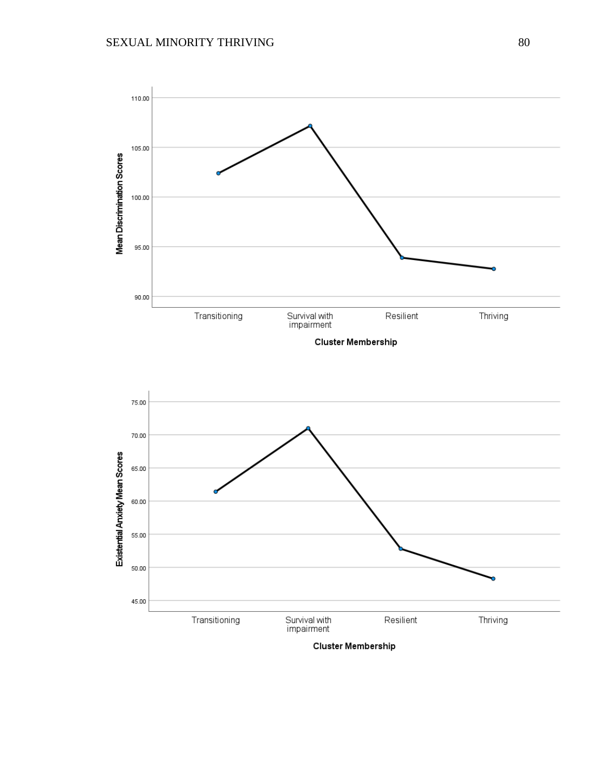

Cluster Membership